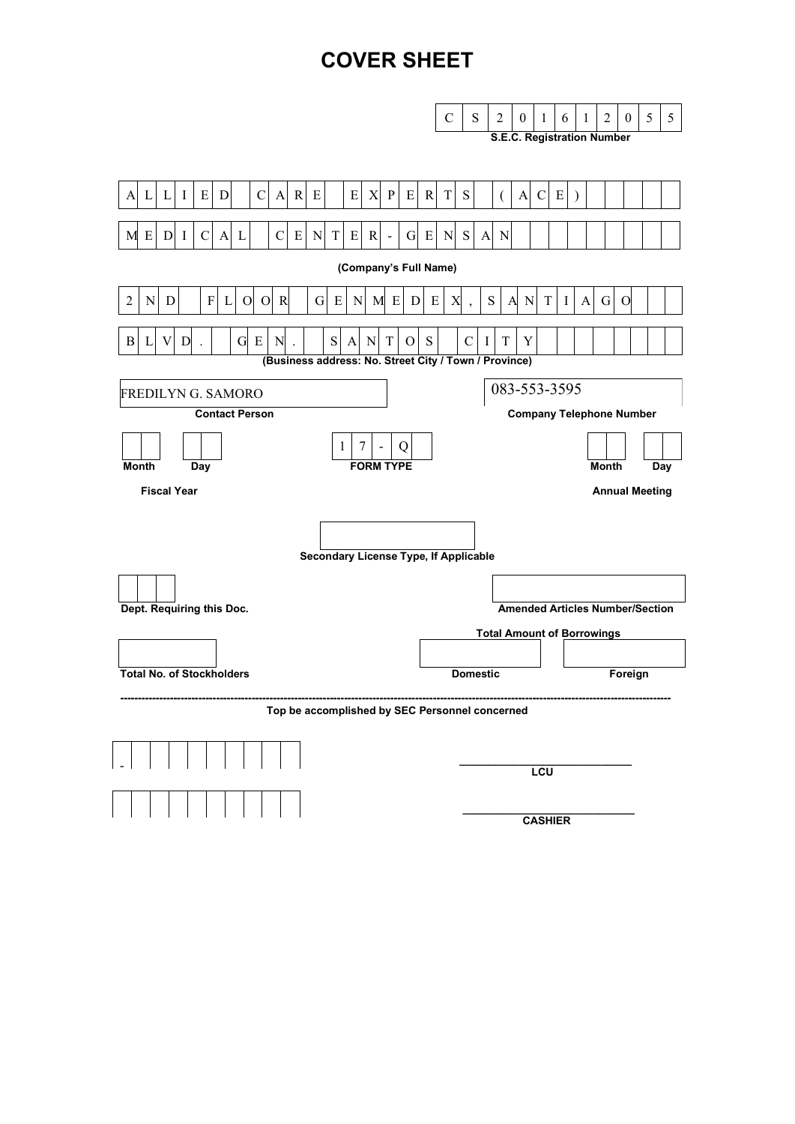# **COVER SHEET**

|                                                                                                                                                                       | $\mathbf C$<br>S<br>$\overline{2}$<br>5<br>5<br>2<br>$\theta$<br>$\theta$<br>1<br>6<br>1<br><b>S.E.C. Registration Number</b>                  |  |  |  |
|-----------------------------------------------------------------------------------------------------------------------------------------------------------------------|------------------------------------------------------------------------------------------------------------------------------------------------|--|--|--|
|                                                                                                                                                                       |                                                                                                                                                |  |  |  |
| X<br>$\mathbf{L}$<br>$\bf{I}$<br>E<br>D<br>$\mathbf C$<br>$\mathbf R$<br>E<br>E<br>$\mathbf{P}$<br>E<br>$\mathbf{A}$<br>$\mathbf{L}$<br>$\mathbf{A}$                  | S<br>$\mathbb{R}$<br>T<br>E<br>A<br>$\mathcal{C}$<br>$\mathcal{L}$<br>$\left($                                                                 |  |  |  |
| $\, {\bf E}$<br>${\bf E}$<br>G E<br>M E<br>D <sub>1</sub><br>$\mathcal{C}$<br>$\mathbf{A}$<br>$\mathcal{C}$<br>$\mathbf N$<br>T<br>$\mathbf R$<br>L<br>$\overline{a}$ | N S<br>$\mathbf N$<br>$\mathbf{A}$                                                                                                             |  |  |  |
| (Company's Full Name)                                                                                                                                                 |                                                                                                                                                |  |  |  |
| ${\bf F}$<br>O R<br>$\overline{2}$<br>N<br>$\mathbf O$<br>G<br>E<br>D<br>L<br>N<br>M<br>E<br>D                                                                        | ${\bf S}$<br>${\bf N}$<br>T<br>$\mathbf{A}$<br>$\mathbf G$<br>E<br>X<br>$\mathbf{A}$<br>$\bf{I}$<br>$\overline{O}$<br>$\overline{\phantom{a}}$ |  |  |  |
| E<br>S<br>T<br>B<br>L<br>V<br>D<br>G<br>N<br>A<br>N<br>$\overline{O}$                                                                                                 | S<br>Y<br>$\mathbf C$<br>T<br>T                                                                                                                |  |  |  |
| (Business address: No. Street City / Town / Province)                                                                                                                 |                                                                                                                                                |  |  |  |
| <b>FREDILYN G. SAMORO</b>                                                                                                                                             | 083-553-3595                                                                                                                                   |  |  |  |
| <b>Contact Person</b>                                                                                                                                                 | <b>Company Telephone Number</b>                                                                                                                |  |  |  |
| 7<br>1<br>Q                                                                                                                                                           |                                                                                                                                                |  |  |  |
| <b>FORM TYPE</b><br><b>Month</b><br>Day                                                                                                                               | Day<br><b>Month</b>                                                                                                                            |  |  |  |
| <b>Fiscal Year</b>                                                                                                                                                    | <b>Annual Meeting</b>                                                                                                                          |  |  |  |
|                                                                                                                                                                       |                                                                                                                                                |  |  |  |
| <b>Secondary License Type, If Applicable</b>                                                                                                                          |                                                                                                                                                |  |  |  |
|                                                                                                                                                                       |                                                                                                                                                |  |  |  |
| Dept. Requiring this Doc.                                                                                                                                             | <b>Amended Articles Number/Section</b>                                                                                                         |  |  |  |
|                                                                                                                                                                       | <b>Total Amount of Borrowings</b>                                                                                                              |  |  |  |
|                                                                                                                                                                       |                                                                                                                                                |  |  |  |
| <b>Total No. of Stockholders</b>                                                                                                                                      | <b>Domestic</b><br>Foreign                                                                                                                     |  |  |  |
| Top be accomplished by SEC Personnel concerned                                                                                                                        |                                                                                                                                                |  |  |  |
|                                                                                                                                                                       |                                                                                                                                                |  |  |  |
|                                                                                                                                                                       |                                                                                                                                                |  |  |  |
|                                                                                                                                                                       | <b>LCU</b>                                                                                                                                     |  |  |  |
|                                                                                                                                                                       | <b>CASHIER</b>                                                                                                                                 |  |  |  |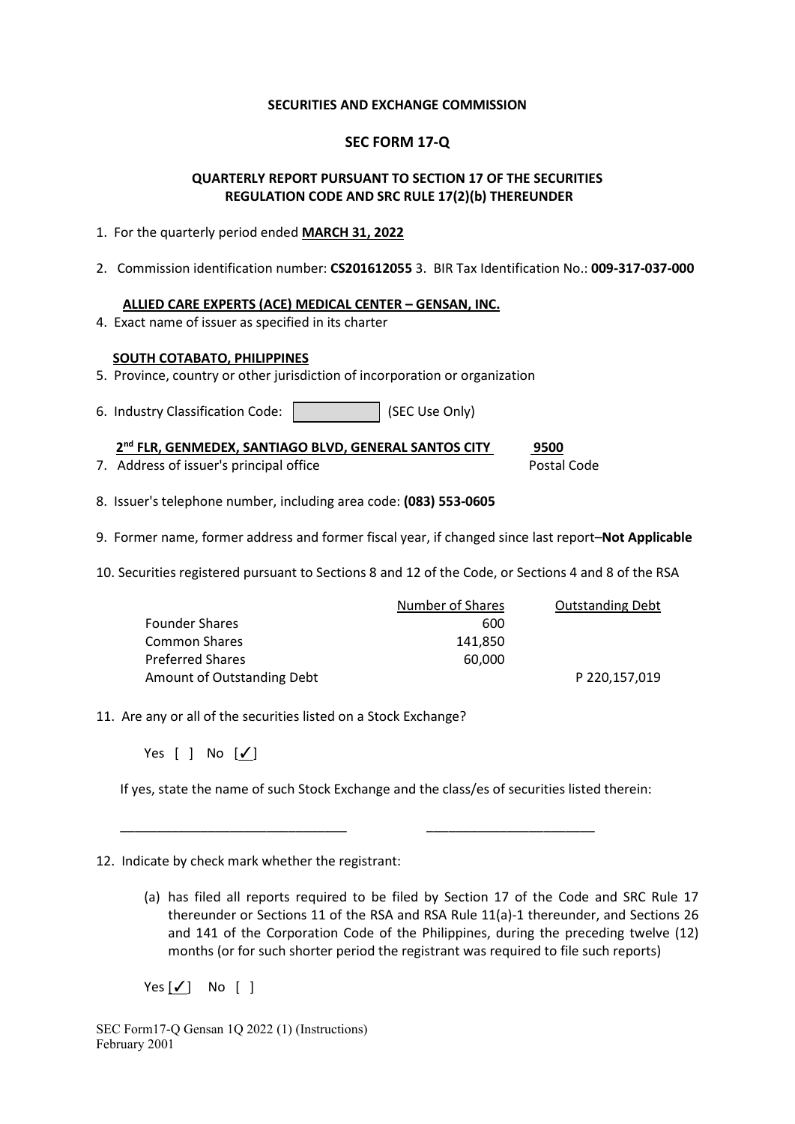#### **SECURITIES AND EXCHANGE COMMISSION**

# **SEC FORM 17-Q**

# **QUARTERLY REPORT PURSUANT TO SECTION 17 OF THE SECURITIES REGULATION CODE AND SRC RULE 17(2)(b) THEREUNDER**

- 1. For the quarterly period ended **MARCH 31, 2022**
- 2. Commission identification number: **CS201612055** 3. BIR Tax Identification No.: **009-317-037-000**

#### **ALLIED CARE EXPERTS (ACE) MEDICAL CENTER – GENSAN, INC.**

4. Exact name of issuer as specified in its charter

# **SOUTH COTABATO, PHILIPPINES**

- 5. Province, country or other jurisdiction of incorporation or organization
- 6. Industry Classification Code: | (SEC Use Only)

 **2nd FLR, GENMEDEX, SANTIAGO BLVD, GENERAL SANTOS CITY 9500**

7. Address of issuer's principal office **Postal Code** Postal Code

- 8. Issuer's telephone number, including area code: **(083) 553-0605**
- 9. Former name, former address and former fiscal year, if changed since last report–**Not Applicable**
- 10. Securities registered pursuant to Sections 8 and 12 of the Code, or Sections 4 and 8 of the RSA

|                            | Number of Shares | <b>Outstanding Debt</b> |
|----------------------------|------------------|-------------------------|
| Founder Shares             | 600              |                         |
| Common Shares              | 141.850          |                         |
| Preferred Shares           | 60.000           |                         |
| Amount of Outstanding Debt |                  | P 220,157,019           |

11. Are any or all of the securities listed on a Stock Exchange?

Yes [ ] No [√]

If yes, state the name of such Stock Exchange and the class/es of securities listed therein:

\_\_\_\_\_\_\_\_\_\_\_\_\_\_\_\_\_\_\_\_\_\_\_\_\_\_\_\_\_\_\_ \_\_\_\_\_\_\_\_\_\_\_\_\_\_\_\_\_\_\_\_\_\_\_

#### 12. Indicate by check mark whether the registrant:

(a) has filed all reports required to be filed by Section 17 of the Code and SRC Rule 17 thereunder or Sections 11 of the RSA and RSA Rule 11(a)-1 thereunder, and Sections 26 and 141 of the Corporation Code of the Philippines, during the preceding twelve (12) months (or for such shorter period the registrant was required to file such reports)

 $Yes [ \checkmark ] No [ ]$ 

SEC Form17-Q Gensan 1Q 2022 (1) (Instructions) February 2001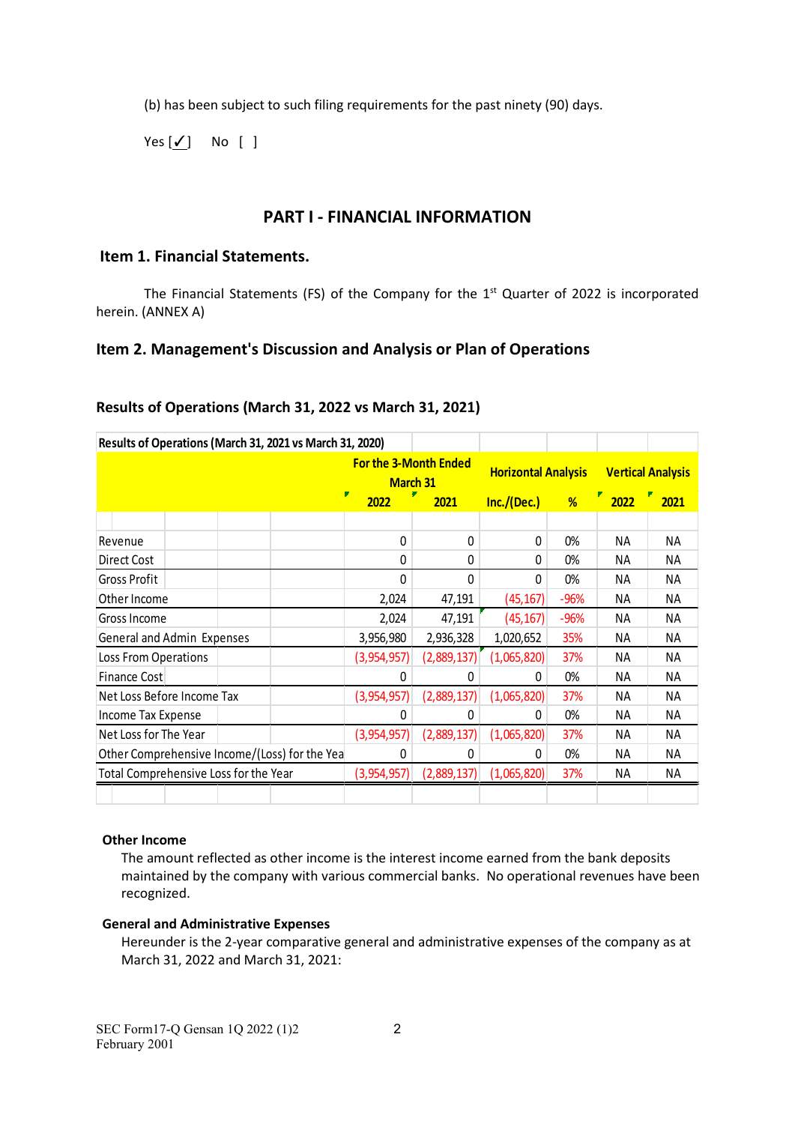(b) has been subject to such filing requirements for the past ninety (90) days.

 $Yes [ \checkmark ]$  No  $[]$ 

# **PART I - FINANCIAL INFORMATION**

# **Item 1. Financial Statements.**

The Financial Statements (FS) of the Company for the  $1<sup>st</sup>$  Quarter of 2022 is incorporated herein. (ANNEX A)

# **Item 2. Management's Discussion and Analysis or Plan of Operations**

| Results of Operations (March 31, 2021 vs March 31, 2020) |  |   |                                                 |              |                            |        |                          |           |
|----------------------------------------------------------|--|---|-------------------------------------------------|--------------|----------------------------|--------|--------------------------|-----------|
|                                                          |  |   | <b>For the 3-Month Ended</b><br><b>March 31</b> |              | <b>Horizontal Analysis</b> |        | <b>Vertical Analysis</b> |           |
|                                                          |  |   | P<br>2022                                       | 2021         | Inc./(Dec.)                | %      | 罗<br>2022                | 2021      |
|                                                          |  |   |                                                 |              |                            |        |                          |           |
| Revenue                                                  |  |   | 0                                               | 0            | 0                          | 0%     | <b>NA</b>                | NA.       |
| Direct Cost                                              |  |   | 0                                               | 0            | 0                          | 0%     | <b>NA</b>                | NA.       |
| Gross Profit                                             |  |   | 0                                               | $\mathbf{0}$ | 0                          | 0%     | NA.                      | NA.       |
| Other Income                                             |  |   | 2,024                                           | 47,191       | (45, 167)                  | $-96%$ | NA.                      | NA.       |
| Gross Income                                             |  |   | 2,024                                           | 47,191       | (45, 167)                  | $-96%$ | NA.                      | NA        |
| General and Admin Expenses                               |  |   | 3,956,980                                       | 2,936,328    | 1,020,652                  | 35%    | NА                       | NA.       |
| Loss From Operations                                     |  |   | (3,954,957)                                     | (2,889,137)  | (1,065,820)                | 37%    | NА                       | NА        |
| Finance Cost                                             |  |   | 0                                               | 0            | 0                          | 0%     | NА                       | <b>NA</b> |
| Net Loss Before Income Tax                               |  |   | (3,954,957)                                     | (2,889,137)  | (1,065,820)                | 37%    | NА                       | <b>NA</b> |
| Income Tax Expense                                       |  |   | 0                                               | 0            | 0                          | 0%     | NА                       | NА        |
| Net Loss for The Year                                    |  |   | (3,954,957)                                     | (2,889,137)  | (1,065,820)                | 37%    | NА                       | NА        |
| Other Comprehensive Income/(Loss) for the Yea            |  | 0 | 0                                               | 0            | 0%                         | NА     | ΝA                       |           |
| Total Comprehensive Loss for the Year                    |  |   | (3,954,957)                                     | (2,889,137)  | (1,065,820)                | 37%    | NA.                      | ΝA        |
|                                                          |  |   |                                                 |              |                            |        |                          |           |

# **Results of Operations (March 31, 2022 vs March 31, 2021)**

#### **Other Income**

The amount reflected as other income is the interest income earned from the bank deposits maintained by the company with various commercial banks. No operational revenues have been recognized.

#### **General and Administrative Expenses**

Hereunder is the 2-year comparative general and administrative expenses of the company as at March 31, 2022 and March 31, 2021: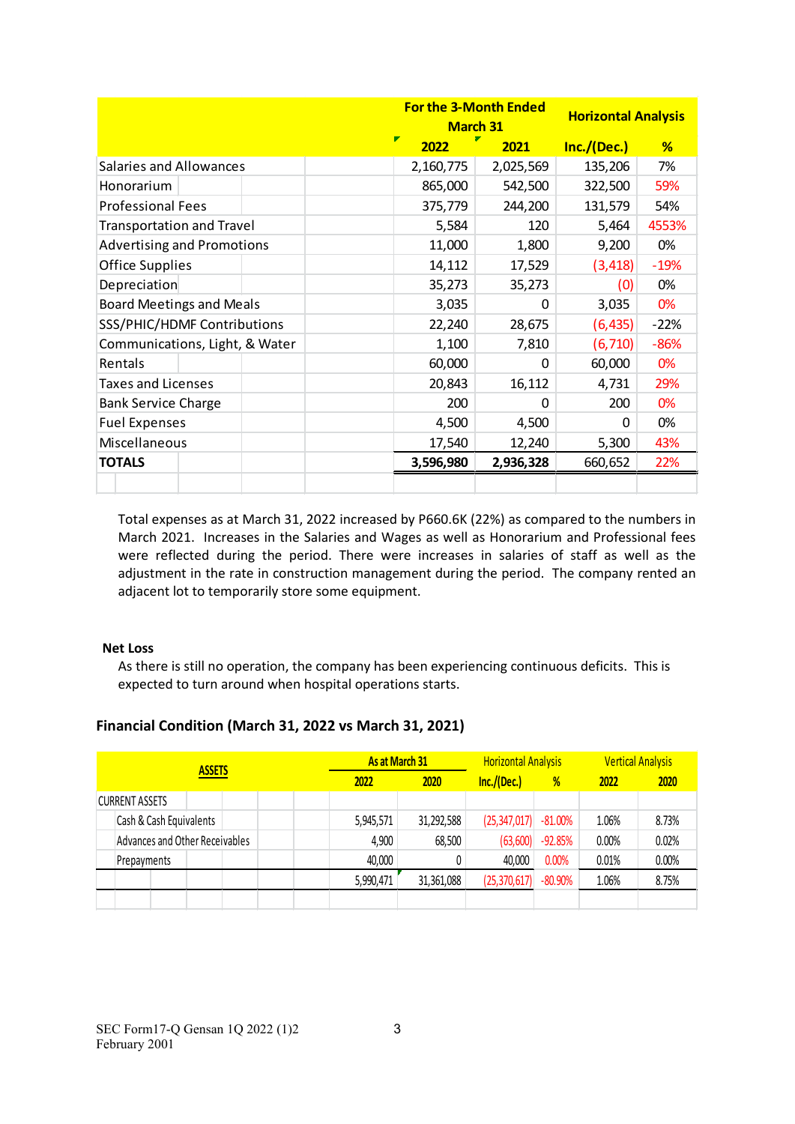|                                   |           | <b>For the 3-Month Ended</b><br><b>March 31</b> |             | <b>Horizontal Analysis</b> |
|-----------------------------------|-----------|-------------------------------------------------|-------------|----------------------------|
|                                   | Г<br>2022 | 2021                                            | Inc./(Dec.) | %                          |
| <b>Salaries and Allowances</b>    | 2,160,775 | 2,025,569                                       | 135,206     | 7%                         |
| Honorarium                        | 865,000   | 542,500                                         | 322,500     | 59%                        |
| <b>Professional Fees</b>          | 375,779   | 244,200                                         | 131,579     | 54%                        |
| <b>Transportation and Travel</b>  | 5,584     | 120                                             | 5,464       | 4553%                      |
| <b>Advertising and Promotions</b> | 11,000    | 1,800                                           | 9,200       | 0%                         |
| <b>Office Supplies</b>            | 14,112    | 17,529                                          | (3, 418)    | $-19%$                     |
| Depreciation                      | 35,273    | 35,273                                          | (0)         | 0%                         |
| <b>Board Meetings and Meals</b>   | 3,035     | 0                                               | 3,035       | 0%                         |
| SSS/PHIC/HDMF Contributions       | 22,240    | 28,675                                          | (6, 435)    | $-22%$                     |
| Communications, Light, & Water    | 1,100     | 7,810                                           | (6, 710)    | $-86%$                     |
| Rentals                           | 60,000    | $\Omega$                                        | 60,000      | 0%                         |
| <b>Taxes and Licenses</b>         | 20,843    | 16,112                                          | 4,731       | 29%                        |
| <b>Bank Service Charge</b>        | 200       | $\Omega$                                        | 200         | 0%                         |
| <b>Fuel Expenses</b>              | 4,500     | 4,500                                           | 0           | 0%                         |
| Miscellaneous                     | 17,540    | 12,240                                          | 5,300       | 43%                        |
| <b>TOTALS</b>                     | 3,596,980 | 2,936,328                                       | 660,652     | 22%                        |
|                                   |           |                                                 |             |                            |

Total expenses as at March 31, 2022 increased by P660.6K (22%) as compared to the numbers in March 2021. Increases in the Salaries and Wages as well as Honorarium and Professional fees were reflected during the period. There were increases in salaries of staff as well as the adjustment in the rate in construction management during the period. The company rented an adjacent lot to temporarily store some equipment.

#### **Net Loss**

As there is still no operation, the company has been experiencing continuous deficits. This is expected to turn around when hospital operations starts.

# **Financial Condition (March 31, 2022 vs March 31, 2021)**

| <b>ASSETS</b> |                                | As at March 31 |      | <b>Horizontal Analysis</b> |            | <b>Vertical Analysis</b> |            |       |       |
|---------------|--------------------------------|----------------|------|----------------------------|------------|--------------------------|------------|-------|-------|
|               |                                | 2022           | 2020 | Inc./(Dec.)                | %          | 2022                     | 2020       |       |       |
|               | <b>CURRENT ASSETS</b>          |                |      |                            |            |                          |            |       |       |
|               | Cash & Cash Equivalents        |                |      | 5,945,571                  | 31,292,588 | (25, 347, 017)           | $-81.00%$  | 1.06% | 8.73% |
|               | Advances and Other Receivables |                |      | 4,900                      | 68,500     | (63, 600)                | $-92.85%$  | 0.00% | 0.02% |
|               | Prepayments                    |                |      | 40,000                     |            | 40,000                   | 0.00%      | 0.01% | 0.00% |
|               |                                |                |      | 5,990,471                  | 31,361,088 | (25, 370, 617)           | $-80.90\%$ | 1.06% | 8.75% |
|               |                                |                |      |                            |            |                          |            |       |       |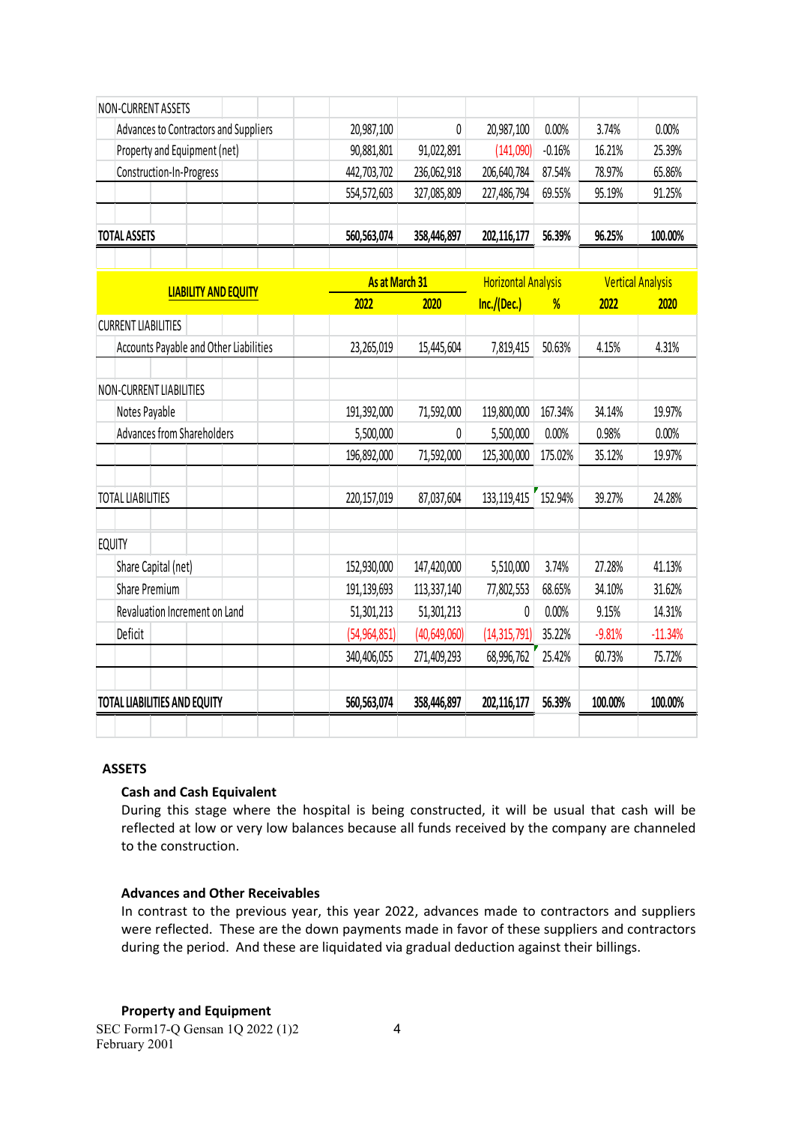| <b>NON-CURRENT ASSETS</b>              |                |                |                            |          |          |                          |
|----------------------------------------|----------------|----------------|----------------------------|----------|----------|--------------------------|
| Advances to Contractors and Suppliers  | 20,987,100     | 0              | 20,987,100                 | 0.00%    | 3.74%    | 0.00%                    |
| Property and Equipment (net)           | 90,881,801     | 91,022,891     | (141,090)                  | $-0.16%$ | 16.21%   | 25.39%                   |
| Construction-In-Progress               | 442,703,702    | 236,062,918    | 206,640,784                | 87.54%   | 78.97%   | 65.86%                   |
|                                        | 554,572,603    | 327,085,809    | 227,486,794                | 69.55%   | 95.19%   | 91.25%                   |
|                                        |                |                |                            |          |          |                          |
| <b>TOTAL ASSETS</b>                    | 560,563,074    | 358,446,897    | 202,116,177                | 56.39%   | 96.25%   | 100.00%                  |
|                                        |                |                |                            |          |          |                          |
| <b>LIABILITY AND EQUITY</b>            | As at March 31 |                | <b>Horizontal Analysis</b> |          |          | <b>Vertical Analysis</b> |
|                                        | 2022           | 2020           | Inc./(Dec.)                | %        | 2022     | 2020                     |
| <b>CURRENT LIABILITIES</b>             |                |                |                            |          |          |                          |
| Accounts Payable and Other Liabilities | 23,265,019     | 15,445,604     | 7,819,415                  | 50.63%   | 4.15%    | 4.31%                    |
|                                        |                |                |                            |          |          |                          |
| <b>NON-CURRENT LIABILITIES</b>         |                |                |                            |          |          |                          |
| Notes Payable                          | 191,392,000    | 71,592,000     | 119,800,000                | 167.34%  | 34.14%   | 19.97%                   |
| Advances from Shareholders             | 5,500,000      | 0              | 5,500,000                  | 0.00%    | 0.98%    | 0.00%                    |
|                                        | 196,892,000    | 71,592,000     | 125,300,000                | 175.02%  | 35.12%   | 19.97%                   |
|                                        |                |                |                            |          |          |                          |
| <b>TOTAL LIABILITIES</b>               | 220,157,019    | 87,037,604     | 133,119,415                | 152.94%  | 39.27%   | 24.28%                   |
|                                        |                |                |                            |          |          |                          |
| <b>EQUITY</b>                          |                |                |                            |          |          |                          |
| Share Capital (net)                    | 152,930,000    | 147,420,000    | 5,510,000                  | 3.74%    | 27.28%   | 41.13%                   |
| Share Premium                          | 191,139,693    | 113,337,140    | 77,802,553                 | 68.65%   | 34.10%   | 31.62%                   |
| Revaluation Increment on Land          | 51,301,213     | 51,301,213     | 0                          | 0.00%    | 9.15%    | 14.31%                   |
| Deficit                                | (54, 964, 851) | (40, 649, 060) | (14, 315, 791)             | 35.22%   | $-9.81%$ | $-11.34%$                |
|                                        | 340,406,055    | 271,409,293    | 68,996,762                 | 25.42%   | 60.73%   | 75.72%                   |
|                                        |                |                |                            |          |          |                          |
| <b>TOTAL LIABILITIES AND EQUITY</b>    | 560,563,074    | 358,446,897    | 202,116,177                | 56.39%   | 100.00%  | 100.00%                  |
|                                        |                |                |                            |          |          |                          |

# **ASSETS**

#### **Cash and Cash Equivalent**

During this stage where the hospital is being constructed, it will be usual that cash will be reflected at low or very low balances because all funds received by the company are channeled to the construction.

#### **Advances and Other Receivables**

In contrast to the previous year, this year 2022, advances made to contractors and suppliers were reflected. These are the down payments made in favor of these suppliers and contractors during the period. And these are liquidated via gradual deduction against their billings.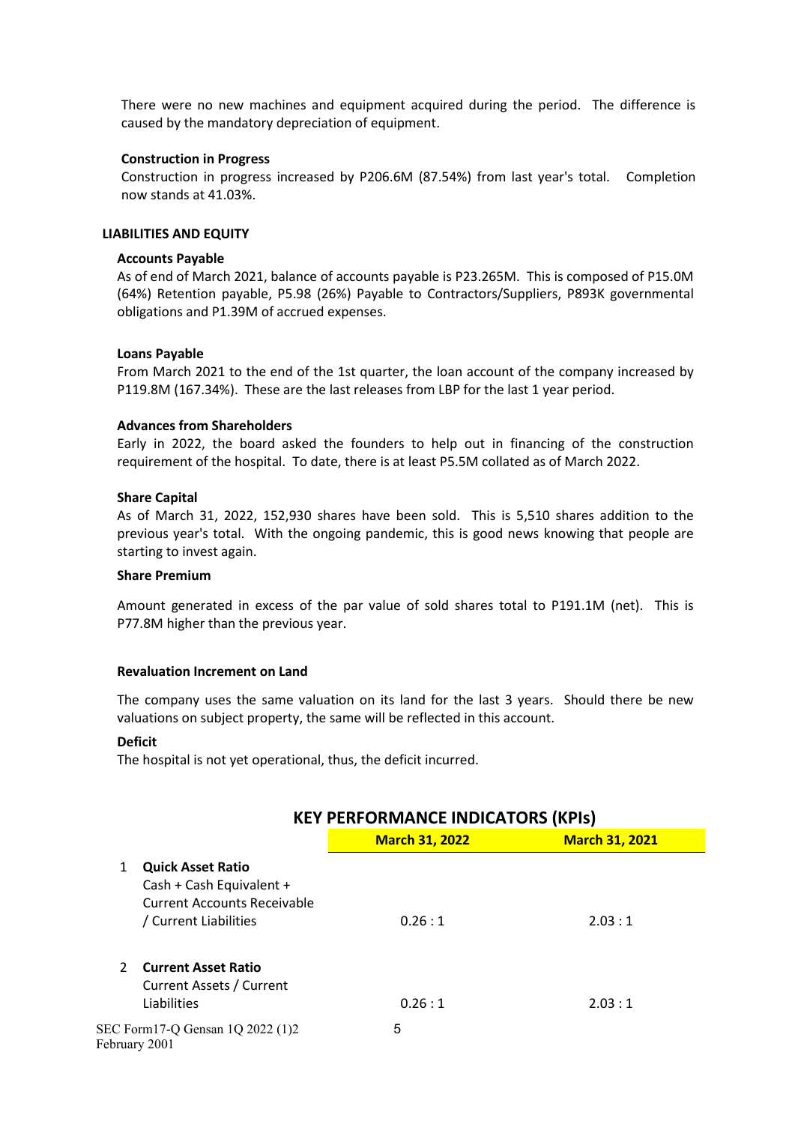There were no new machines and equipment acquired during the period. The difference is caused by the mandatory depreciation of equipment.

#### **Construction in Progress**

Construction in progress increased by P206.6M (87.54%) from last year's total. Completion now stands at 41.03%.

#### **LIABILITIES AND EQUITY**

#### **Accounts Payable**

As of end of March 2021, balance of accounts payable is P23.265M. This is composed of P15.0M (64%) Retention payable, P5.98 (26%) Payable to Contractors/Suppliers, P893K governmental obligations and P1.39M of accrued expenses.

#### **Loans Payable**

From March 2021 to the end of the 1st quarter, the loan account of the company increased by P119.8M (167.34%). These are the last releases from LBP for the last 1 year period.

#### **Advances from Shareholders**

Early in 2022, the board asked the founders to help out in financing of the construction requirement of the hospital. To date, there is at least P5.5M collated as of March 2022.

#### **Share Capital**

As of March 31, 2022, 152,930 shares have been sold. This is 5,510 shares addition to the previous year's total. With the ongoing pandemic, this is good news knowing that people are starting to invest again.

#### **Share Premium**

Amount generated in excess of the par value of sold shares total to P191.1M (net). This is P77.8M higher than the previous year.

#### **Revaluation Increment on Land**

The company uses the same valuation on its land for the last 3 years. Should there be new valuations on subject property, the same will be reflected in this account.

#### **Deficit**

The hospital is not yet operational, thus, the deficit incurred.

|               |                                                                                                                     | <b>KEY PERFORMANCE INDICATORS (KPIs)</b> |                       |  |  |  |
|---------------|---------------------------------------------------------------------------------------------------------------------|------------------------------------------|-----------------------|--|--|--|
|               |                                                                                                                     | <b>March 31, 2022</b>                    | <b>March 31, 2021</b> |  |  |  |
| 1             | <b>Quick Asset Ratio</b><br>Cash + Cash Equivalent +<br><b>Current Accounts Receivable</b><br>/ Current Liabilities | 0.26:1                                   | 2.03:1                |  |  |  |
| $\mathcal{P}$ | <b>Current Asset Ratio</b><br>Current Assets / Current<br>Liabilities                                               | 0.26:1                                   | 2.03:1                |  |  |  |
|               | SEC Form 17-Q Gensan 1Q 2022 (1)2<br>February 2001                                                                  | 5                                        |                       |  |  |  |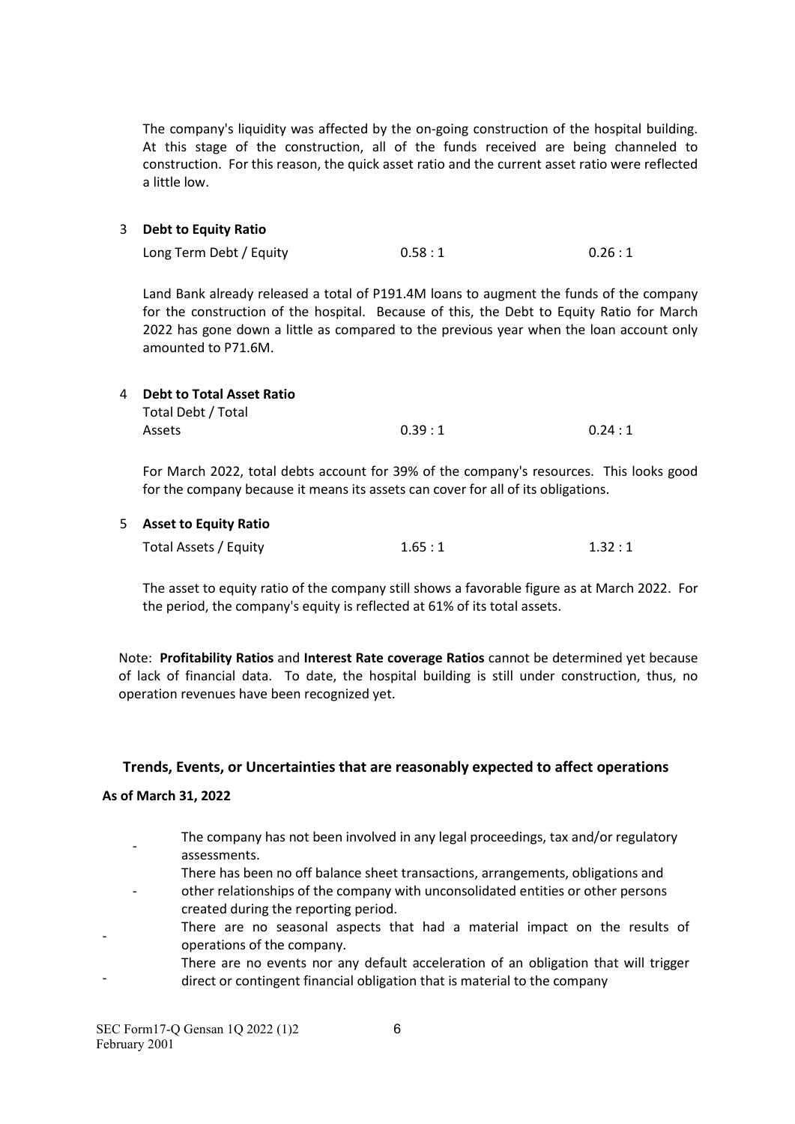The company's liquidity was affected by the on-going construction of the hospital building. At this stage of the construction, all of the funds received are being channeled to construction. For this reason, the quick asset ratio and the current asset ratio were reflected a little low.

#### 3 **Debt to Equity Ratio**

| Long Term Debt / Equity | 0.58:1 | 0.26:1 |
|-------------------------|--------|--------|

Land Bank already released a total of P191.4M loans to augment the funds of the company for the construction of the hospital. Because of this, the Debt to Equity Ratio for March 2022 has gone down a little as compared to the previous year when the loan account only amounted to P71.6M.

| 4 Debt to Total Asset Ratio |        |        |
|-----------------------------|--------|--------|
| Total Debt / Total          |        |        |
| <b>Assets</b>               | 0.39:1 | 0.24:1 |

For March 2022, total debts account for 39% of the company's resources. This looks good for the company because it means its assets can cover for all of its obligations.

#### 5 **Asset to Equity Ratio**

| Total Assets / Equity | 1.65:1 | 1.32:1 |
|-----------------------|--------|--------|
|-----------------------|--------|--------|

The asset to equity ratio of the company still shows a favorable figure as at March 2022. For the period, the company's equity is reflected at 61% of its total assets.

Note: **Profitability Ratios** and **Interest Rate coverage Ratios** cannot be determined yet because of lack of financial data. To date, the hospital building is still under construction, thus, no operation revenues have been recognized yet.

#### **Trends, Events, or Uncertainties that are reasonably expected to affect operations**

#### **As of March 31, 2022**

- The company has not been involved in any legal proceedings, tax and/or regulatory assessments.
- There has been no off balance sheet transactions, arrangements, obligations and
- other relationships of the company with unconsolidated entities or other persons created during the reporting period.
- There are no seasonal aspects that had a material impact on the results of operations of the company.
- There are no events nor any default acceleration of an obligation that will trigger direct or contingent financial obligation that is material to the company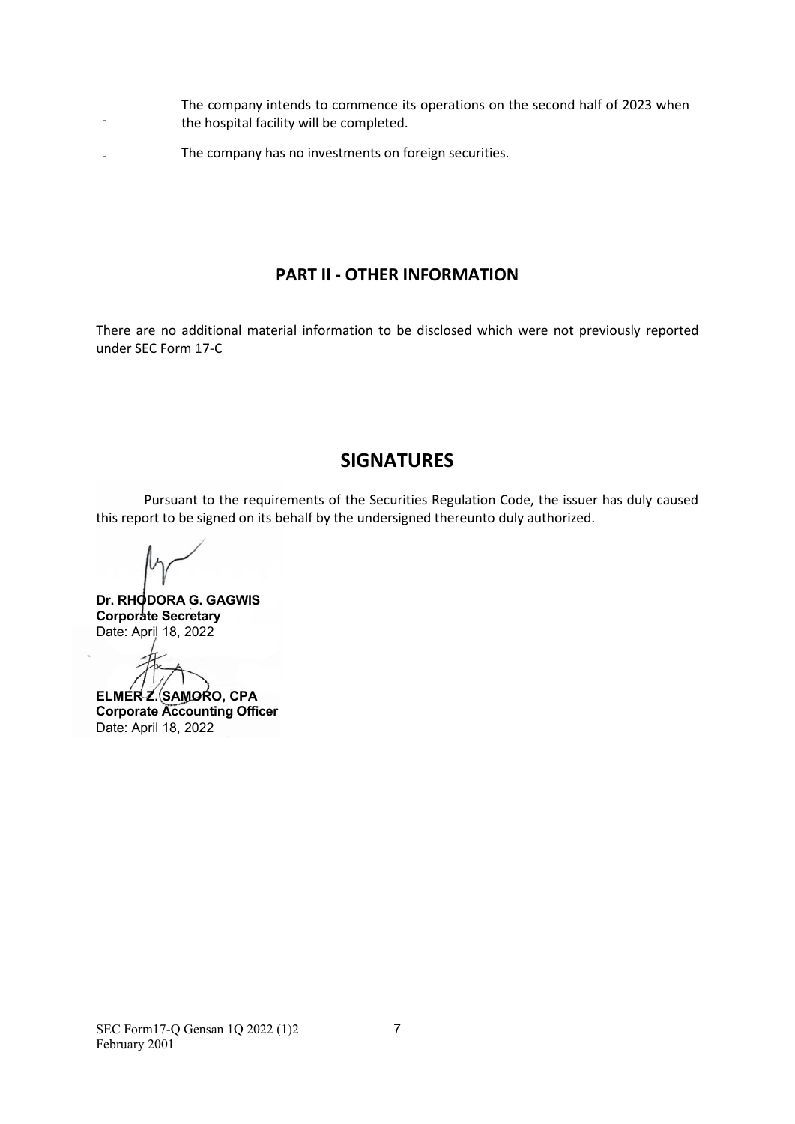- The company intends to commence its operations on the second half of 2023 when the hospital facility will be completed.
- The company has no investments on foreign securities.

# **PART II - OTHER INFORMATION**

There are no additional material information to be disclosed which were not previously reported under SEC Form 17-C

# **SIGNATURES**

Pursuant to the requirements of the Securities Regulation Code, the issuer has duly caused this report to be signed on its behalf by the undersigned thereunto duly authorized.

-

**Dr. RHODORA G. GAGWIS Corporate Secretary** Date: April 18, 2022

**ELMER Z. SAMORO, CPA Corporate Accounting Officer**  Date: April 18, 2022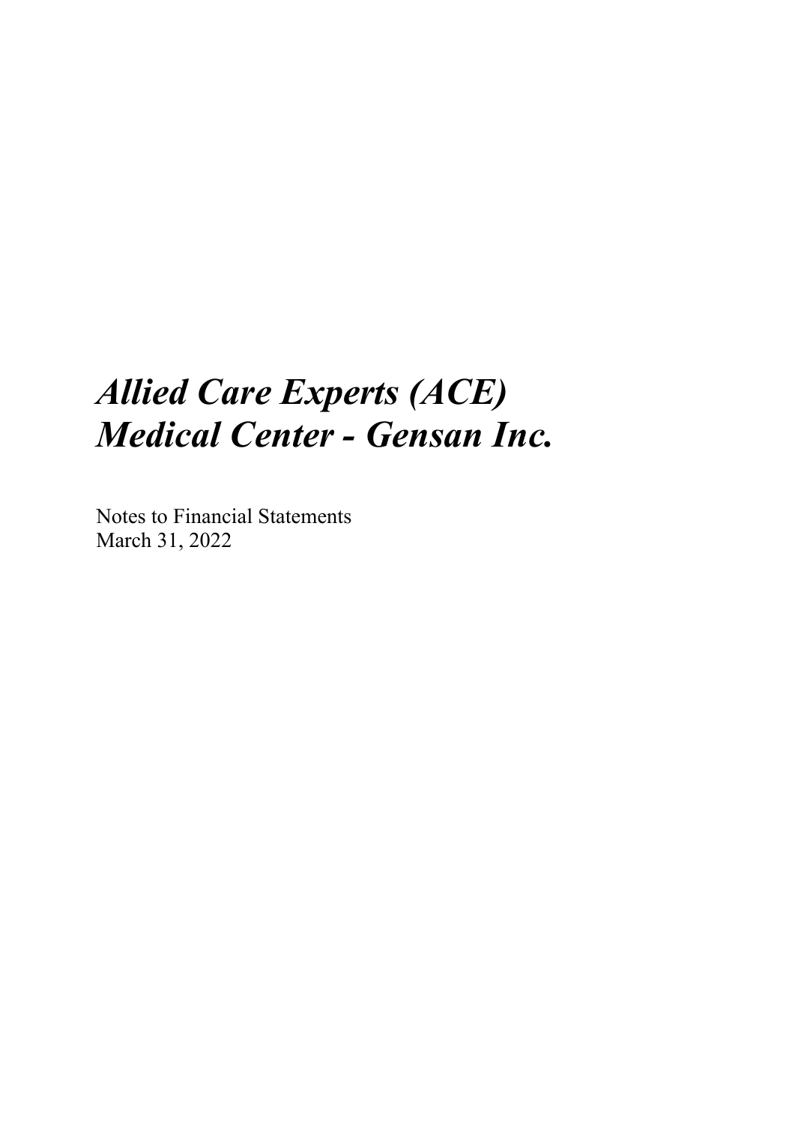# *Allied Care Experts (ACE) Medical Center - Gensan Inc.*

Notes to Financial Statements March 31, 2022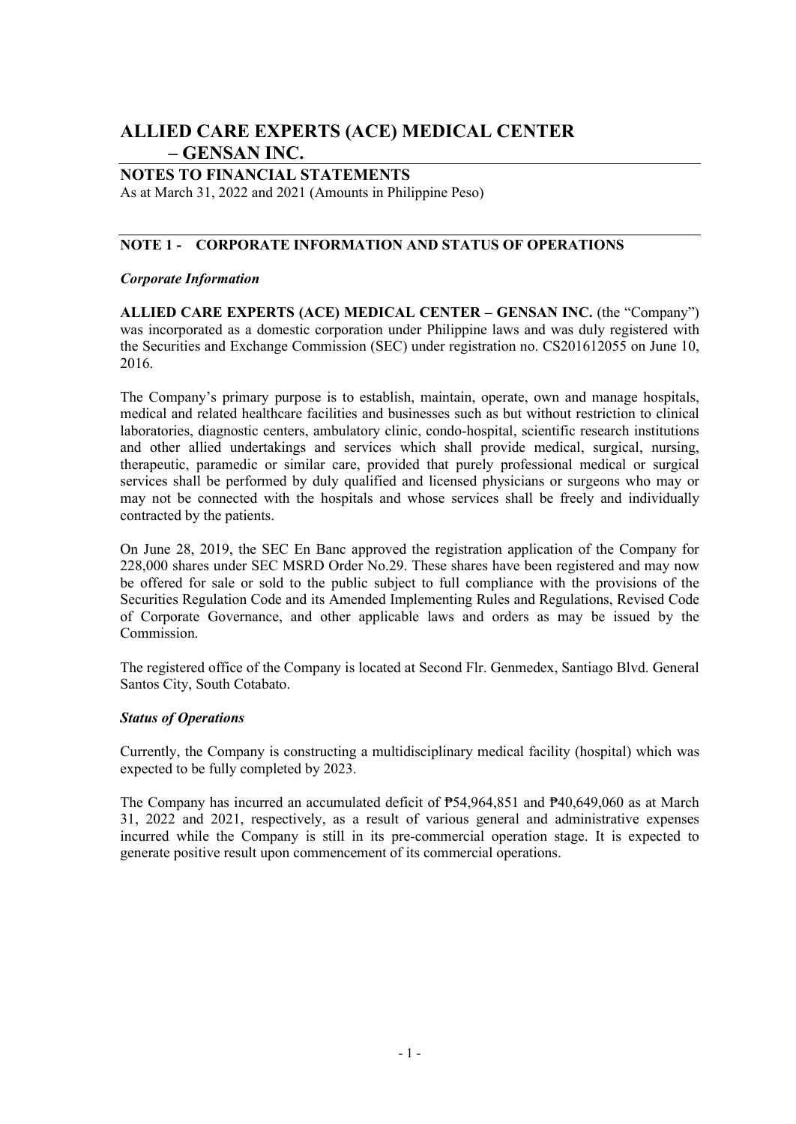# **ALLIED CARE EXPERTS (ACE) MEDICAL CENTER – GENSAN INC.**

# **NOTES TO FINANCIAL STATEMENTS**

As at March 31, 2022 and 2021 (Amounts in Philippine Peso)

# **NOTE 1 - CORPORATE INFORMATION AND STATUS OF OPERATIONS**

## *Corporate Information*

**ALLIED CARE EXPERTS (ACE) MEDICAL CENTER – GENSAN INC.** (the "Company") was incorporated as a domestic corporation under Philippine laws and was duly registered with the Securities and Exchange Commission (SEC) under registration no. CS201612055 on June 10, 2016.

The Company's primary purpose is to establish, maintain, operate, own and manage hospitals, medical and related healthcare facilities and businesses such as but without restriction to clinical laboratories, diagnostic centers, ambulatory clinic, condo-hospital, scientific research institutions and other allied undertakings and services which shall provide medical, surgical, nursing, therapeutic, paramedic or similar care, provided that purely professional medical or surgical services shall be performed by duly qualified and licensed physicians or surgeons who may or may not be connected with the hospitals and whose services shall be freely and individually contracted by the patients.

On June 28, 2019, the SEC En Banc approved the registration application of the Company for 228,000 shares under SEC MSRD Order No.29. These shares have been registered and may now be offered for sale or sold to the public subject to full compliance with the provisions of the Securities Regulation Code and its Amended Implementing Rules and Regulations, Revised Code of Corporate Governance, and other applicable laws and orders as may be issued by the Commission.

The registered office of the Company is located at Second Flr. Genmedex, Santiago Blvd. General Santos City, South Cotabato.

#### *Status of Operations*

Currently, the Company is constructing a multidisciplinary medical facility (hospital) which was expected to be fully completed by 2023.

The Company has incurred an accumulated deficit of ₱54,964,851 and ₱40,649,060 as at March 31, 2022 and 2021, respectively, as a result of various general and administrative expenses incurred while the Company is still in its pre-commercial operation stage. It is expected to generate positive result upon commencement of its commercial operations.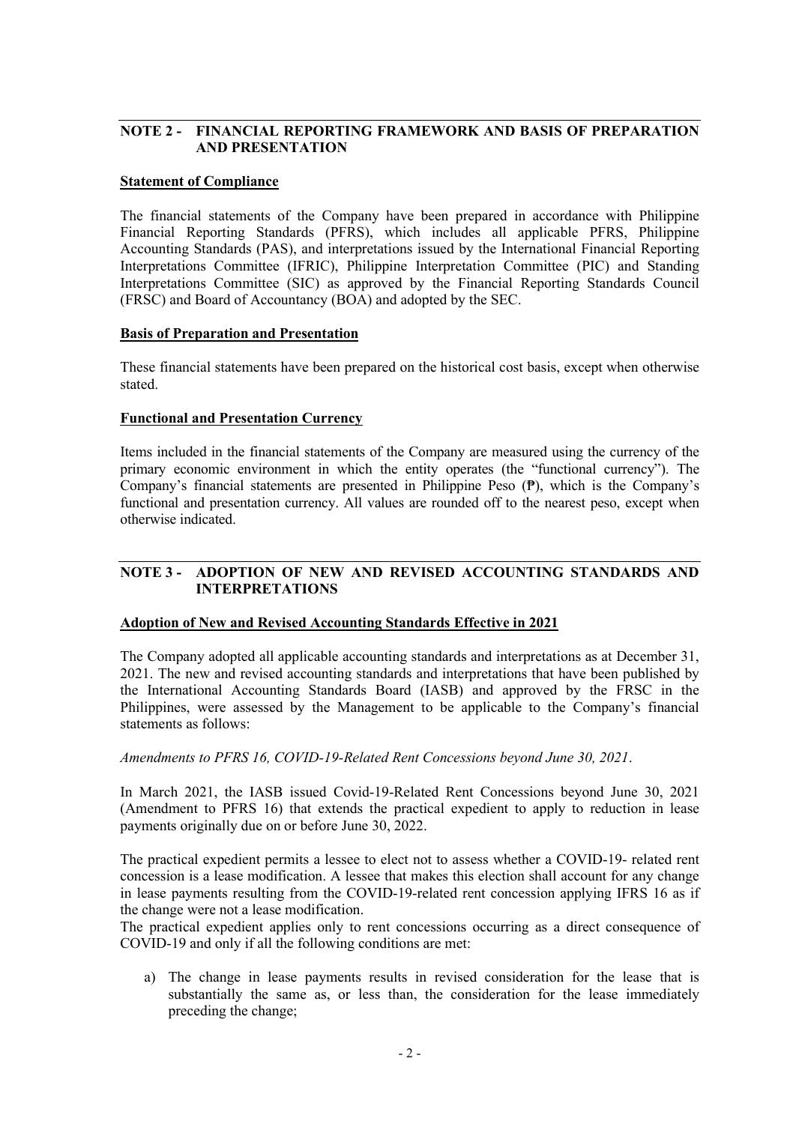# **NOTE 2 - FINANCIAL REPORTING FRAMEWORK AND BASIS OF PREPARATION AND PRESENTATION**

#### **Statement of Compliance**

The financial statements of the Company have been prepared in accordance with Philippine Financial Reporting Standards (PFRS), which includes all applicable PFRS, Philippine Accounting Standards (PAS), and interpretations issued by the International Financial Reporting Interpretations Committee (IFRIC), Philippine Interpretation Committee (PIC) and Standing Interpretations Committee (SIC) as approved by the Financial Reporting Standards Council (FRSC) and Board of Accountancy (BOA) and adopted by the SEC.

#### **Basis of Preparation and Presentation**

These financial statements have been prepared on the historical cost basis, except when otherwise stated.

#### **Functional and Presentation Currency**

Items included in the financial statements of the Company are measured using the currency of the primary economic environment in which the entity operates (the "functional currency"). The Company's financial statements are presented in Philippine Peso (₱), which is the Company's functional and presentation currency. All values are rounded off to the nearest peso, except when otherwise indicated.

#### **NOTE 3 - ADOPTION OF NEW AND REVISED ACCOUNTING STANDARDS AND INTERPRETATIONS**

#### **Adoption of New and Revised Accounting Standards Effective in 2021**

The Company adopted all applicable accounting standards and interpretations as at December 31, 2021. The new and revised accounting standards and interpretations that have been published by the International Accounting Standards Board (IASB) and approved by the FRSC in the Philippines, were assessed by the Management to be applicable to the Company's financial statements as follows:

*Amendments to PFRS 16, COVID-19-Related Rent Concessions beyond June 30, 2021*.

In March 2021, the IASB issued Covid-19-Related Rent Concessions beyond June 30, 2021 (Amendment to PFRS 16) that extends the practical expedient to apply to reduction in lease payments originally due on or before June 30, 2022.

The practical expedient permits a lessee to elect not to assess whether a COVID-19- related rent concession is a lease modification. A lessee that makes this election shall account for any change in lease payments resulting from the COVID-19-related rent concession applying IFRS 16 as if the change were not a lease modification.

The practical expedient applies only to rent concessions occurring as a direct consequence of COVID-19 and only if all the following conditions are met:

a) The change in lease payments results in revised consideration for the lease that is substantially the same as, or less than, the consideration for the lease immediately preceding the change;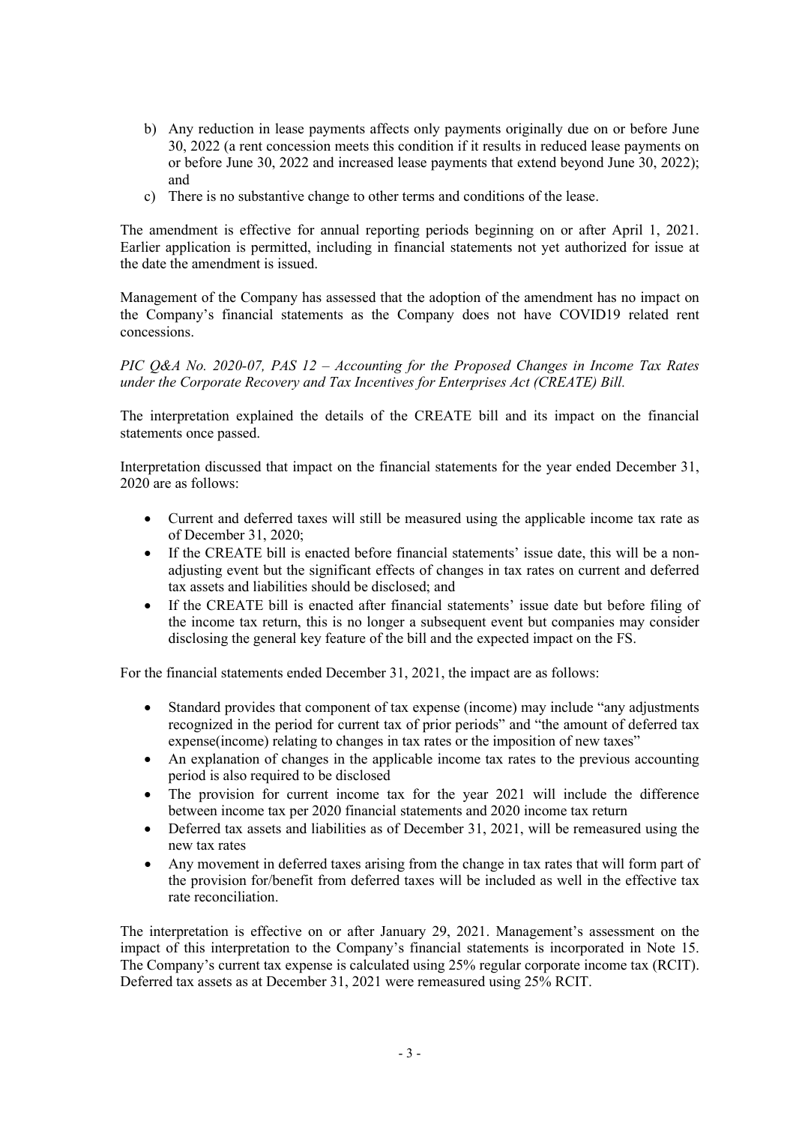- b) Any reduction in lease payments affects only payments originally due on or before June 30, 2022 (a rent concession meets this condition if it results in reduced lease payments on or before June 30, 2022 and increased lease payments that extend beyond June 30, 2022); and
- c) There is no substantive change to other terms and conditions of the lease.

The amendment is effective for annual reporting periods beginning on or after April 1, 2021. Earlier application is permitted, including in financial statements not yet authorized for issue at the date the amendment is issued.

Management of the Company has assessed that the adoption of the amendment has no impact on the Company's financial statements as the Company does not have COVID19 related rent concessions.

*PIC Q&A No. 2020-07, PAS 12 – Accounting for the Proposed Changes in Income Tax Rates under the Corporate Recovery and Tax Incentives for Enterprises Act (CREATE) Bill.* 

The interpretation explained the details of the CREATE bill and its impact on the financial statements once passed.

Interpretation discussed that impact on the financial statements for the year ended December 31, 2020 are as follows:

- Current and deferred taxes will still be measured using the applicable income tax rate as of December 31, 2020;
- If the CREATE bill is enacted before financial statements' issue date, this will be a nonadjusting event but the significant effects of changes in tax rates on current and deferred tax assets and liabilities should be disclosed; and
- If the CREATE bill is enacted after financial statements' issue date but before filing of the income tax return, this is no longer a subsequent event but companies may consider disclosing the general key feature of the bill and the expected impact on the FS.

For the financial statements ended December 31, 2021, the impact are as follows:

- Standard provides that component of tax expense (income) may include "any adjustments recognized in the period for current tax of prior periods" and "the amount of deferred tax expense(income) relating to changes in tax rates or the imposition of new taxes"
- An explanation of changes in the applicable income tax rates to the previous accounting period is also required to be disclosed
- The provision for current income tax for the year 2021 will include the difference between income tax per 2020 financial statements and 2020 income tax return
- Deferred tax assets and liabilities as of December 31, 2021, will be remeasured using the new tax rates
- Any movement in deferred taxes arising from the change in tax rates that will form part of the provision for/benefit from deferred taxes will be included as well in the effective tax rate reconciliation.

The interpretation is effective on or after January 29, 2021. Management's assessment on the impact of this interpretation to the Company's financial statements is incorporated in Note 15. The Company's current tax expense is calculated using 25% regular corporate income tax (RCIT). Deferred tax assets as at December 31, 2021 were remeasured using 25% RCIT.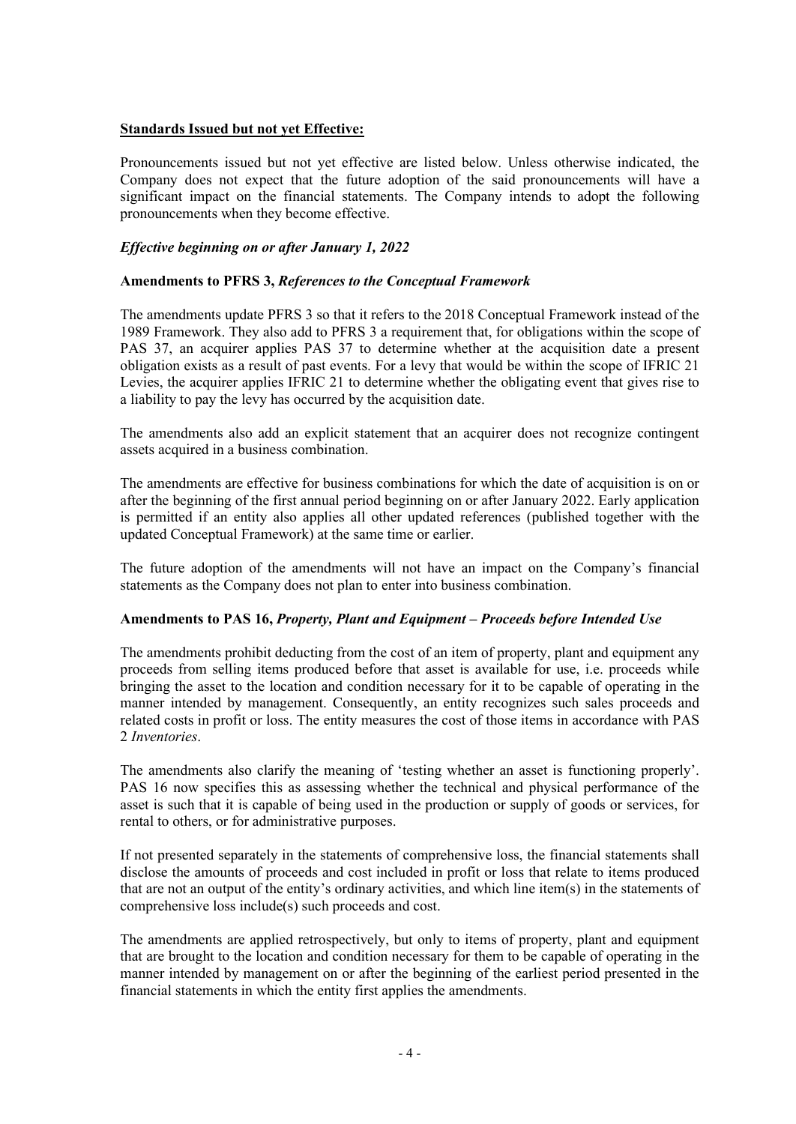### **Standards Issued but not yet Effective:**

Pronouncements issued but not yet effective are listed below. Unless otherwise indicated, the Company does not expect that the future adoption of the said pronouncements will have a significant impact on the financial statements. The Company intends to adopt the following pronouncements when they become effective.

# *Effective beginning on or after January 1, 2022*

#### **Amendments to PFRS 3,** *References to the Conceptual Framework*

The amendments update PFRS 3 so that it refers to the 2018 Conceptual Framework instead of the 1989 Framework. They also add to PFRS 3 a requirement that, for obligations within the scope of PAS 37, an acquirer applies PAS 37 to determine whether at the acquisition date a present obligation exists as a result of past events. For a levy that would be within the scope of IFRIC 21 Levies, the acquirer applies IFRIC 21 to determine whether the obligating event that gives rise to a liability to pay the levy has occurred by the acquisition date.

The amendments also add an explicit statement that an acquirer does not recognize contingent assets acquired in a business combination.

The amendments are effective for business combinations for which the date of acquisition is on or after the beginning of the first annual period beginning on or after January 2022. Early application is permitted if an entity also applies all other updated references (published together with the updated Conceptual Framework) at the same time or earlier.

The future adoption of the amendments will not have an impact on the Company's financial statements as the Company does not plan to enter into business combination.

#### **Amendments to PAS 16,** *Property, Plant and Equipment – Proceeds before Intended Use*

The amendments prohibit deducting from the cost of an item of property, plant and equipment any proceeds from selling items produced before that asset is available for use, i.e. proceeds while bringing the asset to the location and condition necessary for it to be capable of operating in the manner intended by management. Consequently, an entity recognizes such sales proceeds and related costs in profit or loss. The entity measures the cost of those items in accordance with PAS 2 *Inventories*.

The amendments also clarify the meaning of 'testing whether an asset is functioning properly'. PAS 16 now specifies this as assessing whether the technical and physical performance of the asset is such that it is capable of being used in the production or supply of goods or services, for rental to others, or for administrative purposes.

If not presented separately in the statements of comprehensive loss, the financial statements shall disclose the amounts of proceeds and cost included in profit or loss that relate to items produced that are not an output of the entity's ordinary activities, and which line item(s) in the statements of comprehensive loss include(s) such proceeds and cost.

The amendments are applied retrospectively, but only to items of property, plant and equipment that are brought to the location and condition necessary for them to be capable of operating in the manner intended by management on or after the beginning of the earliest period presented in the financial statements in which the entity first applies the amendments.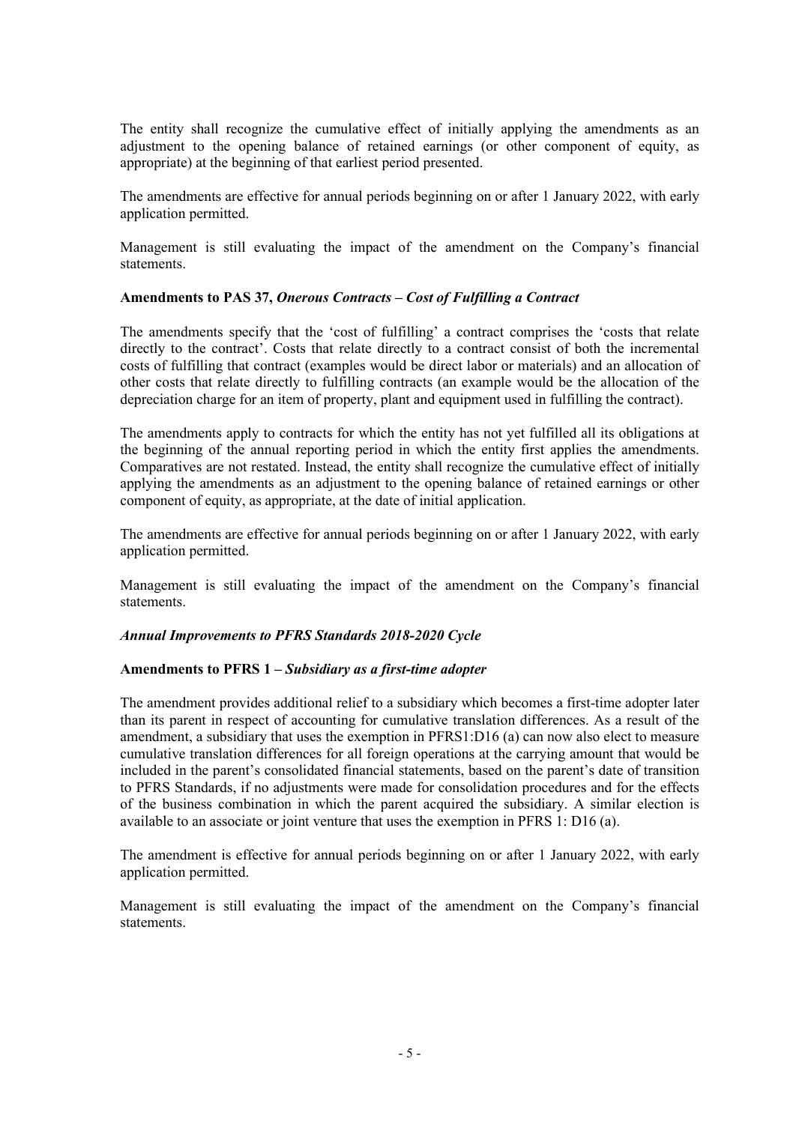The entity shall recognize the cumulative effect of initially applying the amendments as an adjustment to the opening balance of retained earnings (or other component of equity, as appropriate) at the beginning of that earliest period presented.

The amendments are effective for annual periods beginning on or after 1 January 2022, with early application permitted.

Management is still evaluating the impact of the amendment on the Company's financial statements.

#### **Amendments to PAS 37,** *Onerous Contracts – Cost of Fulfilling a Contract*

The amendments specify that the 'cost of fulfilling' a contract comprises the 'costs that relate directly to the contract'. Costs that relate directly to a contract consist of both the incremental costs of fulfilling that contract (examples would be direct labor or materials) and an allocation of other costs that relate directly to fulfilling contracts (an example would be the allocation of the depreciation charge for an item of property, plant and equipment used in fulfilling the contract).

The amendments apply to contracts for which the entity has not yet fulfilled all its obligations at the beginning of the annual reporting period in which the entity first applies the amendments. Comparatives are not restated. Instead, the entity shall recognize the cumulative effect of initially applying the amendments as an adjustment to the opening balance of retained earnings or other component of equity, as appropriate, at the date of initial application.

The amendments are effective for annual periods beginning on or after 1 January 2022, with early application permitted.

Management is still evaluating the impact of the amendment on the Company's financial statements.

#### *Annual Improvements to PFRS Standards 2018-2020 Cycle*

#### **Amendments to PFRS 1 –** *Subsidiary as a first-time adopter*

The amendment provides additional relief to a subsidiary which becomes a first-time adopter later than its parent in respect of accounting for cumulative translation differences. As a result of the amendment, a subsidiary that uses the exemption in PFRS1:D16 (a) can now also elect to measure cumulative translation differences for all foreign operations at the carrying amount that would be included in the parent's consolidated financial statements, based on the parent's date of transition to PFRS Standards, if no adjustments were made for consolidation procedures and for the effects of the business combination in which the parent acquired the subsidiary. A similar election is available to an associate or joint venture that uses the exemption in PFRS 1: D16 (a).

The amendment is effective for annual periods beginning on or after 1 January 2022, with early application permitted.

Management is still evaluating the impact of the amendment on the Company's financial statements.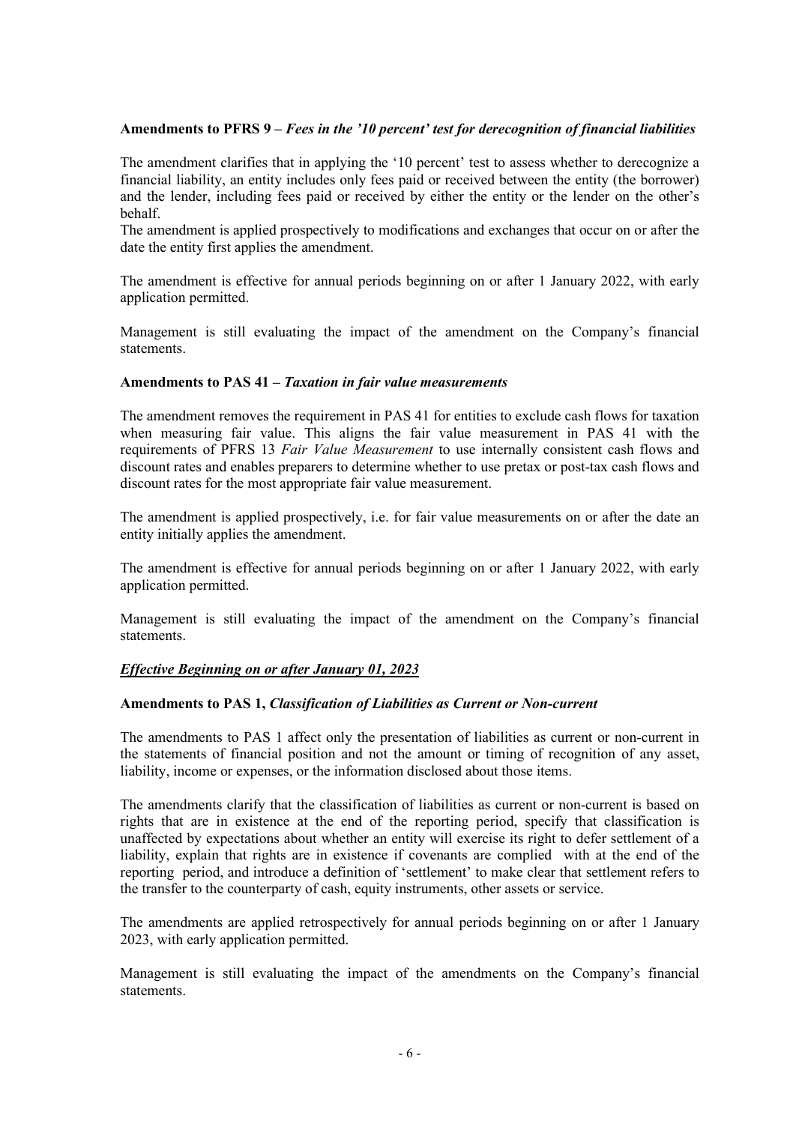### **Amendments to PFRS 9 –** *Fees in the '10 percent' test for derecognition of financial liabilities*

The amendment clarifies that in applying the '10 percent' test to assess whether to derecognize a financial liability, an entity includes only fees paid or received between the entity (the borrower) and the lender, including fees paid or received by either the entity or the lender on the other's behalf.

The amendment is applied prospectively to modifications and exchanges that occur on or after the date the entity first applies the amendment.

The amendment is effective for annual periods beginning on or after 1 January 2022, with early application permitted.

Management is still evaluating the impact of the amendment on the Company's financial statements.

#### **Amendments to PAS 41 –** *Taxation in fair value measurements*

The amendment removes the requirement in PAS 41 for entities to exclude cash flows for taxation when measuring fair value. This aligns the fair value measurement in PAS 41 with the requirements of PFRS 13 *Fair Value Measurement* to use internally consistent cash flows and discount rates and enables preparers to determine whether to use pretax or post-tax cash flows and discount rates for the most appropriate fair value measurement.

The amendment is applied prospectively, i.e. for fair value measurements on or after the date an entity initially applies the amendment.

The amendment is effective for annual periods beginning on or after 1 January 2022, with early application permitted.

Management is still evaluating the impact of the amendment on the Company's financial statements.

#### *Effective Beginning on or after January 01, 2023*

#### **Amendments to PAS 1,** *Classification of Liabilities as Current or Non-current*

The amendments to PAS 1 affect only the presentation of liabilities as current or non-current in the statements of financial position and not the amount or timing of recognition of any asset, liability, income or expenses, or the information disclosed about those items.

The amendments clarify that the classification of liabilities as current or non-current is based on rights that are in existence at the end of the reporting period, specify that classification is unaffected by expectations about whether an entity will exercise its right to defer settlement of a liability, explain that rights are in existence if covenants are complied with at the end of the reporting period, and introduce a definition of 'settlement' to make clear that settlement refers to the transfer to the counterparty of cash, equity instruments, other assets or service.

The amendments are applied retrospectively for annual periods beginning on or after 1 January 2023, with early application permitted.

Management is still evaluating the impact of the amendments on the Company's financial statements.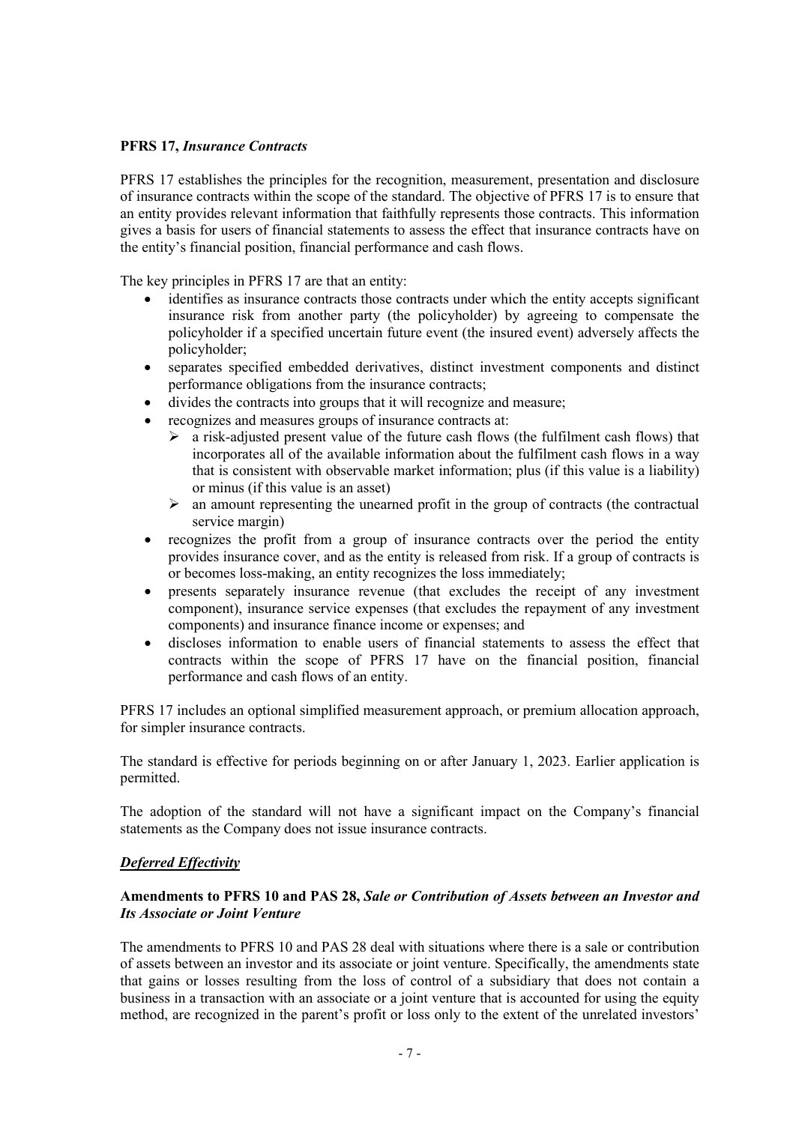#### **PFRS 17,** *Insurance Contracts*

PFRS 17 establishes the principles for the recognition, measurement, presentation and disclosure of insurance contracts within the scope of the standard. The objective of PFRS 17 is to ensure that an entity provides relevant information that faithfully represents those contracts. This information gives a basis for users of financial statements to assess the effect that insurance contracts have on the entity's financial position, financial performance and cash flows.

The key principles in PFRS 17 are that an entity:

- identifies as insurance contracts those contracts under which the entity accepts significant insurance risk from another party (the policyholder) by agreeing to compensate the policyholder if a specified uncertain future event (the insured event) adversely affects the policyholder;
- separates specified embedded derivatives, distinct investment components and distinct performance obligations from the insurance contracts;
- divides the contracts into groups that it will recognize and measure;
- recognizes and measures groups of insurance contracts at:
	- $\triangleright$  a risk-adjusted present value of the future cash flows (the fulfilment cash flows) that incorporates all of the available information about the fulfilment cash flows in a way that is consistent with observable market information; plus (if this value is a liability) or minus (if this value is an asset)
	- $\triangleright$  an amount representing the unearned profit in the group of contracts (the contractual service margin)
- recognizes the profit from a group of insurance contracts over the period the entity provides insurance cover, and as the entity is released from risk. If a group of contracts is or becomes loss-making, an entity recognizes the loss immediately;
- presents separately insurance revenue (that excludes the receipt of any investment component), insurance service expenses (that excludes the repayment of any investment components) and insurance finance income or expenses; and
- discloses information to enable users of financial statements to assess the effect that contracts within the scope of PFRS 17 have on the financial position, financial performance and cash flows of an entity.

PFRS 17 includes an optional simplified measurement approach, or premium allocation approach, for simpler insurance contracts.

The standard is effective for periods beginning on or after January 1, 2023. Earlier application is permitted.

The adoption of the standard will not have a significant impact on the Company's financial statements as the Company does not issue insurance contracts.

#### *Deferred Effectivity*

# **Amendments to PFRS 10 and PAS 28,** *Sale or Contribution of Assets between an Investor and Its Associate or Joint Venture*

The amendments to PFRS 10 and PAS 28 deal with situations where there is a sale or contribution of assets between an investor and its associate or joint venture. Specifically, the amendments state that gains or losses resulting from the loss of control of a subsidiary that does not contain a business in a transaction with an associate or a joint venture that is accounted for using the equity method, are recognized in the parent's profit or loss only to the extent of the unrelated investors'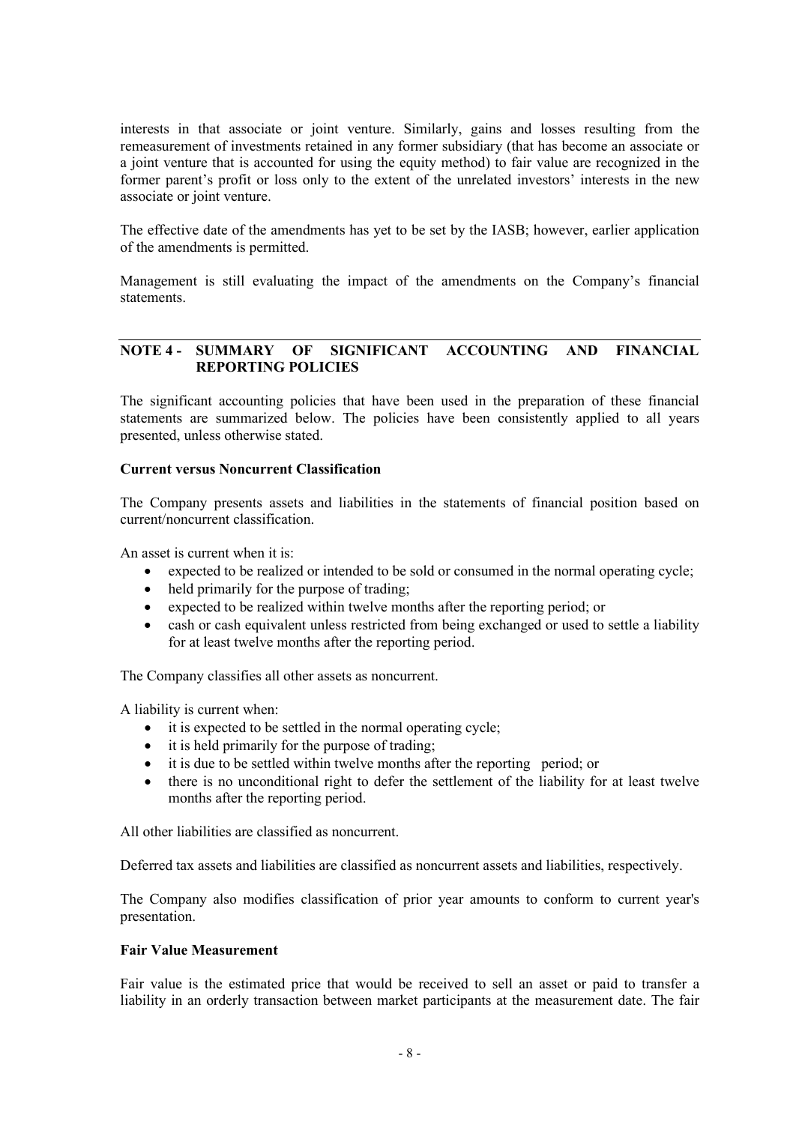interests in that associate or joint venture. Similarly, gains and losses resulting from the remeasurement of investments retained in any former subsidiary (that has become an associate or a joint venture that is accounted for using the equity method) to fair value are recognized in the former parent's profit or loss only to the extent of the unrelated investors' interests in the new associate or joint venture.

The effective date of the amendments has yet to be set by the IASB; however, earlier application of the amendments is permitted.

Management is still evaluating the impact of the amendments on the Company's financial statements.

# **NOTE 4 - SUMMARY OF SIGNIFICANT ACCOUNTING AND FINANCIAL REPORTING POLICIES**

The significant accounting policies that have been used in the preparation of these financial statements are summarized below. The policies have been consistently applied to all years presented, unless otherwise stated.

#### **Current versus Noncurrent Classification**

The Company presents assets and liabilities in the statements of financial position based on current/noncurrent classification.

An asset is current when it is:

- expected to be realized or intended to be sold or consumed in the normal operating cycle;
- held primarily for the purpose of trading;
- expected to be realized within twelve months after the reporting period; or
- cash or cash equivalent unless restricted from being exchanged or used to settle a liability for at least twelve months after the reporting period.

The Company classifies all other assets as noncurrent.

A liability is current when:

- it is expected to be settled in the normal operating cycle;
- it is held primarily for the purpose of trading;
- it is due to be settled within twelve months after the reporting period; or
- there is no unconditional right to defer the settlement of the liability for at least twelve months after the reporting period.

All other liabilities are classified as noncurrent.

Deferred tax assets and liabilities are classified as noncurrent assets and liabilities, respectively.

The Company also modifies classification of prior year amounts to conform to current year's presentation.

#### **Fair Value Measurement**

Fair value is the estimated price that would be received to sell an asset or paid to transfer a liability in an orderly transaction between market participants at the measurement date. The fair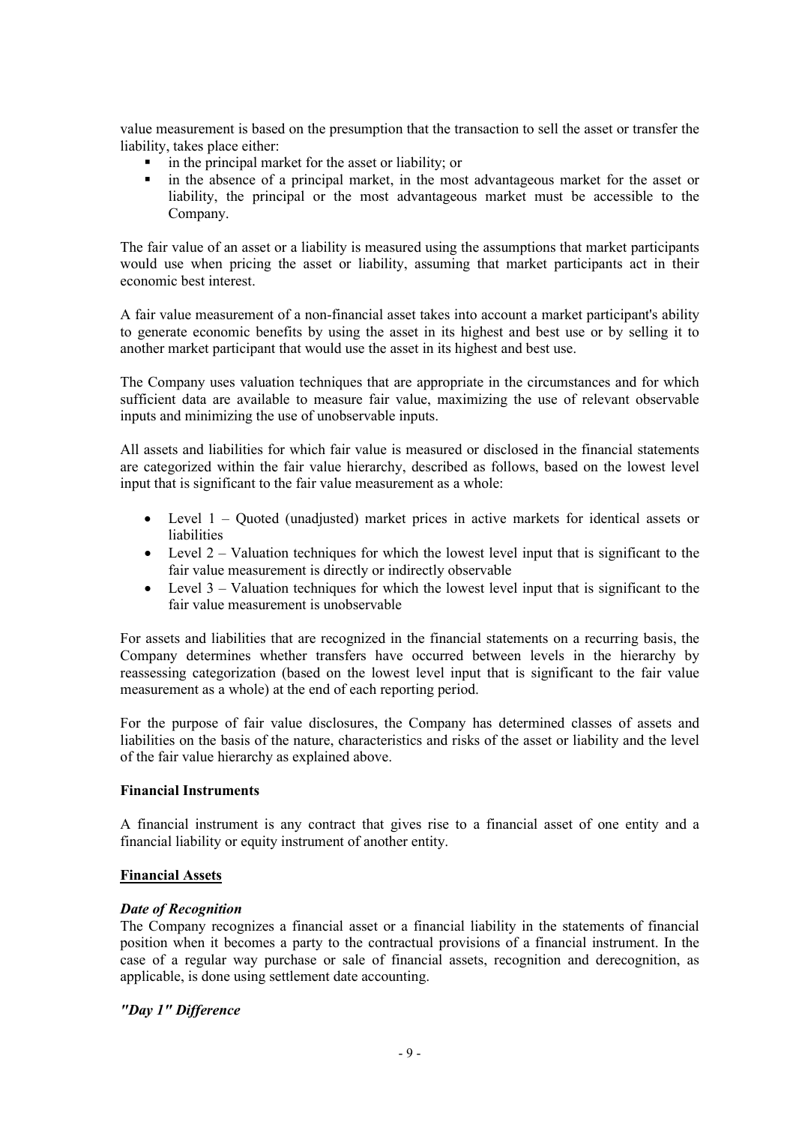value measurement is based on the presumption that the transaction to sell the asset or transfer the liability, takes place either:

- in the principal market for the asset or liability; or<br>in the absence of a principal market, in the most
- in the absence of a principal market, in the most advantageous market for the asset or liability, the principal or the most advantageous market must be accessible to the Company.

The fair value of an asset or a liability is measured using the assumptions that market participants would use when pricing the asset or liability, assuming that market participants act in their economic best interest.

A fair value measurement of a non-financial asset takes into account a market participant's ability to generate economic benefits by using the asset in its highest and best use or by selling it to another market participant that would use the asset in its highest and best use.

The Company uses valuation techniques that are appropriate in the circumstances and for which sufficient data are available to measure fair value, maximizing the use of relevant observable inputs and minimizing the use of unobservable inputs.

All assets and liabilities for which fair value is measured or disclosed in the financial statements are categorized within the fair value hierarchy, described as follows, based on the lowest level input that is significant to the fair value measurement as a whole:

- Level 1 Quoted (unadjusted) market prices in active markets for identical assets or liabilities
- Level  $2 -$  Valuation techniques for which the lowest level input that is significant to the fair value measurement is directly or indirectly observable
- Level  $3 -$  Valuation techniques for which the lowest level input that is significant to the fair value measurement is unobservable

For assets and liabilities that are recognized in the financial statements on a recurring basis, the Company determines whether transfers have occurred between levels in the hierarchy by reassessing categorization (based on the lowest level input that is significant to the fair value measurement as a whole) at the end of each reporting period.

For the purpose of fair value disclosures, the Company has determined classes of assets and liabilities on the basis of the nature, characteristics and risks of the asset or liability and the level of the fair value hierarchy as explained above.

#### **Financial Instruments**

A financial instrument is any contract that gives rise to a financial asset of one entity and a financial liability or equity instrument of another entity.

#### **Financial Assets**

#### *Date of Recognition*

The Company recognizes a financial asset or a financial liability in the statements of financial position when it becomes a party to the contractual provisions of a financial instrument. In the case of a regular way purchase or sale of financial assets, recognition and derecognition, as applicable, is done using settlement date accounting.

# *"Day 1" Difference*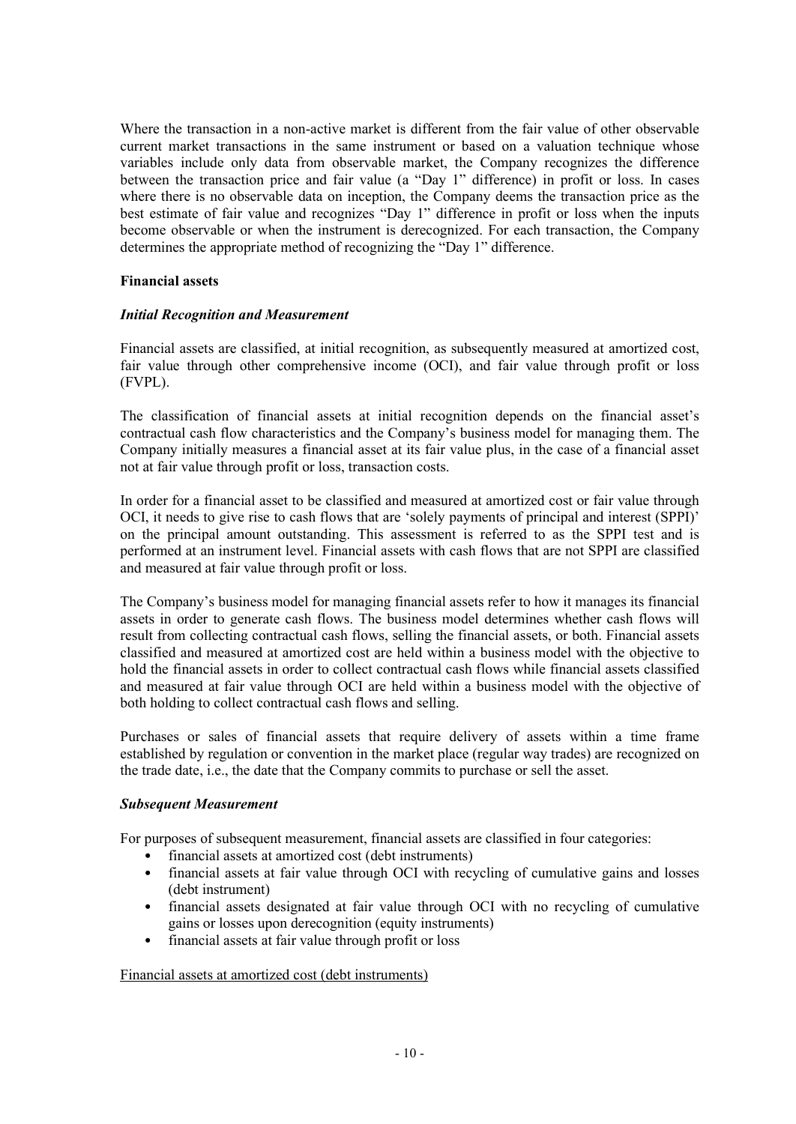Where the transaction in a non-active market is different from the fair value of other observable current market transactions in the same instrument or based on a valuation technique whose variables include only data from observable market, the Company recognizes the difference between the transaction price and fair value (a "Day 1" difference) in profit or loss. In cases where there is no observable data on inception, the Company deems the transaction price as the best estimate of fair value and recognizes "Day 1" difference in profit or loss when the inputs become observable or when the instrument is derecognized. For each transaction, the Company determines the appropriate method of recognizing the "Day 1" difference.

#### **Financial assets**

# *Initial Recognition and Measurement*

Financial assets are classified, at initial recognition, as subsequently measured at amortized cost, fair value through other comprehensive income (OCI), and fair value through profit or loss (FVPL).

The classification of financial assets at initial recognition depends on the financial asset's contractual cash flow characteristics and the Company's business model for managing them. The Company initially measures a financial asset at its fair value plus, in the case of a financial asset not at fair value through profit or loss, transaction costs.

In order for a financial asset to be classified and measured at amortized cost or fair value through OCI, it needs to give rise to cash flows that are 'solely payments of principal and interest (SPPI)' on the principal amount outstanding. This assessment is referred to as the SPPI test and is performed at an instrument level. Financial assets with cash flows that are not SPPI are classified and measured at fair value through profit or loss.

The Company's business model for managing financial assets refer to how it manages its financial assets in order to generate cash flows. The business model determines whether cash flows will result from collecting contractual cash flows, selling the financial assets, or both. Financial assets classified and measured at amortized cost are held within a business model with the objective to hold the financial assets in order to collect contractual cash flows while financial assets classified and measured at fair value through OCI are held within a business model with the objective of both holding to collect contractual cash flows and selling.

Purchases or sales of financial assets that require delivery of assets within a time frame established by regulation or convention in the market place (regular way trades) are recognized on the trade date, i.e., the date that the Company commits to purchase or sell the asset.

#### *Subsequent Measurement*

For purposes of subsequent measurement, financial assets are classified in four categories:

- financial assets at amortized cost (debt instruments)
- financial assets at fair value through OCI with recycling of cumulative gains and losses (debt instrument)
- financial assets designated at fair value through OCI with no recycling of cumulative gains or losses upon derecognition (equity instruments)
- financial assets at fair value through profit or loss

#### Financial assets at amortized cost (debt instruments)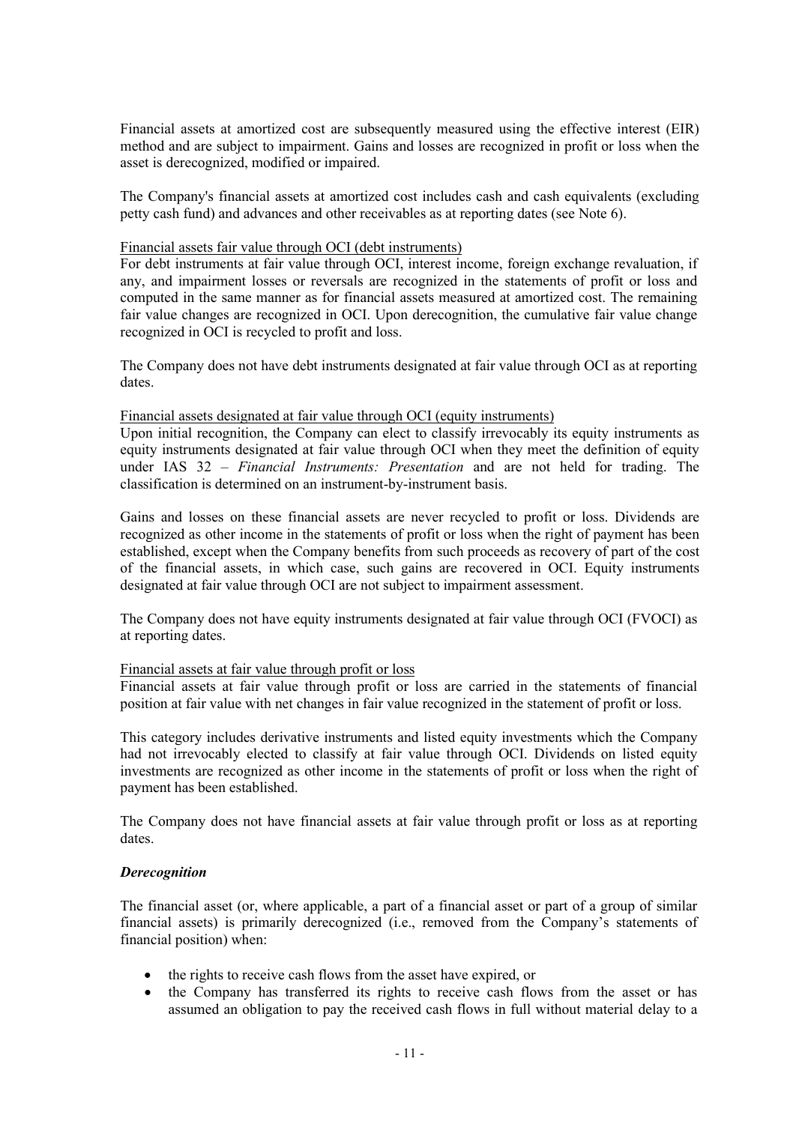Financial assets at amortized cost are subsequently measured using the effective interest (EIR) method and are subject to impairment. Gains and losses are recognized in profit or loss when the asset is derecognized, modified or impaired.

The Company's financial assets at amortized cost includes cash and cash equivalents (excluding petty cash fund) and advances and other receivables as at reporting dates (see Note 6).

#### Financial assets fair value through OCI (debt instruments)

For debt instruments at fair value through OCI, interest income, foreign exchange revaluation, if any, and impairment losses or reversals are recognized in the statements of profit or loss and computed in the same manner as for financial assets measured at amortized cost. The remaining fair value changes are recognized in OCI. Upon derecognition, the cumulative fair value change recognized in OCI is recycled to profit and loss.

The Company does not have debt instruments designated at fair value through OCI as at reporting dates.

#### Financial assets designated at fair value through OCI (equity instruments)

Upon initial recognition, the Company can elect to classify irrevocably its equity instruments as equity instruments designated at fair value through OCI when they meet the definition of equity under IAS 32 – *Financial Instruments: Presentation* and are not held for trading. The classification is determined on an instrument-by-instrument basis.

Gains and losses on these financial assets are never recycled to profit or loss. Dividends are recognized as other income in the statements of profit or loss when the right of payment has been established, except when the Company benefits from such proceeds as recovery of part of the cost of the financial assets, in which case, such gains are recovered in OCI. Equity instruments designated at fair value through OCI are not subject to impairment assessment.

The Company does not have equity instruments designated at fair value through OCI (FVOCI) as at reporting dates.

#### Financial assets at fair value through profit or loss

Financial assets at fair value through profit or loss are carried in the statements of financial position at fair value with net changes in fair value recognized in the statement of profit or loss.

This category includes derivative instruments and listed equity investments which the Company had not irrevocably elected to classify at fair value through OCI. Dividends on listed equity investments are recognized as other income in the statements of profit or loss when the right of payment has been established.

The Company does not have financial assets at fair value through profit or loss as at reporting dates.

#### *Derecognition*

The financial asset (or, where applicable, a part of a financial asset or part of a group of similar financial assets) is primarily derecognized (i.e., removed from the Company's statements of financial position) when:

- the rights to receive cash flows from the asset have expired, or
- the Company has transferred its rights to receive cash flows from the asset or has assumed an obligation to pay the received cash flows in full without material delay to a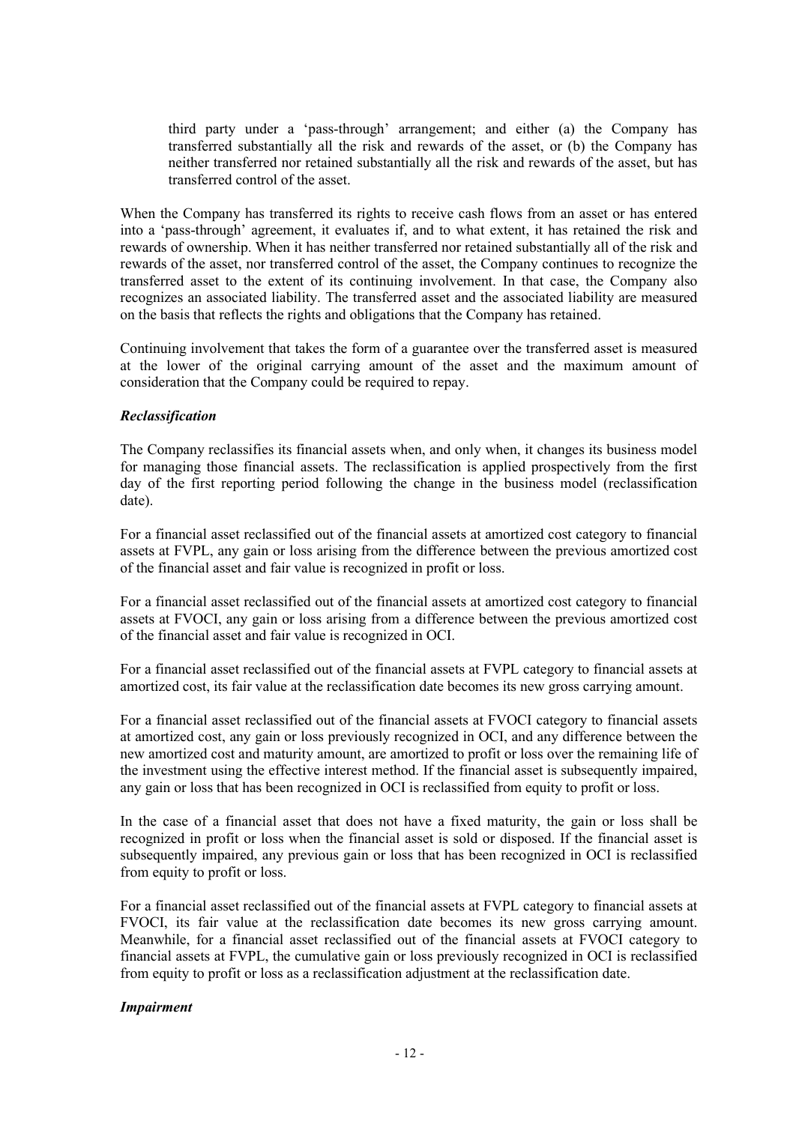third party under a 'pass-through' arrangement; and either (a) the Company has transferred substantially all the risk and rewards of the asset, or (b) the Company has neither transferred nor retained substantially all the risk and rewards of the asset, but has transferred control of the asset.

When the Company has transferred its rights to receive cash flows from an asset or has entered into a 'pass-through' agreement, it evaluates if, and to what extent, it has retained the risk and rewards of ownership. When it has neither transferred nor retained substantially all of the risk and rewards of the asset, nor transferred control of the asset, the Company continues to recognize the transferred asset to the extent of its continuing involvement. In that case, the Company also recognizes an associated liability. The transferred asset and the associated liability are measured on the basis that reflects the rights and obligations that the Company has retained.

Continuing involvement that takes the form of a guarantee over the transferred asset is measured at the lower of the original carrying amount of the asset and the maximum amount of consideration that the Company could be required to repay.

# *Reclassification*

The Company reclassifies its financial assets when, and only when, it changes its business model for managing those financial assets. The reclassification is applied prospectively from the first day of the first reporting period following the change in the business model (reclassification date).

For a financial asset reclassified out of the financial assets at amortized cost category to financial assets at FVPL, any gain or loss arising from the difference between the previous amortized cost of the financial asset and fair value is recognized in profit or loss.

For a financial asset reclassified out of the financial assets at amortized cost category to financial assets at FVOCI, any gain or loss arising from a difference between the previous amortized cost of the financial asset and fair value is recognized in OCI.

For a financial asset reclassified out of the financial assets at FVPL category to financial assets at amortized cost, its fair value at the reclassification date becomes its new gross carrying amount.

For a financial asset reclassified out of the financial assets at FVOCI category to financial assets at amortized cost, any gain or loss previously recognized in OCI, and any difference between the new amortized cost and maturity amount, are amortized to profit or loss over the remaining life of the investment using the effective interest method. If the financial asset is subsequently impaired, any gain or loss that has been recognized in OCI is reclassified from equity to profit or loss.

In the case of a financial asset that does not have a fixed maturity, the gain or loss shall be recognized in profit or loss when the financial asset is sold or disposed. If the financial asset is subsequently impaired, any previous gain or loss that has been recognized in OCI is reclassified from equity to profit or loss.

For a financial asset reclassified out of the financial assets at FVPL category to financial assets at FVOCI, its fair value at the reclassification date becomes its new gross carrying amount. Meanwhile, for a financial asset reclassified out of the financial assets at FVOCI category to financial assets at FVPL, the cumulative gain or loss previously recognized in OCI is reclassified from equity to profit or loss as a reclassification adjustment at the reclassification date.

#### *Impairment*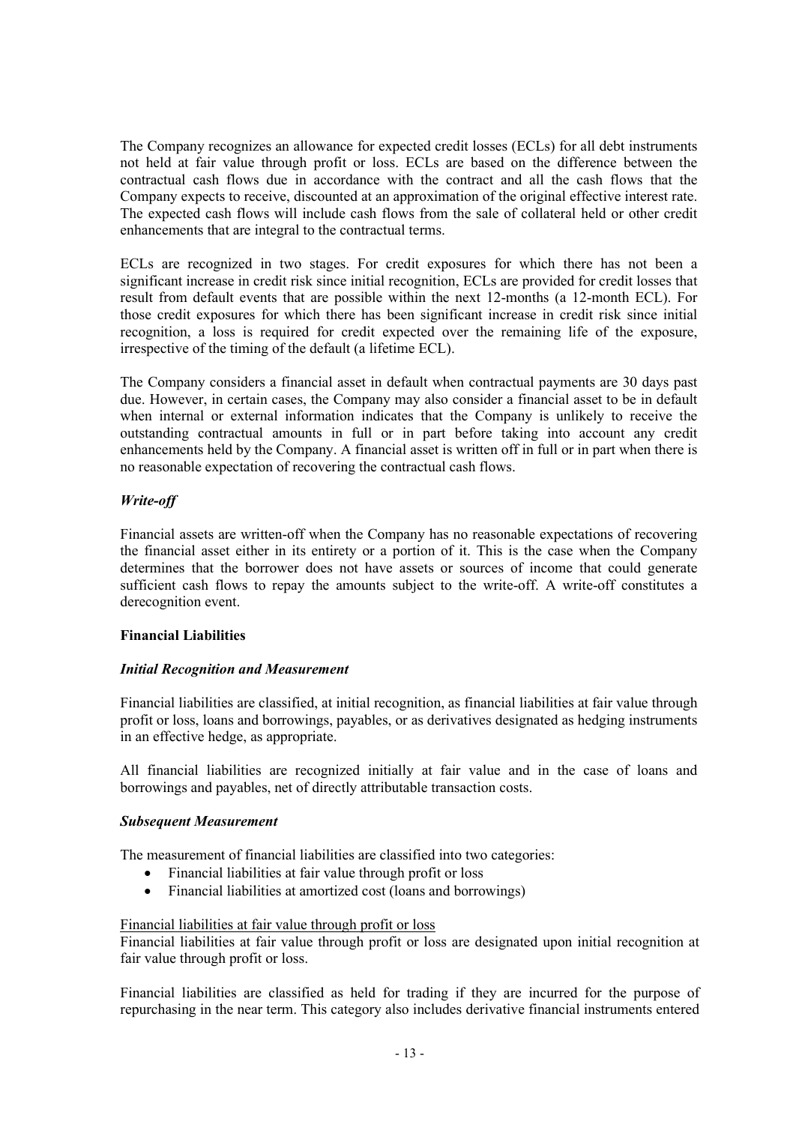The Company recognizes an allowance for expected credit losses (ECLs) for all debt instruments not held at fair value through profit or loss. ECLs are based on the difference between the contractual cash flows due in accordance with the contract and all the cash flows that the Company expects to receive, discounted at an approximation of the original effective interest rate. The expected cash flows will include cash flows from the sale of collateral held or other credit enhancements that are integral to the contractual terms.

ECLs are recognized in two stages. For credit exposures for which there has not been a significant increase in credit risk since initial recognition, ECLs are provided for credit losses that result from default events that are possible within the next 12-months (a 12-month ECL). For those credit exposures for which there has been significant increase in credit risk since initial recognition, a loss is required for credit expected over the remaining life of the exposure, irrespective of the timing of the default (a lifetime ECL).

The Company considers a financial asset in default when contractual payments are 30 days past due. However, in certain cases, the Company may also consider a financial asset to be in default when internal or external information indicates that the Company is unlikely to receive the outstanding contractual amounts in full or in part before taking into account any credit enhancements held by the Company. A financial asset is written off in full or in part when there is no reasonable expectation of recovering the contractual cash flows.

# *Write-off*

Financial assets are written-off when the Company has no reasonable expectations of recovering the financial asset either in its entirety or a portion of it. This is the case when the Company determines that the borrower does not have assets or sources of income that could generate sufficient cash flows to repay the amounts subject to the write-off. A write-off constitutes a derecognition event.

#### **Financial Liabilities**

# *Initial Recognition and Measurement*

Financial liabilities are classified, at initial recognition, as financial liabilities at fair value through profit or loss, loans and borrowings, payables, or as derivatives designated as hedging instruments in an effective hedge, as appropriate.

All financial liabilities are recognized initially at fair value and in the case of loans and borrowings and payables, net of directly attributable transaction costs.

#### *Subsequent Measurement*

The measurement of financial liabilities are classified into two categories:

- Financial liabilities at fair value through profit or loss
- Financial liabilities at amortized cost (loans and borrowings)

#### Financial liabilities at fair value through profit or loss

Financial liabilities at fair value through profit or loss are designated upon initial recognition at fair value through profit or loss.

Financial liabilities are classified as held for trading if they are incurred for the purpose of repurchasing in the near term. This category also includes derivative financial instruments entered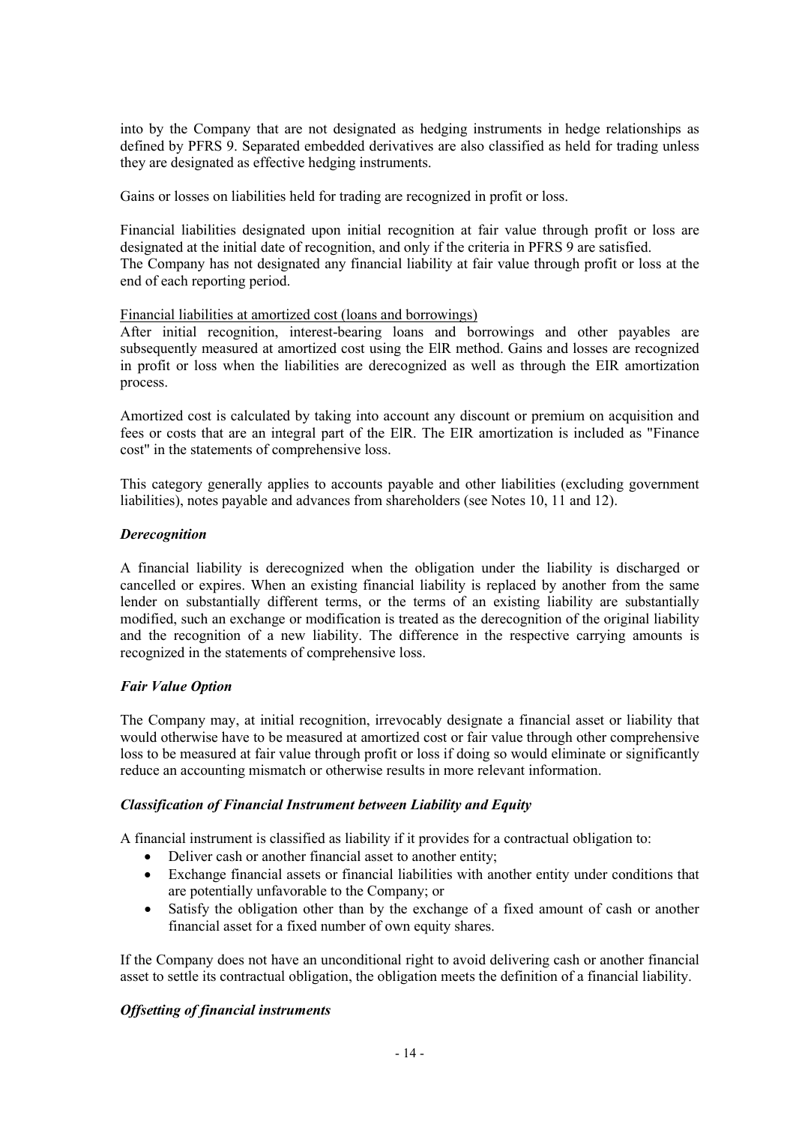into by the Company that are not designated as hedging instruments in hedge relationships as defined by PFRS 9. Separated embedded derivatives are also classified as held for trading unless they are designated as effective hedging instruments.

Gains or losses on liabilities held for trading are recognized in profit or loss.

Financial liabilities designated upon initial recognition at fair value through profit or loss are designated at the initial date of recognition, and only if the criteria in PFRS 9 are satisfied. The Company has not designated any financial liability at fair value through profit or loss at the end of each reporting period.

# Financial liabilities at amortized cost (loans and borrowings)

After initial recognition, interest-bearing loans and borrowings and other payables are subsequently measured at amortized cost using the ElR method. Gains and losses are recognized in profit or loss when the liabilities are derecognized as well as through the EIR amortization process.

Amortized cost is calculated by taking into account any discount or premium on acquisition and fees or costs that are an integral part of the ElR. The EIR amortization is included as "Finance cost" in the statements of comprehensive loss.

This category generally applies to accounts payable and other liabilities (excluding government liabilities), notes payable and advances from shareholders (see Notes 10, 11 and 12).

# *Derecognition*

A financial liability is derecognized when the obligation under the liability is discharged or cancelled or expires. When an existing financial liability is replaced by another from the same lender on substantially different terms, or the terms of an existing liability are substantially modified, such an exchange or modification is treated as the derecognition of the original liability and the recognition of a new liability. The difference in the respective carrying amounts is recognized in the statements of comprehensive loss.

# *Fair Value Option*

The Company may, at initial recognition, irrevocably designate a financial asset or liability that would otherwise have to be measured at amortized cost or fair value through other comprehensive loss to be measured at fair value through profit or loss if doing so would eliminate or significantly reduce an accounting mismatch or otherwise results in more relevant information.

#### *Classification of Financial Instrument between Liability and Equity*

A financial instrument is classified as liability if it provides for a contractual obligation to:

- Deliver cash or another financial asset to another entity;
- Exchange financial assets or financial liabilities with another entity under conditions that are potentially unfavorable to the Company; or
- Satisfy the obligation other than by the exchange of a fixed amount of cash or another financial asset for a fixed number of own equity shares.

If the Company does not have an unconditional right to avoid delivering cash or another financial asset to settle its contractual obligation, the obligation meets the definition of a financial liability.

# *Offsetting of financial instruments*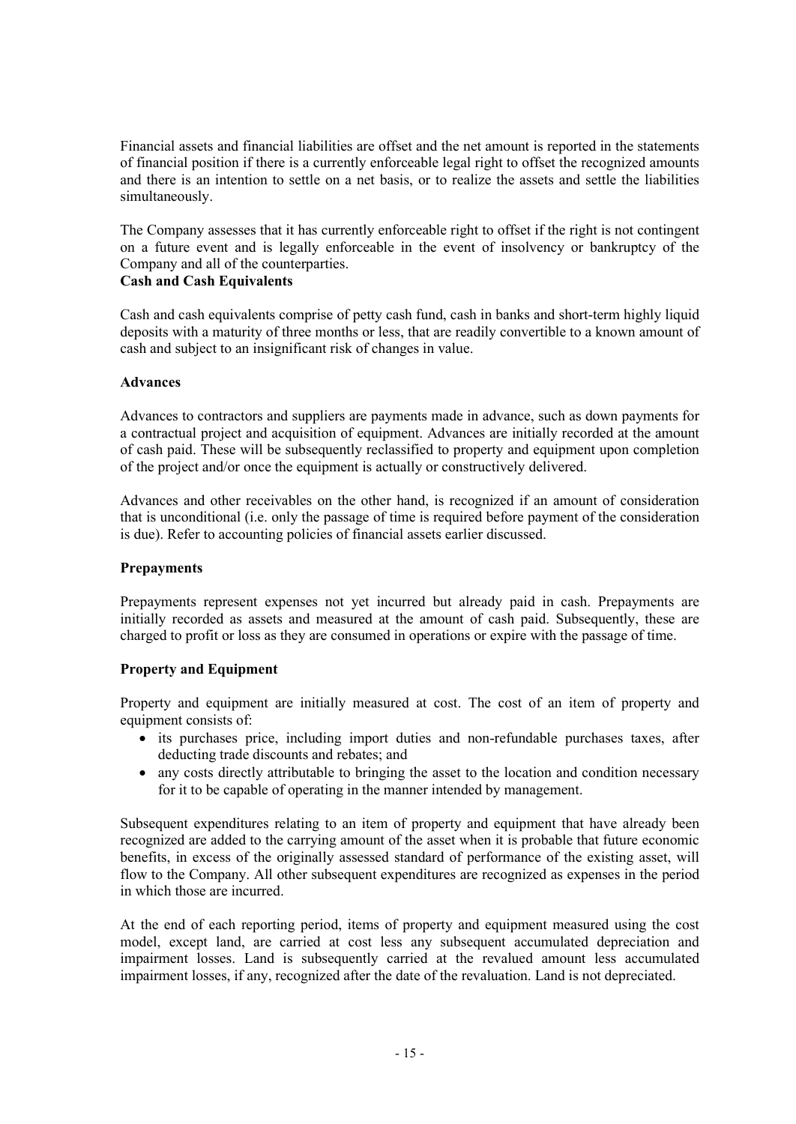Financial assets and financial liabilities are offset and the net amount is reported in the statements of financial position if there is a currently enforceable legal right to offset the recognized amounts and there is an intention to settle on a net basis, or to realize the assets and settle the liabilities simultaneously.

The Company assesses that it has currently enforceable right to offset if the right is not contingent on a future event and is legally enforceable in the event of insolvency or bankruptcy of the Company and all of the counterparties.

# **Cash and Cash Equivalents**

Cash and cash equivalents comprise of petty cash fund, cash in banks and short-term highly liquid deposits with a maturity of three months or less, that are readily convertible to a known amount of cash and subject to an insignificant risk of changes in value.

# **Advances**

Advances to contractors and suppliers are payments made in advance, such as down payments for a contractual project and acquisition of equipment. Advances are initially recorded at the amount of cash paid. These will be subsequently reclassified to property and equipment upon completion of the project and/or once the equipment is actually or constructively delivered.

Advances and other receivables on the other hand, is recognized if an amount of consideration that is unconditional (i.e. only the passage of time is required before payment of the consideration is due). Refer to accounting policies of financial assets earlier discussed.

# **Prepayments**

Prepayments represent expenses not yet incurred but already paid in cash. Prepayments are initially recorded as assets and measured at the amount of cash paid. Subsequently, these are charged to profit or loss as they are consumed in operations or expire with the passage of time.

# **Property and Equipment**

Property and equipment are initially measured at cost. The cost of an item of property and equipment consists of:

- its purchases price, including import duties and non-refundable purchases taxes, after deducting trade discounts and rebates; and
- any costs directly attributable to bringing the asset to the location and condition necessary for it to be capable of operating in the manner intended by management.

Subsequent expenditures relating to an item of property and equipment that have already been recognized are added to the carrying amount of the asset when it is probable that future economic benefits, in excess of the originally assessed standard of performance of the existing asset, will flow to the Company. All other subsequent expenditures are recognized as expenses in the period in which those are incurred.

At the end of each reporting period, items of property and equipment measured using the cost model, except land, are carried at cost less any subsequent accumulated depreciation and impairment losses. Land is subsequently carried at the revalued amount less accumulated impairment losses, if any, recognized after the date of the revaluation. Land is not depreciated.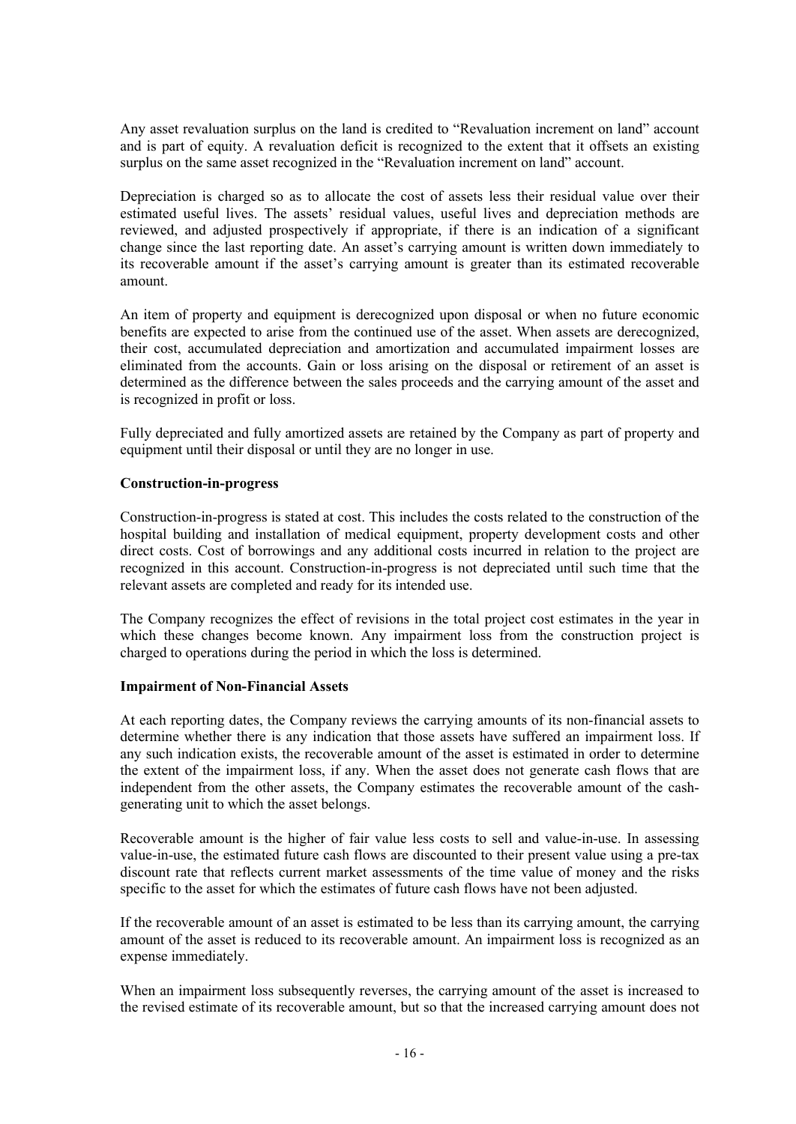Any asset revaluation surplus on the land is credited to "Revaluation increment on land" account and is part of equity. A revaluation deficit is recognized to the extent that it offsets an existing surplus on the same asset recognized in the "Revaluation increment on land" account.

Depreciation is charged so as to allocate the cost of assets less their residual value over their estimated useful lives. The assets' residual values, useful lives and depreciation methods are reviewed, and adjusted prospectively if appropriate, if there is an indication of a significant change since the last reporting date. An asset's carrying amount is written down immediately to its recoverable amount if the asset's carrying amount is greater than its estimated recoverable amount.

An item of property and equipment is derecognized upon disposal or when no future economic benefits are expected to arise from the continued use of the asset. When assets are derecognized, their cost, accumulated depreciation and amortization and accumulated impairment losses are eliminated from the accounts. Gain or loss arising on the disposal or retirement of an asset is determined as the difference between the sales proceeds and the carrying amount of the asset and is recognized in profit or loss.

Fully depreciated and fully amortized assets are retained by the Company as part of property and equipment until their disposal or until they are no longer in use.

#### **Construction-in-progress**

Construction-in-progress is stated at cost. This includes the costs related to the construction of the hospital building and installation of medical equipment, property development costs and other direct costs. Cost of borrowings and any additional costs incurred in relation to the project are recognized in this account. Construction-in-progress is not depreciated until such time that the relevant assets are completed and ready for its intended use.

The Company recognizes the effect of revisions in the total project cost estimates in the year in which these changes become known. Any impairment loss from the construction project is charged to operations during the period in which the loss is determined.

#### **Impairment of Non-Financial Assets**

At each reporting dates, the Company reviews the carrying amounts of its non-financial assets to determine whether there is any indication that those assets have suffered an impairment loss. If any such indication exists, the recoverable amount of the asset is estimated in order to determine the extent of the impairment loss, if any. When the asset does not generate cash flows that are independent from the other assets, the Company estimates the recoverable amount of the cashgenerating unit to which the asset belongs.

Recoverable amount is the higher of fair value less costs to sell and value-in-use. In assessing value-in-use, the estimated future cash flows are discounted to their present value using a pre-tax discount rate that reflects current market assessments of the time value of money and the risks specific to the asset for which the estimates of future cash flows have not been adjusted.

If the recoverable amount of an asset is estimated to be less than its carrying amount, the carrying amount of the asset is reduced to its recoverable amount. An impairment loss is recognized as an expense immediately.

When an impairment loss subsequently reverses, the carrying amount of the asset is increased to the revised estimate of its recoverable amount, but so that the increased carrying amount does not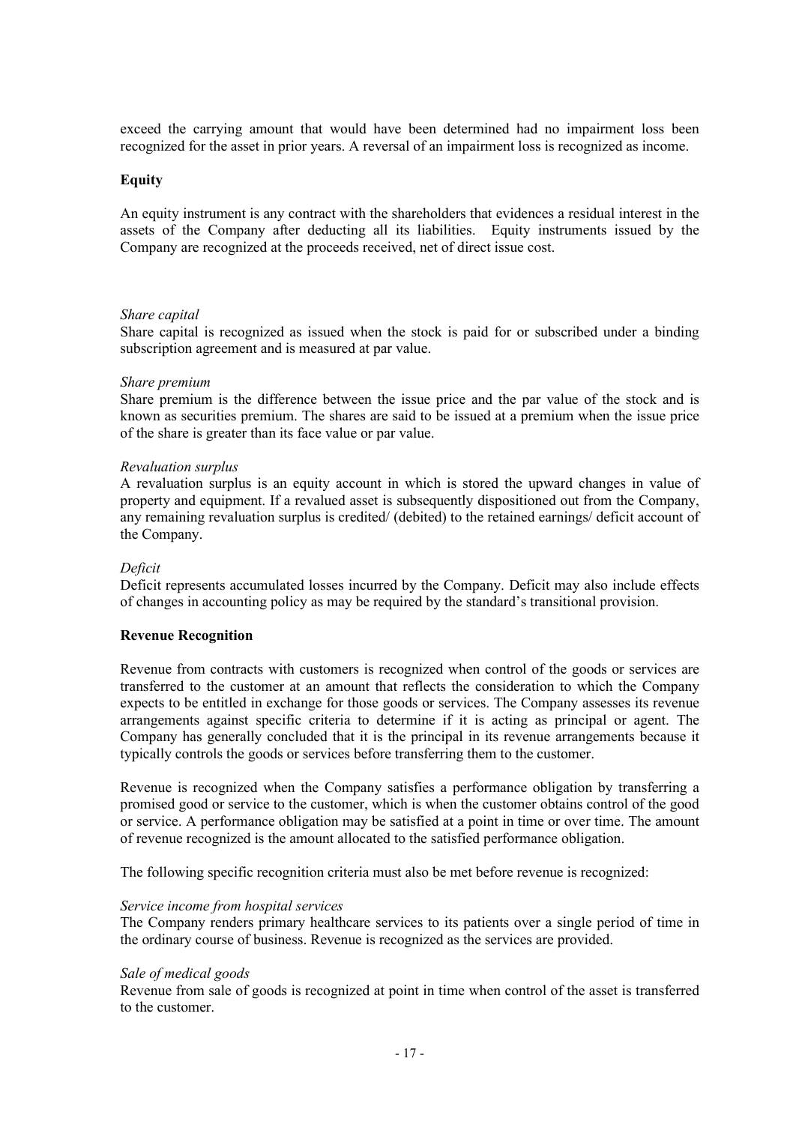exceed the carrying amount that would have been determined had no impairment loss been recognized for the asset in prior years. A reversal of an impairment loss is recognized as income.

#### **Equity**

An equity instrument is any contract with the shareholders that evidences a residual interest in the assets of the Company after deducting all its liabilities. Equity instruments issued by the Company are recognized at the proceeds received, net of direct issue cost.

#### *Share capital*

Share capital is recognized as issued when the stock is paid for or subscribed under a binding subscription agreement and is measured at par value.

#### *Share premium*

Share premium is the difference between the issue price and the par value of the stock and is known as securities premium. The shares are said to be issued at a premium when the issue price of the share is greater than its face value or par value.

#### *Revaluation surplus*

A revaluation surplus is an equity account in which is stored the upward changes in value of property and equipment. If a revalued asset is subsequently dispositioned out from the Company, any remaining revaluation surplus is credited/ (debited) to the retained earnings/ deficit account of the Company.

#### *Deficit*

Deficit represents accumulated losses incurred by the Company. Deficit may also include effects of changes in accounting policy as may be required by the standard's transitional provision.

#### **Revenue Recognition**

Revenue from contracts with customers is recognized when control of the goods or services are transferred to the customer at an amount that reflects the consideration to which the Company expects to be entitled in exchange for those goods or services. The Company assesses its revenue arrangements against specific criteria to determine if it is acting as principal or agent. The Company has generally concluded that it is the principal in its revenue arrangements because it typically controls the goods or services before transferring them to the customer.

Revenue is recognized when the Company satisfies a performance obligation by transferring a promised good or service to the customer, which is when the customer obtains control of the good or service. A performance obligation may be satisfied at a point in time or over time. The amount of revenue recognized is the amount allocated to the satisfied performance obligation.

The following specific recognition criteria must also be met before revenue is recognized:

#### *Service income from hospital services*

The Company renders primary healthcare services to its patients over a single period of time in the ordinary course of business. Revenue is recognized as the services are provided.

#### *Sale of medical goods*

Revenue from sale of goods is recognized at point in time when control of the asset is transferred to the customer.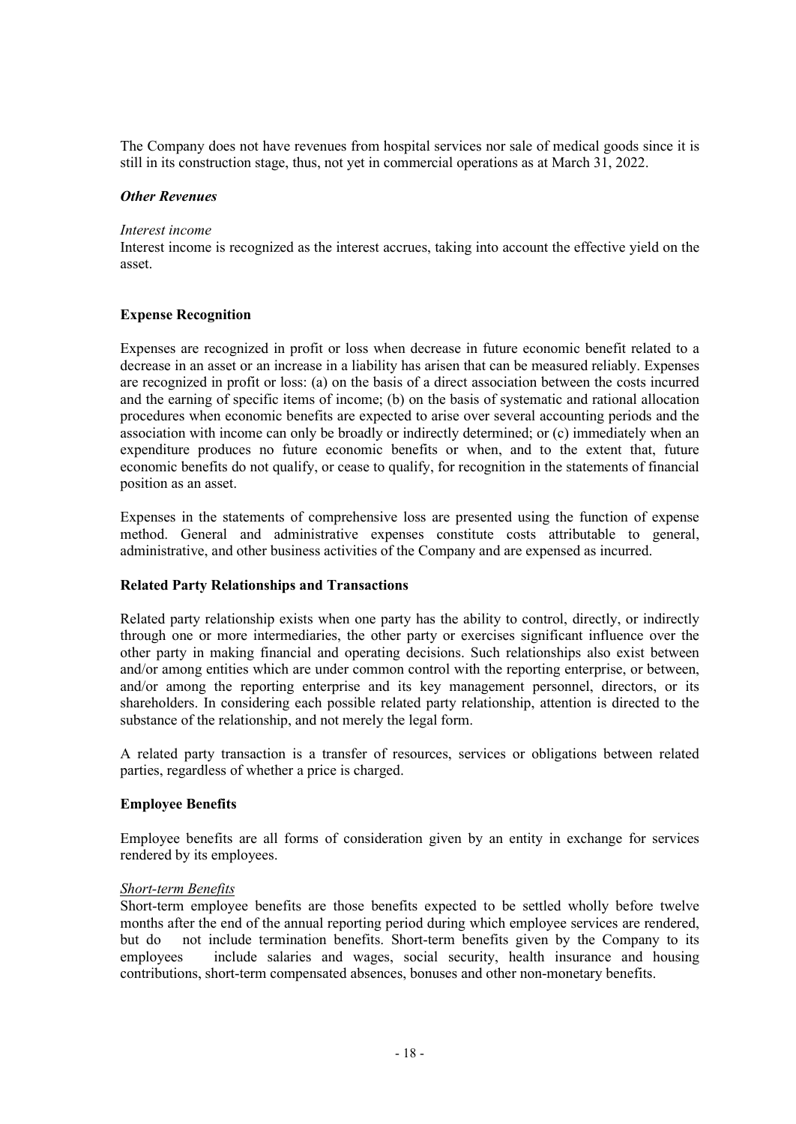The Company does not have revenues from hospital services nor sale of medical goods since it is still in its construction stage, thus, not yet in commercial operations as at March 31, 2022.

#### *Other Revenues*

#### *Interest income*

Interest income is recognized as the interest accrues, taking into account the effective yield on the asset.

#### **Expense Recognition**

Expenses are recognized in profit or loss when decrease in future economic benefit related to a decrease in an asset or an increase in a liability has arisen that can be measured reliably. Expenses are recognized in profit or loss: (a) on the basis of a direct association between the costs incurred and the earning of specific items of income; (b) on the basis of systematic and rational allocation procedures when economic benefits are expected to arise over several accounting periods and the association with income can only be broadly or indirectly determined; or (c) immediately when an expenditure produces no future economic benefits or when, and to the extent that, future economic benefits do not qualify, or cease to qualify, for recognition in the statements of financial position as an asset.

Expenses in the statements of comprehensive loss are presented using the function of expense method. General and administrative expenses constitute costs attributable to general, administrative, and other business activities of the Company and are expensed as incurred.

#### **Related Party Relationships and Transactions**

Related party relationship exists when one party has the ability to control, directly, or indirectly through one or more intermediaries, the other party or exercises significant influence over the other party in making financial and operating decisions. Such relationships also exist between and/or among entities which are under common control with the reporting enterprise, or between, and/or among the reporting enterprise and its key management personnel, directors, or its shareholders. In considering each possible related party relationship, attention is directed to the substance of the relationship, and not merely the legal form.

A related party transaction is a transfer of resources, services or obligations between related parties, regardless of whether a price is charged.

#### **Employee Benefits**

Employee benefits are all forms of consideration given by an entity in exchange for services rendered by its employees.

#### *Short-term Benefits*

Short-term employee benefits are those benefits expected to be settled wholly before twelve months after the end of the annual reporting period during which employee services are rendered, but do not include termination benefits. Short-term benefits given by the Company to its employees include salaries and wages, social security, health insurance and housing contributions, short-term compensated absences, bonuses and other non-monetary benefits.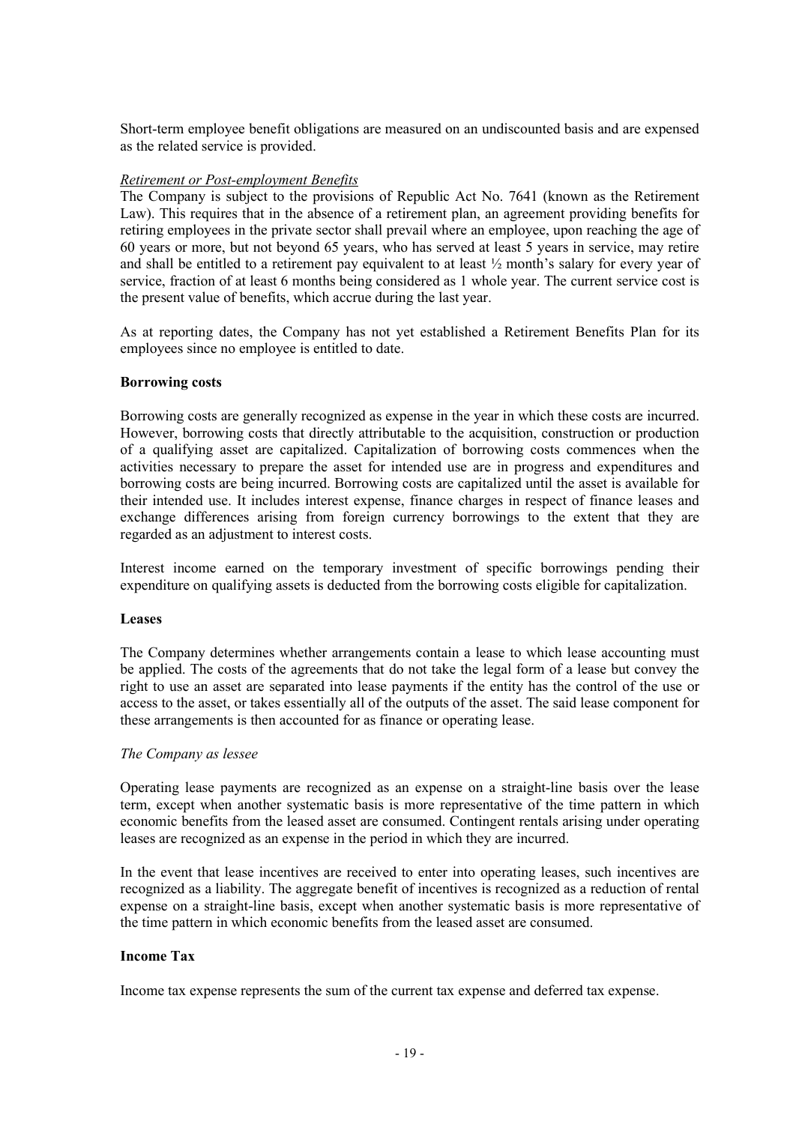Short-term employee benefit obligations are measured on an undiscounted basis and are expensed as the related service is provided.

#### *Retirement or Post-employment Benefits*

The Company is subject to the provisions of Republic Act No. 7641 (known as the Retirement Law). This requires that in the absence of a retirement plan, an agreement providing benefits for retiring employees in the private sector shall prevail where an employee, upon reaching the age of 60 years or more, but not beyond 65 years, who has served at least 5 years in service, may retire and shall be entitled to a retirement pay equivalent to at least  $\frac{1}{2}$  month's salary for every year of service, fraction of at least 6 months being considered as 1 whole year. The current service cost is the present value of benefits, which accrue during the last year.

As at reporting dates, the Company has not yet established a Retirement Benefits Plan for its employees since no employee is entitled to date.

#### **Borrowing costs**

Borrowing costs are generally recognized as expense in the year in which these costs are incurred. However, borrowing costs that directly attributable to the acquisition, construction or production of a qualifying asset are capitalized. Capitalization of borrowing costs commences when the activities necessary to prepare the asset for intended use are in progress and expenditures and borrowing costs are being incurred. Borrowing costs are capitalized until the asset is available for their intended use. It includes interest expense, finance charges in respect of finance leases and exchange differences arising from foreign currency borrowings to the extent that they are regarded as an adjustment to interest costs.

Interest income earned on the temporary investment of specific borrowings pending their expenditure on qualifying assets is deducted from the borrowing costs eligible for capitalization.

#### **Leases**

The Company determines whether arrangements contain a lease to which lease accounting must be applied. The costs of the agreements that do not take the legal form of a lease but convey the right to use an asset are separated into lease payments if the entity has the control of the use or access to the asset, or takes essentially all of the outputs of the asset. The said lease component for these arrangements is then accounted for as finance or operating lease.

#### *The Company as lessee*

Operating lease payments are recognized as an expense on a straight-line basis over the lease term, except when another systematic basis is more representative of the time pattern in which economic benefits from the leased asset are consumed. Contingent rentals arising under operating leases are recognized as an expense in the period in which they are incurred.

In the event that lease incentives are received to enter into operating leases, such incentives are recognized as a liability. The aggregate benefit of incentives is recognized as a reduction of rental expense on a straight-line basis, except when another systematic basis is more representative of the time pattern in which economic benefits from the leased asset are consumed.

#### **Income Tax**

Income tax expense represents the sum of the current tax expense and deferred tax expense.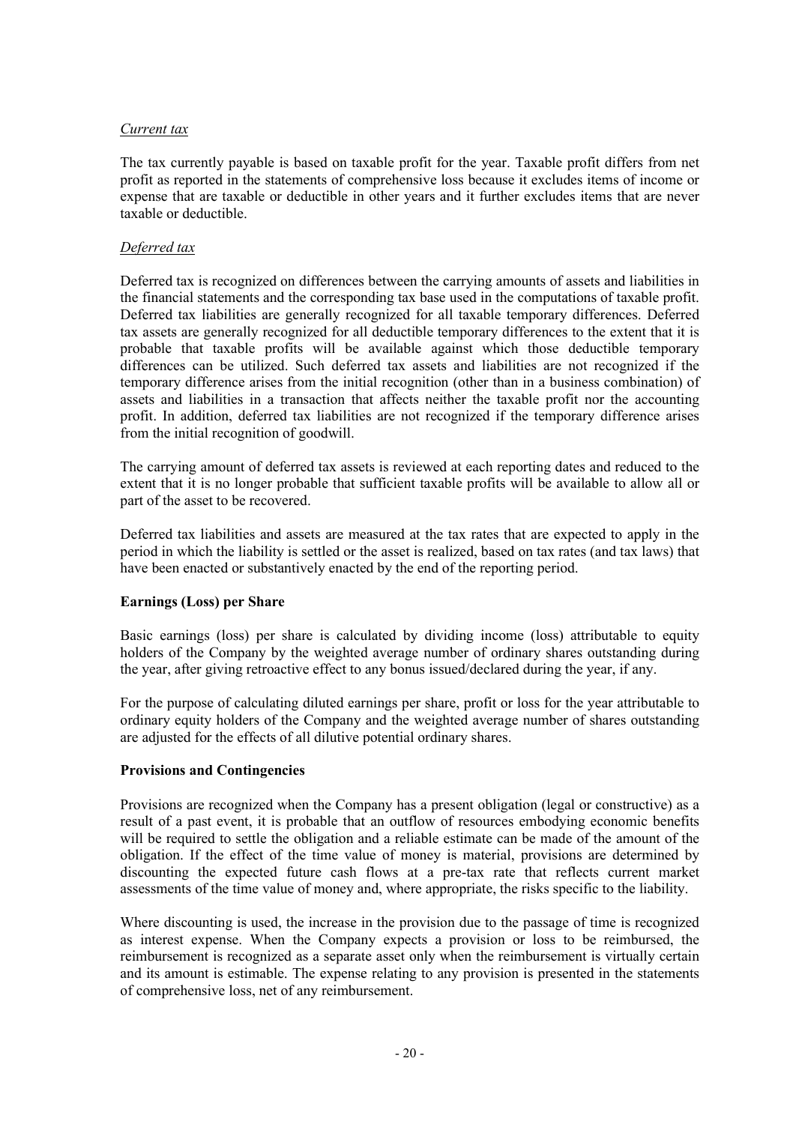#### *Current tax*

The tax currently payable is based on taxable profit for the year. Taxable profit differs from net profit as reported in the statements of comprehensive loss because it excludes items of income or expense that are taxable or deductible in other years and it further excludes items that are never taxable or deductible.

# *Deferred tax*

Deferred tax is recognized on differences between the carrying amounts of assets and liabilities in the financial statements and the corresponding tax base used in the computations of taxable profit. Deferred tax liabilities are generally recognized for all taxable temporary differences. Deferred tax assets are generally recognized for all deductible temporary differences to the extent that it is probable that taxable profits will be available against which those deductible temporary differences can be utilized. Such deferred tax assets and liabilities are not recognized if the temporary difference arises from the initial recognition (other than in a business combination) of assets and liabilities in a transaction that affects neither the taxable profit nor the accounting profit. In addition, deferred tax liabilities are not recognized if the temporary difference arises from the initial recognition of goodwill.

The carrying amount of deferred tax assets is reviewed at each reporting dates and reduced to the extent that it is no longer probable that sufficient taxable profits will be available to allow all or part of the asset to be recovered.

Deferred tax liabilities and assets are measured at the tax rates that are expected to apply in the period in which the liability is settled or the asset is realized, based on tax rates (and tax laws) that have been enacted or substantively enacted by the end of the reporting period.

# **Earnings (Loss) per Share**

Basic earnings (loss) per share is calculated by dividing income (loss) attributable to equity holders of the Company by the weighted average number of ordinary shares outstanding during the year, after giving retroactive effect to any bonus issued/declared during the year, if any.

For the purpose of calculating diluted earnings per share, profit or loss for the year attributable to ordinary equity holders of the Company and the weighted average number of shares outstanding are adjusted for the effects of all dilutive potential ordinary shares.

#### **Provisions and Contingencies**

Provisions are recognized when the Company has a present obligation (legal or constructive) as a result of a past event, it is probable that an outflow of resources embodying economic benefits will be required to settle the obligation and a reliable estimate can be made of the amount of the obligation. If the effect of the time value of money is material, provisions are determined by discounting the expected future cash flows at a pre-tax rate that reflects current market assessments of the time value of money and, where appropriate, the risks specific to the liability.

Where discounting is used, the increase in the provision due to the passage of time is recognized as interest expense. When the Company expects a provision or loss to be reimbursed, the reimbursement is recognized as a separate asset only when the reimbursement is virtually certain and its amount is estimable. The expense relating to any provision is presented in the statements of comprehensive loss, net of any reimbursement.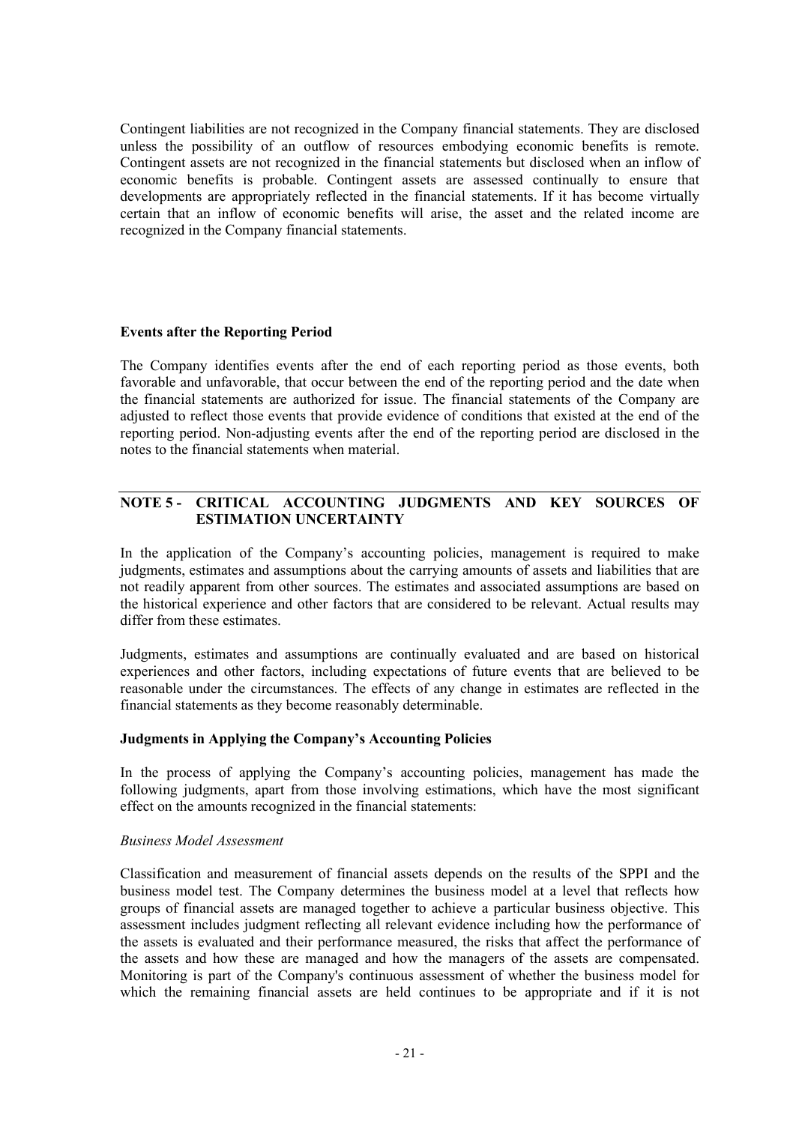Contingent liabilities are not recognized in the Company financial statements. They are disclosed unless the possibility of an outflow of resources embodying economic benefits is remote. Contingent assets are not recognized in the financial statements but disclosed when an inflow of economic benefits is probable. Contingent assets are assessed continually to ensure that developments are appropriately reflected in the financial statements. If it has become virtually certain that an inflow of economic benefits will arise, the asset and the related income are recognized in the Company financial statements.

# **Events after the Reporting Period**

The Company identifies events after the end of each reporting period as those events, both favorable and unfavorable, that occur between the end of the reporting period and the date when the financial statements are authorized for issue. The financial statements of the Company are adjusted to reflect those events that provide evidence of conditions that existed at the end of the reporting period. Non-adjusting events after the end of the reporting period are disclosed in the notes to the financial statements when material.

# **NOTE 5 - CRITICAL ACCOUNTING JUDGMENTS AND KEY SOURCES OF ESTIMATION UNCERTAINTY**

In the application of the Company's accounting policies, management is required to make judgments, estimates and assumptions about the carrying amounts of assets and liabilities that are not readily apparent from other sources. The estimates and associated assumptions are based on the historical experience and other factors that are considered to be relevant. Actual results may differ from these estimates.

Judgments, estimates and assumptions are continually evaluated and are based on historical experiences and other factors, including expectations of future events that are believed to be reasonable under the circumstances. The effects of any change in estimates are reflected in the financial statements as they become reasonably determinable.

# **Judgments in Applying the Company's Accounting Policies**

In the process of applying the Company's accounting policies, management has made the following judgments, apart from those involving estimations, which have the most significant effect on the amounts recognized in the financial statements:

#### *Business Model Assessment*

Classification and measurement of financial assets depends on the results of the SPPI and the business model test. The Company determines the business model at a level that reflects how groups of financial assets are managed together to achieve a particular business objective. This assessment includes judgment reflecting all relevant evidence including how the performance of the assets is evaluated and their performance measured, the risks that affect the performance of the assets and how these are managed and how the managers of the assets are compensated. Monitoring is part of the Company's continuous assessment of whether the business model for which the remaining financial assets are held continues to be appropriate and if it is not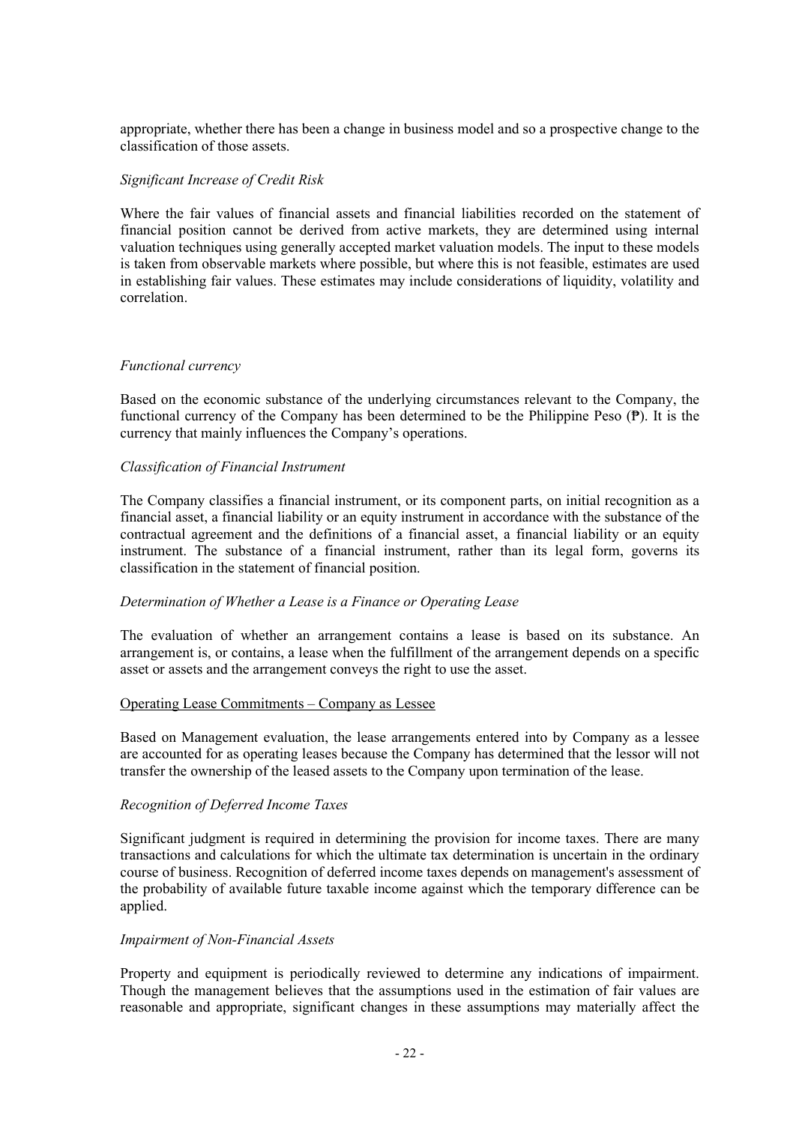appropriate, whether there has been a change in business model and so a prospective change to the classification of those assets.

#### *Significant Increase of Credit Risk*

Where the fair values of financial assets and financial liabilities recorded on the statement of financial position cannot be derived from active markets, they are determined using internal valuation techniques using generally accepted market valuation models. The input to these models is taken from observable markets where possible, but where this is not feasible, estimates are used in establishing fair values. These estimates may include considerations of liquidity, volatility and correlation.

#### *Functional currency*

Based on the economic substance of the underlying circumstances relevant to the Company, the functional currency of the Company has been determined to be the Philippine Peso ( $\mathbf{P}$ ). It is the currency that mainly influences the Company's operations.

#### *Classification of Financial Instrument*

The Company classifies a financial instrument, or its component parts, on initial recognition as a financial asset, a financial liability or an equity instrument in accordance with the substance of the contractual agreement and the definitions of a financial asset, a financial liability or an equity instrument. The substance of a financial instrument, rather than its legal form, governs its classification in the statement of financial position.

#### *Determination of Whether a Lease is a Finance or Operating Lease*

The evaluation of whether an arrangement contains a lease is based on its substance. An arrangement is, or contains, a lease when the fulfillment of the arrangement depends on a specific asset or assets and the arrangement conveys the right to use the asset.

#### Operating Lease Commitments – Company as Lessee

Based on Management evaluation, the lease arrangements entered into by Company as a lessee are accounted for as operating leases because the Company has determined that the lessor will not transfer the ownership of the leased assets to the Company upon termination of the lease.

#### *Recognition of Deferred Income Taxes*

Significant judgment is required in determining the provision for income taxes. There are many transactions and calculations for which the ultimate tax determination is uncertain in the ordinary course of business. Recognition of deferred income taxes depends on management's assessment of the probability of available future taxable income against which the temporary difference can be applied.

#### *Impairment of Non-Financial Assets*

Property and equipment is periodically reviewed to determine any indications of impairment. Though the management believes that the assumptions used in the estimation of fair values are reasonable and appropriate, significant changes in these assumptions may materially affect the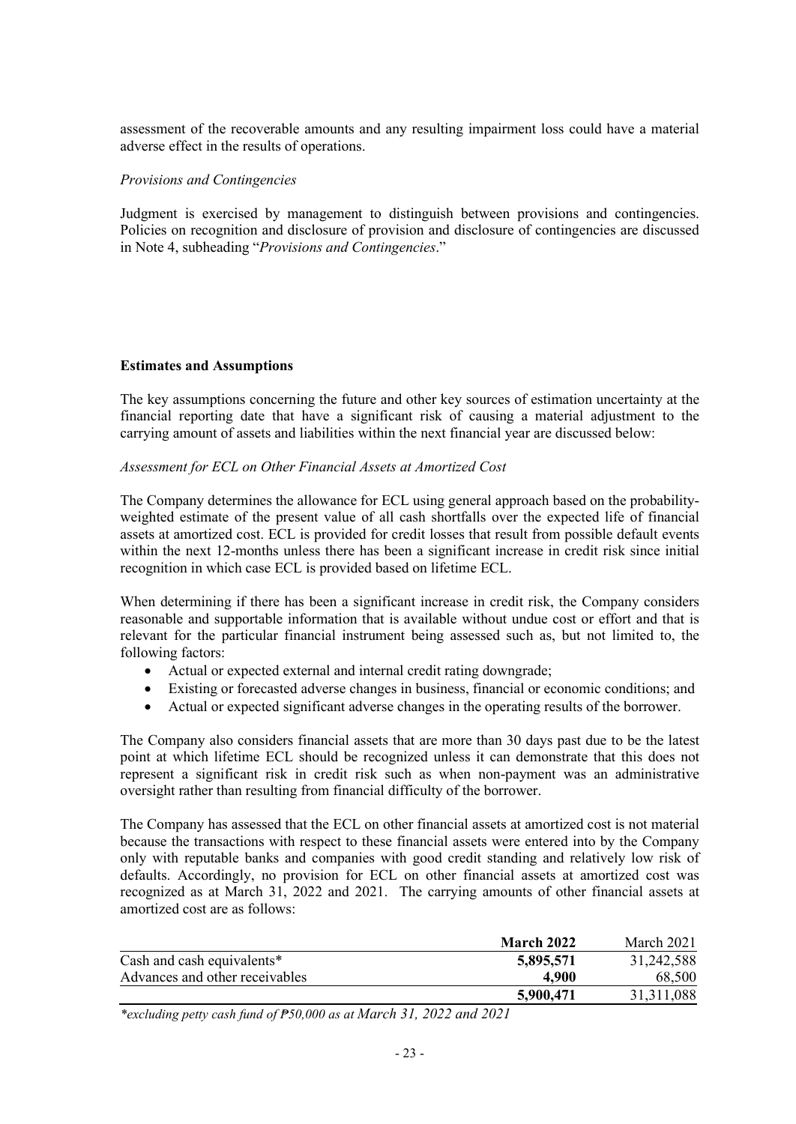assessment of the recoverable amounts and any resulting impairment loss could have a material adverse effect in the results of operations.

#### *Provisions and Contingencies*

Judgment is exercised by management to distinguish between provisions and contingencies. Policies on recognition and disclosure of provision and disclosure of contingencies are discussed in Note 4, subheading "*Provisions and Contingencies*."

#### **Estimates and Assumptions**

The key assumptions concerning the future and other key sources of estimation uncertainty at the financial reporting date that have a significant risk of causing a material adjustment to the carrying amount of assets and liabilities within the next financial year are discussed below:

#### *Assessment for ECL on Other Financial Assets at Amortized Cost*

The Company determines the allowance for ECL using general approach based on the probabilityweighted estimate of the present value of all cash shortfalls over the expected life of financial assets at amortized cost. ECL is provided for credit losses that result from possible default events within the next 12-months unless there has been a significant increase in credit risk since initial recognition in which case ECL is provided based on lifetime ECL.

When determining if there has been a significant increase in credit risk, the Company considers reasonable and supportable information that is available without undue cost or effort and that is relevant for the particular financial instrument being assessed such as, but not limited to, the following factors:

- Actual or expected external and internal credit rating downgrade;
- Existing or forecasted adverse changes in business, financial or economic conditions; and
- Actual or expected significant adverse changes in the operating results of the borrower.

The Company also considers financial assets that are more than 30 days past due to be the latest point at which lifetime ECL should be recognized unless it can demonstrate that this does not represent a significant risk in credit risk such as when non-payment was an administrative oversight rather than resulting from financial difficulty of the borrower.

The Company has assessed that the ECL on other financial assets at amortized cost is not material because the transactions with respect to these financial assets were entered into by the Company only with reputable banks and companies with good credit standing and relatively low risk of defaults. Accordingly, no provision for ECL on other financial assets at amortized cost was recognized as at March 31, 2022 and 2021. The carrying amounts of other financial assets at amortized cost are as follows:

|                                | <b>March 2022</b> | March 2021   |
|--------------------------------|-------------------|--------------|
| Cash and cash equivalents*     | 5,895,571         | 31,242,588   |
| Advances and other receivables | 4.900             | 68,500       |
|                                | 5,900,471         | 31, 311, 088 |

*\*excluding petty cash fund of ₱50,000 as at March 31, 2022 and 2021*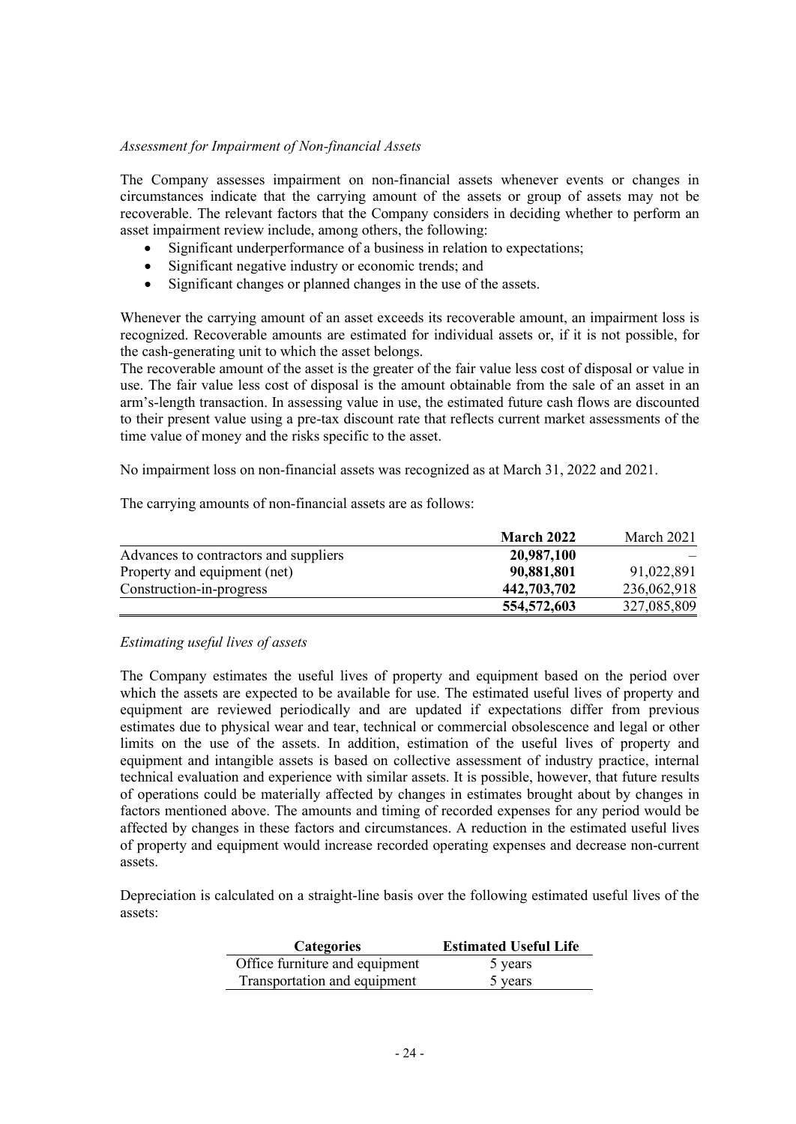#### *Assessment for Impairment of Non-financial Assets*

The Company assesses impairment on non-financial assets whenever events or changes in circumstances indicate that the carrying amount of the assets or group of assets may not be recoverable. The relevant factors that the Company considers in deciding whether to perform an asset impairment review include, among others, the following:

- Significant underperformance of a business in relation to expectations;
- Significant negative industry or economic trends; and
- Significant changes or planned changes in the use of the assets.

Whenever the carrying amount of an asset exceeds its recoverable amount, an impairment loss is recognized. Recoverable amounts are estimated for individual assets or, if it is not possible, for the cash-generating unit to which the asset belongs.

The recoverable amount of the asset is the greater of the fair value less cost of disposal or value in use. The fair value less cost of disposal is the amount obtainable from the sale of an asset in an arm's-length transaction. In assessing value in use, the estimated future cash flows are discounted to their present value using a pre-tax discount rate that reflects current market assessments of the time value of money and the risks specific to the asset.

No impairment loss on non-financial assets was recognized as at March 31, 2022 and 2021.

The carrying amounts of non-financial assets are as follows:

|                                       | <b>March 2022</b> | March 2021  |
|---------------------------------------|-------------------|-------------|
| Advances to contractors and suppliers | 20,987,100        |             |
| Property and equipment (net)          | 90,881,801        | 91,022,891  |
| Construction-in-progress              | 442,703,702       | 236,062,918 |
|                                       | 554,572,603       | 327,085,809 |

#### *Estimating useful lives of assets*

The Company estimates the useful lives of property and equipment based on the period over which the assets are expected to be available for use. The estimated useful lives of property and equipment are reviewed periodically and are updated if expectations differ from previous estimates due to physical wear and tear, technical or commercial obsolescence and legal or other limits on the use of the assets. In addition, estimation of the useful lives of property and equipment and intangible assets is based on collective assessment of industry practice, internal technical evaluation and experience with similar assets. It is possible, however, that future results of operations could be materially affected by changes in estimates brought about by changes in factors mentioned above. The amounts and timing of recorded expenses for any period would be affected by changes in these factors and circumstances. A reduction in the estimated useful lives of property and equipment would increase recorded operating expenses and decrease non-current assets.

Depreciation is calculated on a straight-line basis over the following estimated useful lives of the assets:

| <b>Categories</b>              | <b>Estimated Useful Life</b> |
|--------------------------------|------------------------------|
| Office furniture and equipment | 5 years                      |
| Transportation and equipment   | 5 years                      |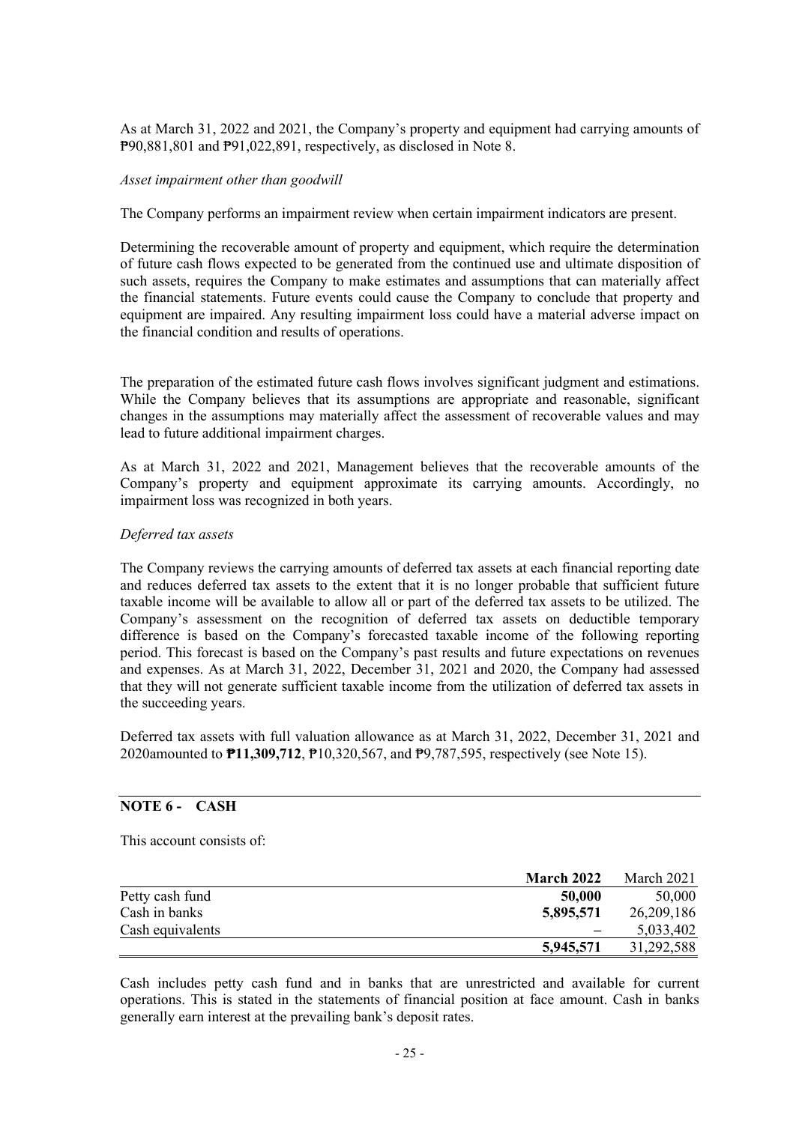As at March 31, 2022 and 2021, the Company's property and equipment had carrying amounts of ₱90,881,801 and ₱91,022,891, respectively, as disclosed in Note 8.

#### *Asset impairment other than goodwill*

The Company performs an impairment review when certain impairment indicators are present.

Determining the recoverable amount of property and equipment, which require the determination of future cash flows expected to be generated from the continued use and ultimate disposition of such assets, requires the Company to make estimates and assumptions that can materially affect the financial statements. Future events could cause the Company to conclude that property and equipment are impaired. Any resulting impairment loss could have a material adverse impact on the financial condition and results of operations.

The preparation of the estimated future cash flows involves significant judgment and estimations. While the Company believes that its assumptions are appropriate and reasonable, significant changes in the assumptions may materially affect the assessment of recoverable values and may lead to future additional impairment charges.

As at March 31, 2022 and 2021, Management believes that the recoverable amounts of the Company's property and equipment approximate its carrying amounts. Accordingly, no impairment loss was recognized in both years.

#### *Deferred tax assets*

The Company reviews the carrying amounts of deferred tax assets at each financial reporting date and reduces deferred tax assets to the extent that it is no longer probable that sufficient future taxable income will be available to allow all or part of the deferred tax assets to be utilized. The Company's assessment on the recognition of deferred tax assets on deductible temporary difference is based on the Company's forecasted taxable income of the following reporting period. This forecast is based on the Company's past results and future expectations on revenues and expenses. As at March 31, 2022, December 31, 2021 and 2020, the Company had assessed that they will not generate sufficient taxable income from the utilization of deferred tax assets in the succeeding years.

Deferred tax assets with full valuation allowance as at March 31, 2022, December 31, 2021 and 2020amounted to **₱11,309,712**, ₱10,320,567, and ₱9,787,595, respectively (see Note 15).

# **NOTE 6 - CASH**

This account consists of:

|                  | <b>March 2022</b>        | March 2021   |
|------------------|--------------------------|--------------|
| Petty cash fund  | 50,000                   | 50,000       |
| Cash in banks    | 5,895,571                | 26, 209, 186 |
| Cash equivalents | $\overline{\phantom{0}}$ | 5,033,402    |
|                  | 5,945,571                | 31,292,588   |

Cash includes petty cash fund and in banks that are unrestricted and available for current operations. This is stated in the statements of financial position at face amount. Cash in banks generally earn interest at the prevailing bank's deposit rates.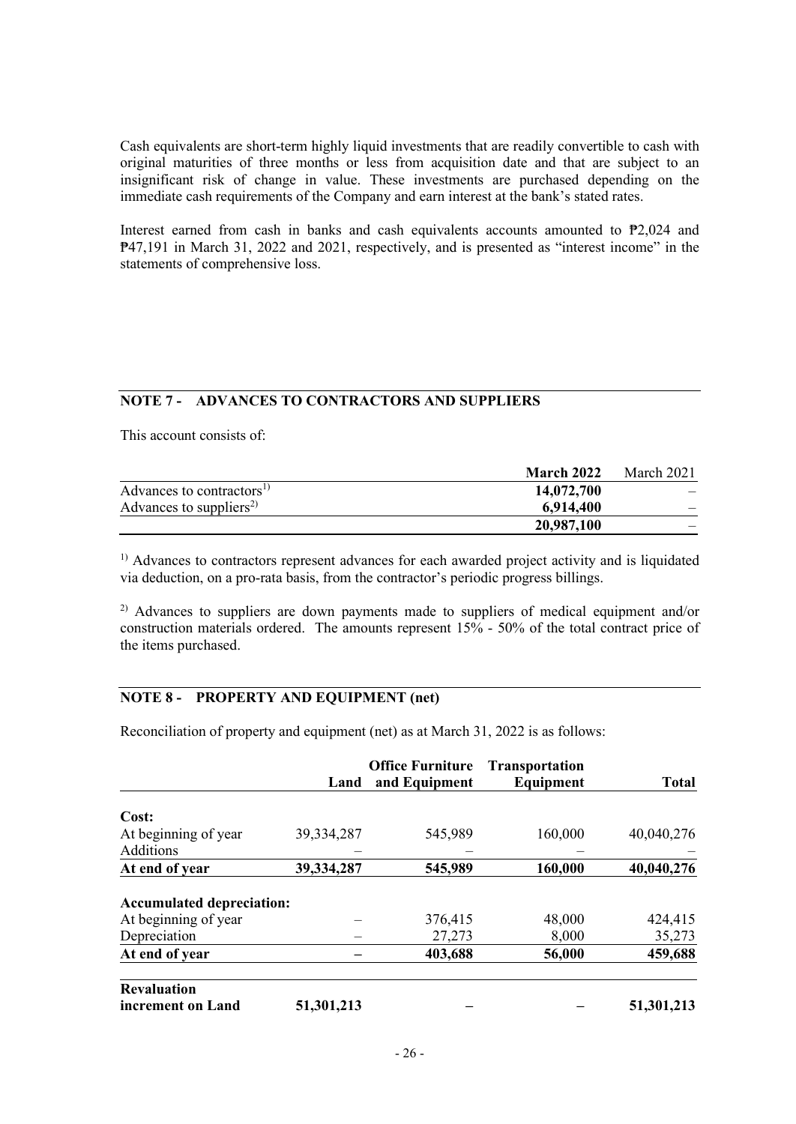Cash equivalents are short-term highly liquid investments that are readily convertible to cash with original maturities of three months or less from acquisition date and that are subject to an insignificant risk of change in value. These investments are purchased depending on the immediate cash requirements of the Company and earn interest at the bank's stated rates.

Interest earned from cash in banks and cash equivalents accounts amounted to  $P2,024$  and ₱47,191 in March 31, 2022 and 2021, respectively, and is presented as "interest income" in the statements of comprehensive loss.

# **NOTE 7 - ADVANCES TO CONTRACTORS AND SUPPLIERS**

This account consists of:

|                                       | <b>March 2022</b> | March 2021 |
|---------------------------------------|-------------------|------------|
| Advances to contractors <sup>1)</sup> | 14,072,700        |            |
| Advances to suppliers <sup>2)</sup>   | 6,914,400         |            |
|                                       | 20,987,100        |            |

<sup>1)</sup> Advances to contractors represent advances for each awarded project activity and is liquidated via deduction, on a pro-rata basis, from the contractor's periodic progress billings.

<sup>2)</sup> Advances to suppliers are down payments made to suppliers of medical equipment and/or construction materials ordered. The amounts represent 15% - 50% of the total contract price of the items purchased.

# **NOTE 8 - PROPERTY AND EQUIPMENT (net)**

Reconciliation of property and equipment (net) as at March 31, 2022 is as follows:

|                                  | Land       | <b>Office Furniture</b><br>and Equipment | <b>Transportation</b><br>Equipment | <b>Total</b> |
|----------------------------------|------------|------------------------------------------|------------------------------------|--------------|
| Cost:                            |            |                                          |                                    |              |
| At beginning of year             | 39,334,287 | 545,989                                  | 160,000                            | 40,040,276   |
| Additions                        |            |                                          |                                    |              |
| At end of year                   | 39,334,287 | 545,989                                  | 160,000                            | 40,040,276   |
| <b>Accumulated depreciation:</b> |            |                                          |                                    |              |
| At beginning of year             |            | 376,415                                  | 48,000                             | 424,415      |
| Depreciation                     |            | 27,273                                   | 8,000                              | 35,273       |
| At end of year                   |            | 403,688                                  | 56,000                             | 459,688      |
| <b>Revaluation</b>               |            |                                          |                                    |              |
| increment on Land                | 51,301,213 |                                          |                                    | 51,301,213   |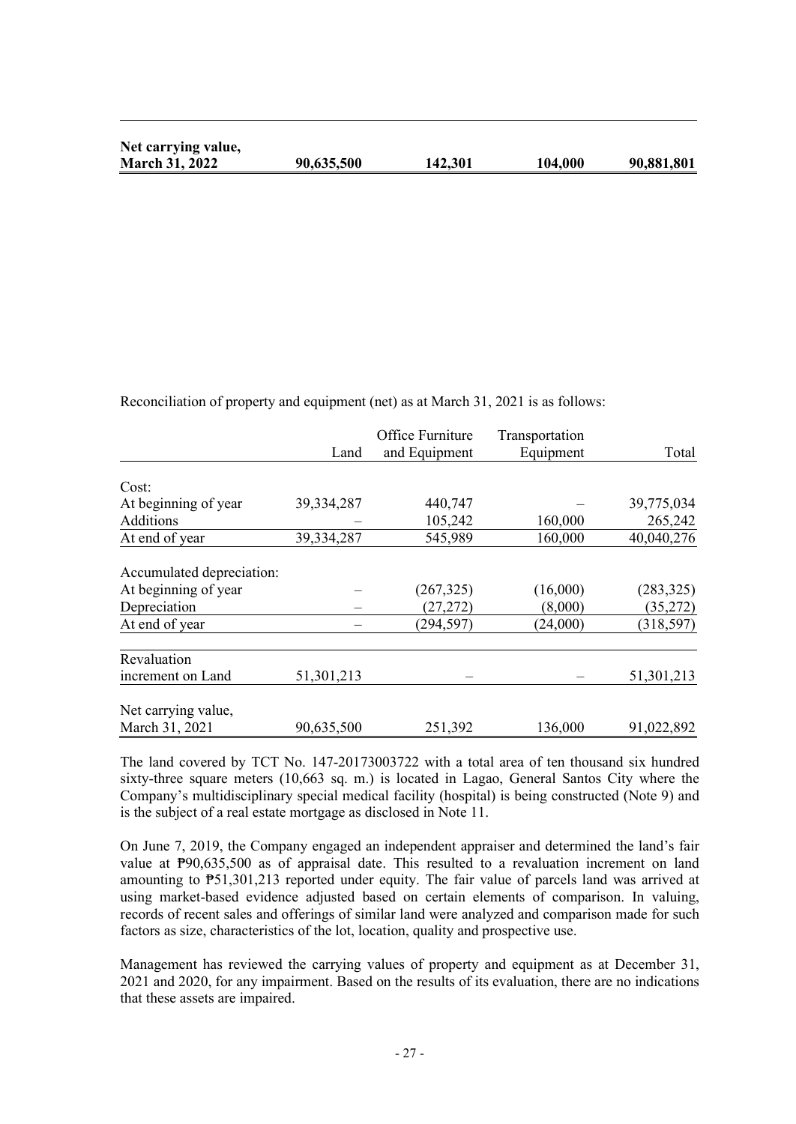| Net carrying value,   |            |         |         |            |
|-----------------------|------------|---------|---------|------------|
| <b>March 31, 2022</b> | 90,635,500 | 142,301 | 104,000 | 90,881,801 |

Reconciliation of property and equipment (net) as at March 31, 2021 is as follows:

|                           |            | Office Furniture | Transportation |            |
|---------------------------|------------|------------------|----------------|------------|
|                           | Land       | and Equipment    | Equipment      | Total      |
|                           |            |                  |                |            |
| Cost:                     |            |                  |                |            |
| At beginning of year      | 39,334,287 | 440,747          |                | 39,775,034 |
| Additions                 |            | 105,242          | 160,000        | 265,242    |
| At end of year            | 39,334,287 | 545,989          | 160,000        | 40,040,276 |
|                           |            |                  |                |            |
| Accumulated depreciation: |            |                  |                |            |
| At beginning of year      |            | (267, 325)       | (16,000)       | (283, 325) |
| Depreciation              |            | (27, 272)        | (8,000)        | (35,272)   |
| At end of year            |            | (294, 597)       | (24,000)       | (318, 597) |
| Revaluation               |            |                  |                |            |
| increment on Land         | 51,301,213 |                  |                | 51,301,213 |
| Net carrying value,       |            |                  |                |            |
| March 31, 2021            | 90,635,500 | 251,392          | 136,000        | 91,022,892 |

The land covered by TCT No. 147-20173003722 with a total area of ten thousand six hundred sixty-three square meters (10,663 sq. m.) is located in Lagao, General Santos City where the Company's multidisciplinary special medical facility (hospital) is being constructed (Note 9) and is the subject of a real estate mortgage as disclosed in Note 11.

On June 7, 2019, the Company engaged an independent appraiser and determined the land's fair value at  $P90,635,500$  as of appraisal date. This resulted to a revaluation increment on land amounting to ₱51,301,213 reported under equity. The fair value of parcels land was arrived at using market-based evidence adjusted based on certain elements of comparison. In valuing, records of recent sales and offerings of similar land were analyzed and comparison made for such factors as size, characteristics of the lot, location, quality and prospective use.

Management has reviewed the carrying values of property and equipment as at December 31, 2021 and 2020, for any impairment. Based on the results of its evaluation, there are no indications that these assets are impaired.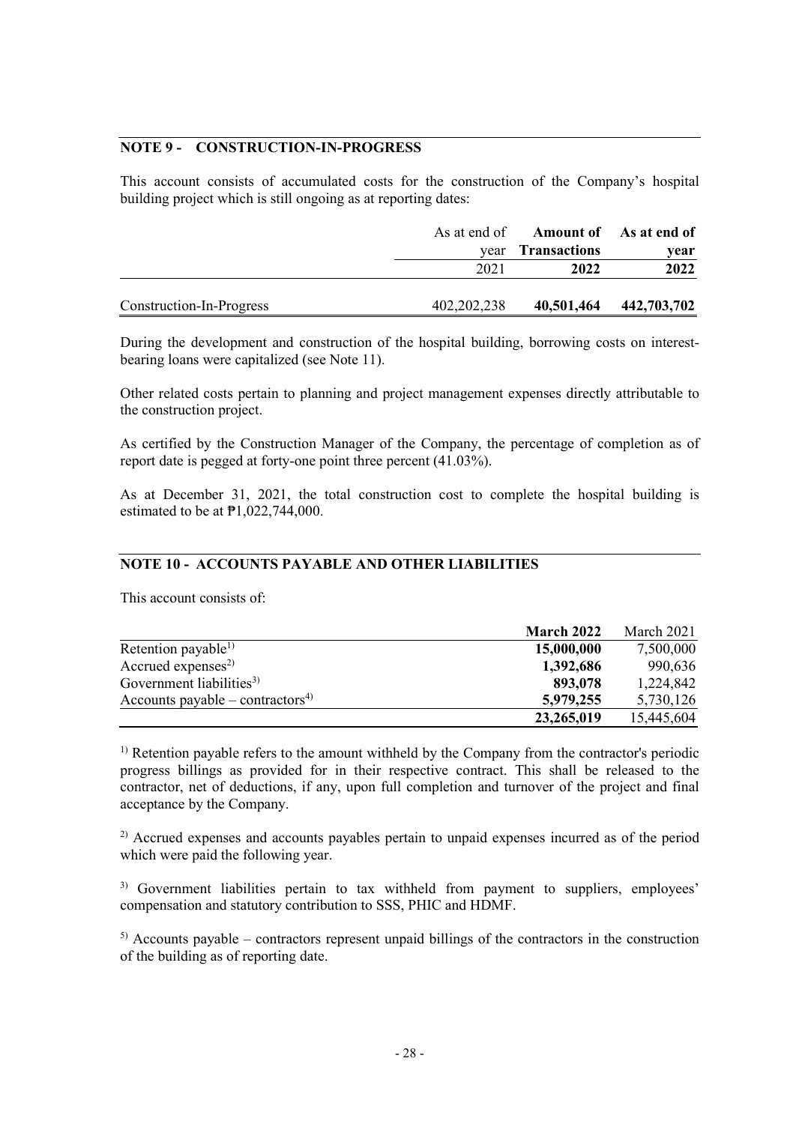# **NOTE 9 - CONSTRUCTION-IN-PROGRESS**

This account consists of accumulated costs for the construction of the Company's hospital building project which is still ongoing as at reporting dates:

|                          |               | As at end of Amount of As at end of |             |
|--------------------------|---------------|-------------------------------------|-------------|
|                          | vear          | <b>Transactions</b>                 | year        |
|                          | 2021          | 2022                                | 2022        |
|                          |               |                                     |             |
| Construction-In-Progress | 402, 202, 238 | 40,501,464                          | 442,703,702 |

During the development and construction of the hospital building, borrowing costs on interestbearing loans were capitalized (see Note 11).

Other related costs pertain to planning and project management expenses directly attributable to the construction project.

As certified by the Construction Manager of the Company, the percentage of completion as of report date is pegged at forty-one point three percent (41.03%).

As at December 31, 2021, the total construction cost to complete the hospital building is estimated to be at ₱1,022,744,000.

# **NOTE 10 - ACCOUNTS PAYABLE AND OTHER LIABILITIES**

This account consists of:

|                                              | March 2022 | March 2021 |
|----------------------------------------------|------------|------------|
| Retention payable <sup>1)</sup>              | 15,000,000 | 7,500,000  |
| Accrued expenses <sup>2)</sup>               | 1,392,686  | 990,636    |
| Government liabilities <sup>3)</sup>         | 893,078    | 1,224,842  |
| Accounts payable – contractors <sup>4)</sup> | 5,979,255  | 5,730,126  |
|                                              | 23,265,019 | 15,445,604 |

 $<sup>1)</sup>$  Retention payable refers to the amount withheld by the Company from the contractor's periodic</sup> progress billings as provided for in their respective contract. This shall be released to the contractor, net of deductions, if any, upon full completion and turnover of the project and final acceptance by the Company.

<sup>2)</sup> Accrued expenses and accounts payables pertain to unpaid expenses incurred as of the period which were paid the following year.

<sup>3)</sup> Government liabilities pertain to tax withheld from payment to suppliers, employees' compensation and statutory contribution to SSS, PHIC and HDMF.

 $<sup>5)</sup>$  Accounts payable – contractors represent unpaid billings of the contractors in the construction</sup> of the building as of reporting date.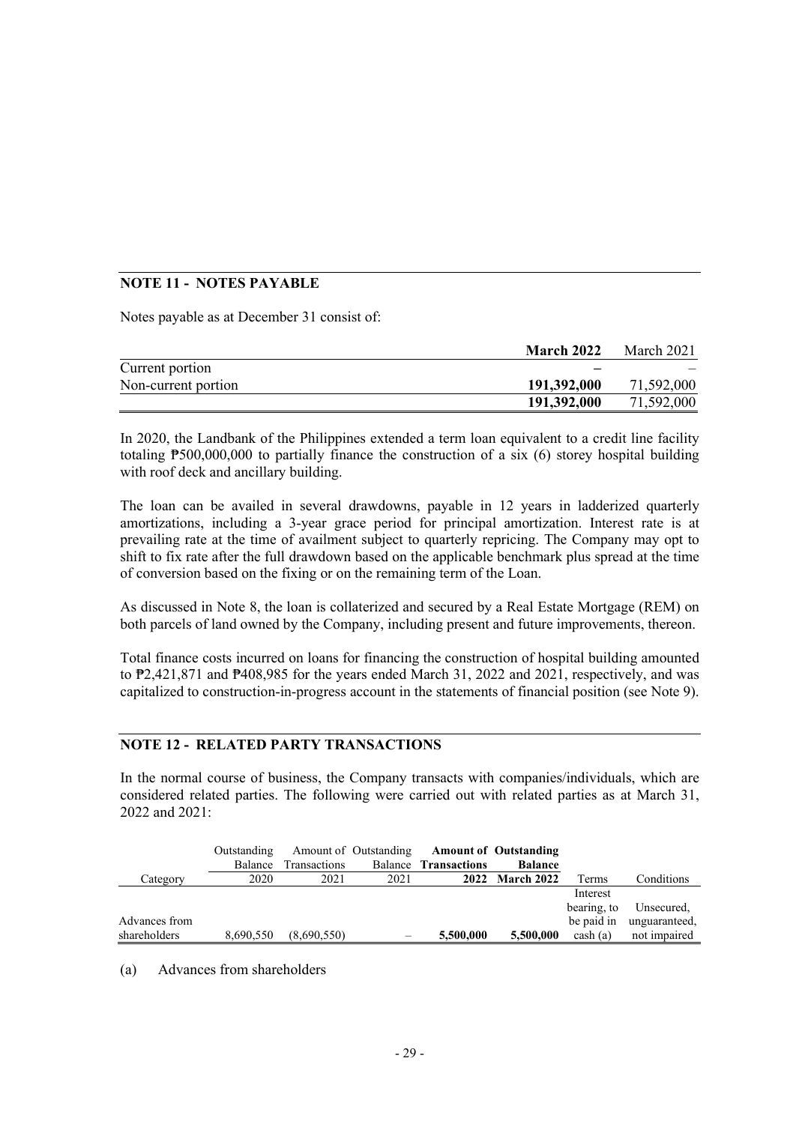# **NOTE 11 - NOTES PAYABLE**

Notes payable as at December 31 consist of:

|                     | <b>March 2022</b> | March 2021 |
|---------------------|-------------------|------------|
| Current portion     |                   |            |
| Non-current portion | 191,392,000       | 71,592,000 |
|                     | 191,392,000       | 71,592,000 |

In 2020, the Landbank of the Philippines extended a term loan equivalent to a credit line facility totaling ₱500,000,000 to partially finance the construction of a six (6) storey hospital building with roof deck and ancillary building.

The loan can be availed in several drawdowns, payable in 12 years in ladderized quarterly amortizations, including a 3-year grace period for principal amortization. Interest rate is at prevailing rate at the time of availment subject to quarterly repricing. The Company may opt to shift to fix rate after the full drawdown based on the applicable benchmark plus spread at the time of conversion based on the fixing or on the remaining term of the Loan.

As discussed in Note 8, the loan is collaterized and secured by a Real Estate Mortgage (REM) on both parcels of land owned by the Company, including present and future improvements, thereon.

Total finance costs incurred on loans for financing the construction of hospital building amounted to ₱2,421,871 and ₱408,985 for the years ended March 31, 2022 and 2021, respectively, and was capitalized to construction-in-progress account in the statements of financial position (see Note 9).

#### **NOTE 12 - RELATED PARTY TRANSACTIONS**

In the normal course of business, the Company transacts with companies/individuals, which are considered related parties. The following were carried out with related parties as at March 31, 2022 and 2021:

|               | Outstanding |                      |      | Amount of Outstanding Amount of Outstanding |                 |             |                          |
|---------------|-------------|----------------------|------|---------------------------------------------|-----------------|-------------|--------------------------|
|               |             | Balance Transactions |      | Balance <b>Transactions</b>                 | <b>Balance</b>  |             |                          |
| Category      | 2020        | 2021                 | 2021 |                                             | 2022 March 2022 | Terms       | Conditions               |
|               |             |                      |      |                                             |                 | Interest    |                          |
|               |             |                      |      |                                             |                 | bearing, to | Unsecured,               |
| Advances from |             |                      |      |                                             |                 |             | be paid in unguaranteed, |
| shareholders  | 8,690,550   | (8,690,550)          |      | 5,500,000                                   | 5,500,000       | $\cosh(a)$  | not impaired             |

(a) Advances from shareholders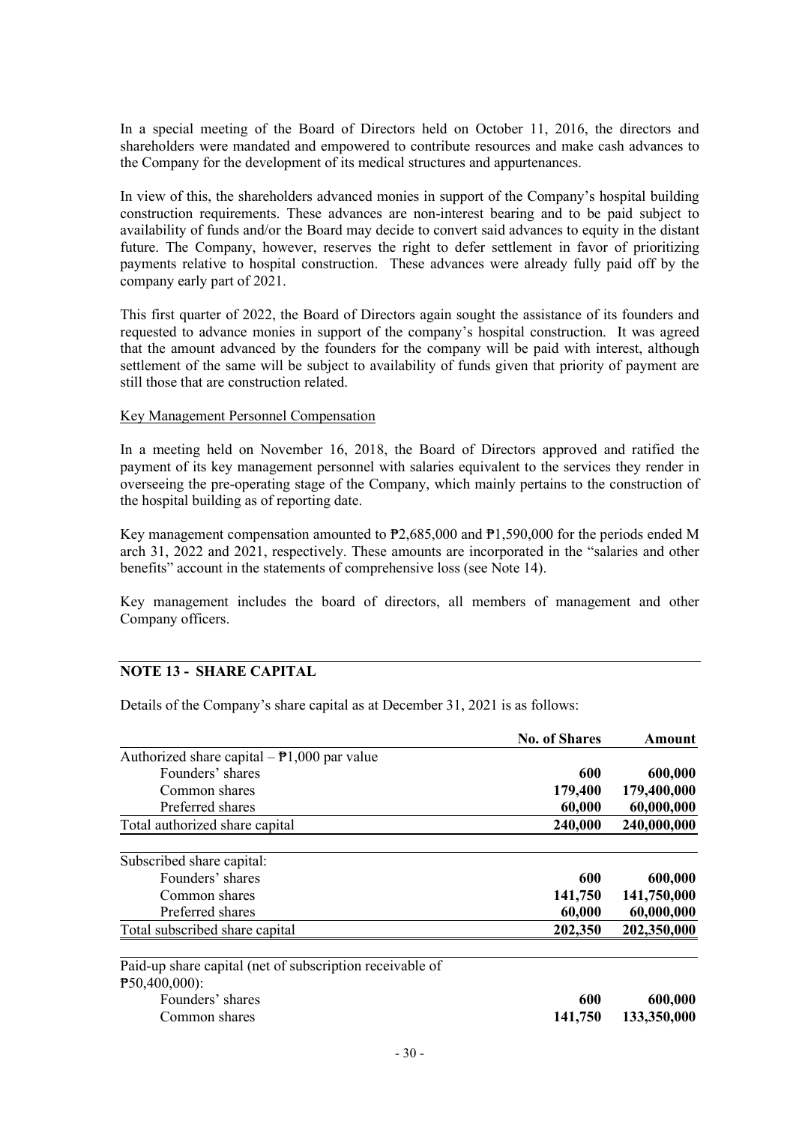In a special meeting of the Board of Directors held on October 11, 2016, the directors and shareholders were mandated and empowered to contribute resources and make cash advances to the Company for the development of its medical structures and appurtenances.

In view of this, the shareholders advanced monies in support of the Company's hospital building construction requirements. These advances are non-interest bearing and to be paid subject to availability of funds and/or the Board may decide to convert said advances to equity in the distant future. The Company, however, reserves the right to defer settlement in favor of prioritizing payments relative to hospital construction. These advances were already fully paid off by the company early part of 2021.

This first quarter of 2022, the Board of Directors again sought the assistance of its founders and requested to advance monies in support of the company's hospital construction. It was agreed that the amount advanced by the founders for the company will be paid with interest, although settlement of the same will be subject to availability of funds given that priority of payment are still those that are construction related.

#### Key Management Personnel Compensation

In a meeting held on November 16, 2018, the Board of Directors approved and ratified the payment of its key management personnel with salaries equivalent to the services they render in overseeing the pre-operating stage of the Company, which mainly pertains to the construction of the hospital building as of reporting date.

Key management compensation amounted to ₱2,685,000 and ₱1,590,000 for the periods ended M arch 31, 2022 and 2021, respectively. These amounts are incorporated in the "salaries and other benefits" account in the statements of comprehensive loss (see Note 14).

Key management includes the board of directors, all members of management and other Company officers.

#### **NOTE 13 - SHARE CAPITAL**

Details of the Company's share capital as at December 31, 2021 is as follows:

|                                                          | <b>No. of Shares</b> | Amount      |
|----------------------------------------------------------|----------------------|-------------|
| Authorized share capital $-\frac{1}{2}$ ,000 par value   |                      |             |
| Founders' shares                                         | 600                  | 600,000     |
| Common shares                                            | 179,400              | 179,400,000 |
| Preferred shares                                         | 60,000               | 60,000,000  |
| Total authorized share capital                           | 240,000              | 240,000,000 |
| Subscribed share capital:                                |                      |             |
| Founders' shares                                         | 600                  | 600,000     |
| Common shares                                            | 141,750              | 141,750,000 |
| Preferred shares                                         | 60,000               | 60,000,000  |
| Total subscribed share capital                           | 202,350              | 202,350,000 |
| Paid-up share capital (net of subscription receivable of |                      |             |
| $P50,400,000$ :                                          |                      |             |
| Founders' shares                                         | 600                  | 600,000     |
| Common shares                                            | 141,750              | 133,350,000 |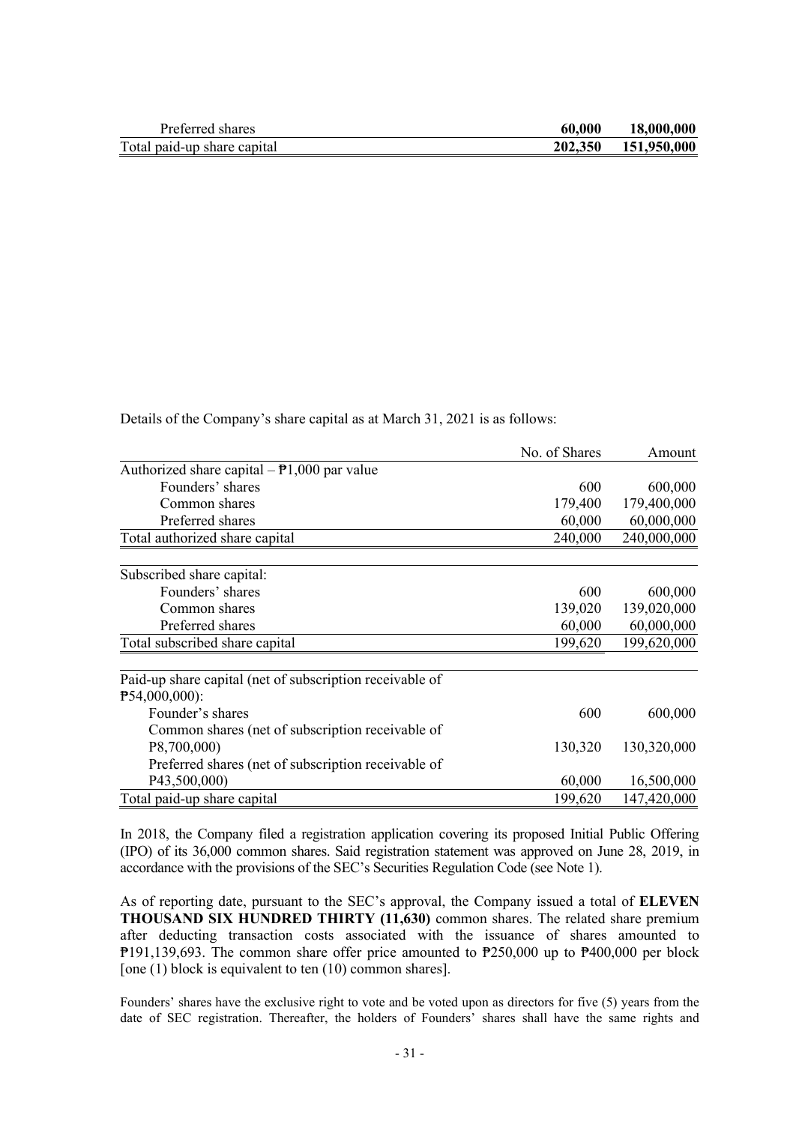| Preferred shares            | 60.000 | 18,000,000          |
|-----------------------------|--------|---------------------|
| Total paid-up share capital |        | 202,350 151,950,000 |

Details of the Company's share capital as at March 31, 2021 is as follows:

|                                                          | No. of Shares | Amount      |
|----------------------------------------------------------|---------------|-------------|
| Authorized share capital $-\frac{1}{2}$ ,000 par value   |               |             |
| Founders' shares                                         | 600           | 600,000     |
| Common shares                                            | 179,400       | 179,400,000 |
| Preferred shares                                         | 60,000        | 60,000,000  |
| Total authorized share capital                           | 240,000       | 240,000,000 |
| Subscribed share capital:                                |               |             |
| Founders' shares                                         | 600           | 600,000     |
| Common shares                                            | 139,020       | 139,020,000 |
| Preferred shares                                         | 60,000        | 60,000,000  |
| Total subscribed share capital                           | 199,620       | 199,620,000 |
| Paid-up share capital (net of subscription receivable of |               |             |
| $P54,000,000$ :                                          |               |             |
| Founder's shares                                         | 600           | 600,000     |
| Common shares (net of subscription receivable of         |               |             |
| P8,700,000)                                              | 130,320       | 130,320,000 |
| Preferred shares (net of subscription receivable of      |               |             |
| P43,500,000)                                             | 60,000        | 16,500,000  |
| Total paid-up share capital                              | 199,620       | 147,420,000 |

In 2018, the Company filed a registration application covering its proposed Initial Public Offering (IPO) of its 36,000 common shares. Said registration statement was approved on June 28, 2019, in accordance with the provisions of the SEC's Securities Regulation Code (see Note 1).

As of reporting date, pursuant to the SEC's approval, the Company issued a total of **ELEVEN THOUSAND SIX HUNDRED THIRTY (11,630)** common shares. The related share premium after deducting transaction costs associated with the issuance of shares amounted to ₱191,139,693. The common share offer price amounted to ₱250,000 up to ₱400,000 per block [one (1) block is equivalent to ten (10) common shares].

Founders' shares have the exclusive right to vote and be voted upon as directors for five (5) years from the date of SEC registration. Thereafter, the holders of Founders' shares shall have the same rights and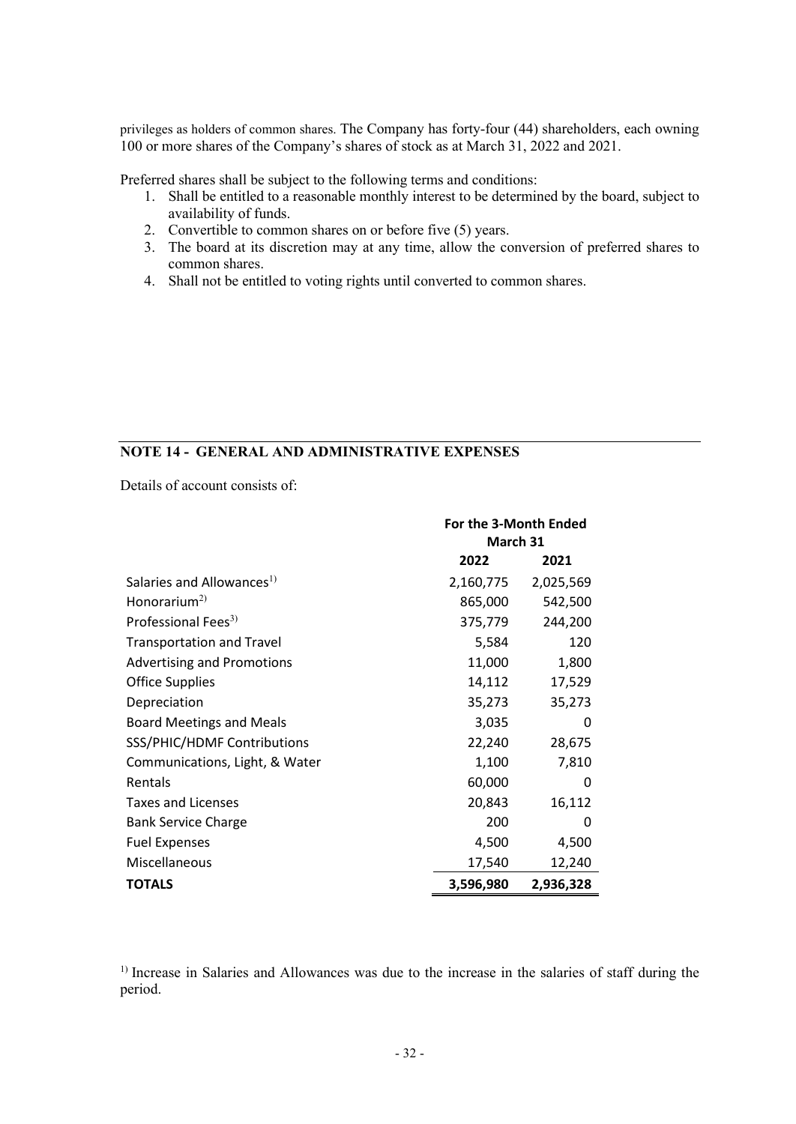privileges as holders of common shares. The Company has forty-four (44) shareholders, each owning 100 or more shares of the Company's shares of stock as at March 31, 2022 and 2021.

Preferred shares shall be subject to the following terms and conditions:

- 1. Shall be entitled to a reasonable monthly interest to be determined by the board, subject to availability of funds.
- 2. Convertible to common shares on or before five (5) years.
- 3. The board at its discretion may at any time, allow the conversion of preferred shares to common shares.
- 4. Shall not be entitled to voting rights until converted to common shares.

# **NOTE 14 - GENERAL AND ADMINISTRATIVE EXPENSES**

Details of account consists of:

|                                       | For the 3-Month Ended  |           |  |
|---------------------------------------|------------------------|-----------|--|
|                                       | March 31               |           |  |
|                                       | 2022                   | 2021      |  |
| Salaries and Allowances <sup>1)</sup> | 2,160,775              | 2,025,569 |  |
| Honorarium <sup>2)</sup>              | 865,000                | 542,500   |  |
| Professional Fees <sup>3)</sup>       | 375,779                | 244,200   |  |
| <b>Transportation and Travel</b>      | 5,584                  | 120       |  |
| <b>Advertising and Promotions</b>     | 11,000                 | 1,800     |  |
| <b>Office Supplies</b>                | 14,112                 | 17,529    |  |
| Depreciation                          | 35,273                 | 35,273    |  |
| <b>Board Meetings and Meals</b>       | 3,035                  | 0         |  |
| SSS/PHIC/HDMF Contributions           | 22,240                 | 28,675    |  |
| Communications, Light, & Water        | 1,100                  | 7,810     |  |
| Rentals                               | 60,000                 | 0         |  |
| <b>Taxes and Licenses</b>             | 20,843                 | 16,112    |  |
| <b>Bank Service Charge</b>            | 200                    | 0         |  |
| <b>Fuel Expenses</b>                  | 4,500                  | 4,500     |  |
| Miscellaneous                         | 17,540                 | 12,240    |  |
| <b>TOTALS</b>                         | 3,596,980<br>2,936,328 |           |  |

<sup>1)</sup> Increase in Salaries and Allowances was due to the increase in the salaries of staff during the period.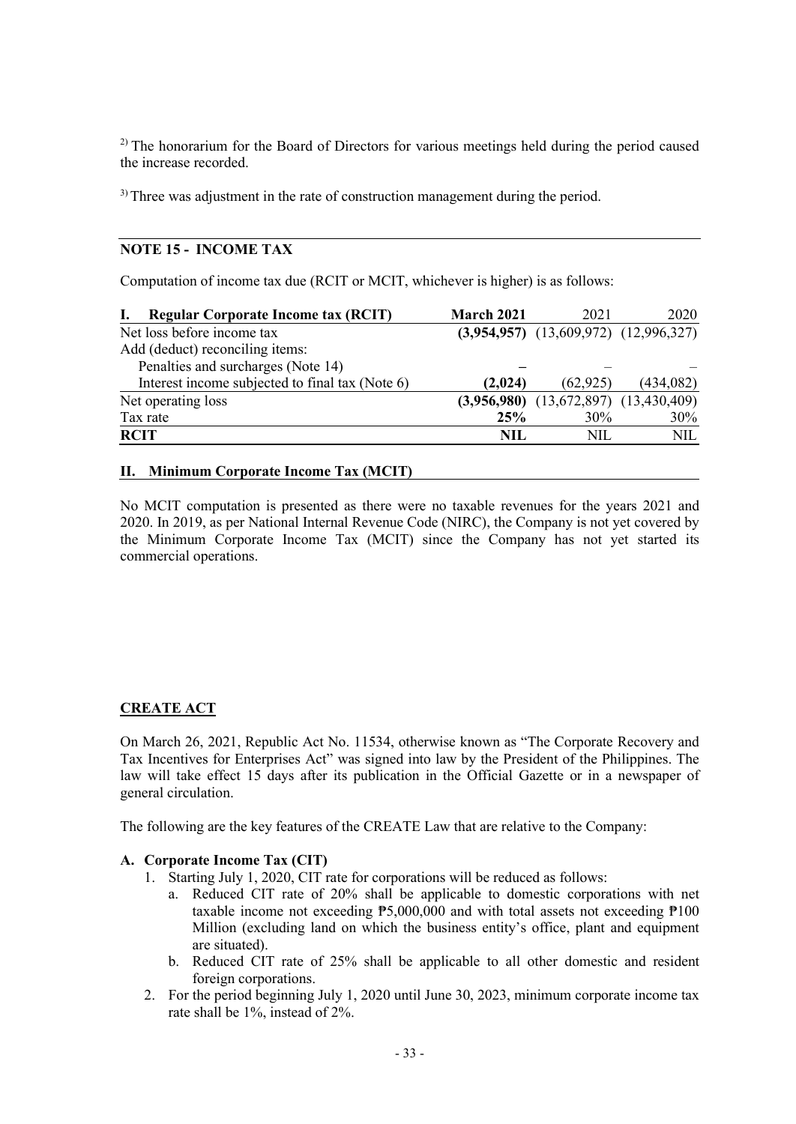$2)$  The honorarium for the Board of Directors for various meetings held during the period caused the increase recorded.

<sup>3)</sup> Three was adjustment in the rate of construction management during the period.

# **NOTE 15 - INCOME TAX**

Computation of income tax due (RCIT or MCIT, whichever is higher) is as follows:

| <b>Regular Corporate Income tax (RCIT)</b>      | <b>March 2021</b> | 2021                                        | 2020       |
|-------------------------------------------------|-------------------|---------------------------------------------|------------|
| Net loss before income tax                      |                   | $(3,954,957)$ $(13,609,972)$ $(12,996,327)$ |            |
| Add (deduct) reconciling items:                 |                   |                                             |            |
| Penalties and surcharges (Note 14)              |                   |                                             |            |
| Interest income subjected to final tax (Note 6) | (2,024)           | (62, 925)                                   | (434, 082) |
| Net operating loss                              |                   | $(3,956,980)$ $(13,672,897)$ $(13,430,409)$ |            |
| Tax rate                                        | 25%               | 30%                                         | 30%        |
| <b>RCIT</b>                                     | NIL.              | NII.                                        | NIL.       |

#### **II. Minimum Corporate Income Tax (MCIT)**

No MCIT computation is presented as there were no taxable revenues for the years 2021 and 2020. In 2019, as per National Internal Revenue Code (NIRC), the Company is not yet covered by the Minimum Corporate Income Tax (MCIT) since the Company has not yet started its commercial operations.

# **CREATE ACT**

On March 26, 2021, Republic Act No. 11534, otherwise known as "The Corporate Recovery and Tax Incentives for Enterprises Act" was signed into law by the President of the Philippines. The law will take effect 15 days after its publication in the Official Gazette or in a newspaper of general circulation.

The following are the key features of the CREATE Law that are relative to the Company:

# **A. Corporate Income Tax (CIT)**

- 1. Starting July 1, 2020, CIT rate for corporations will be reduced as follows:
	- a. Reduced CIT rate of 20% shall be applicable to domestic corporations with net taxable income not exceeding  $P5,000,000$  and with total assets not exceeding  $P100$ Million (excluding land on which the business entity's office, plant and equipment are situated).
	- b. Reduced CIT rate of 25% shall be applicable to all other domestic and resident foreign corporations.
- 2. For the period beginning July 1, 2020 until June 30, 2023, minimum corporate income tax rate shall be 1%, instead of 2%.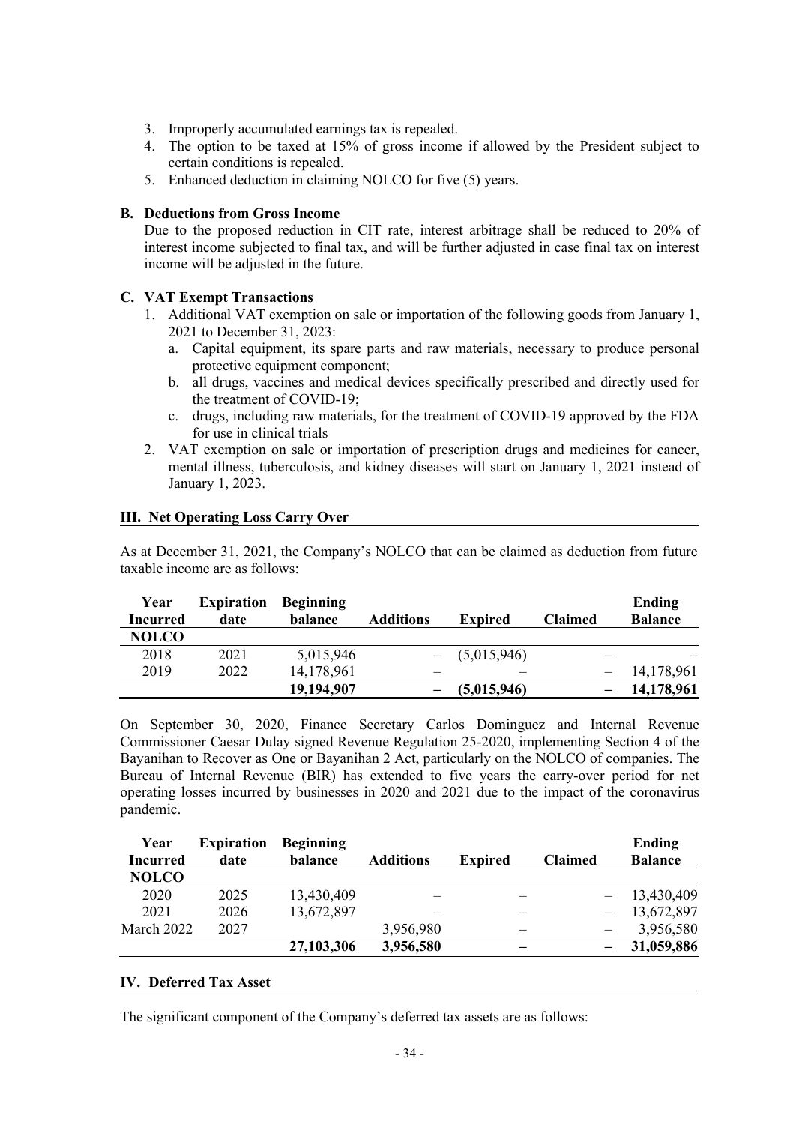- 3. Improperly accumulated earnings tax is repealed.
- 4. The option to be taxed at 15% of gross income if allowed by the President subject to certain conditions is repealed.
- 5. Enhanced deduction in claiming NOLCO for five (5) years.

# **B. Deductions from Gross Income**

Due to the proposed reduction in CIT rate, interest arbitrage shall be reduced to 20% of interest income subjected to final tax, and will be further adjusted in case final tax on interest income will be adjusted in the future.

# **C. VAT Exempt Transactions**

- 1. Additional VAT exemption on sale or importation of the following goods from January 1, 2021 to December 31, 2023:
	- a. Capital equipment, its spare parts and raw materials, necessary to produce personal protective equipment component;
	- b. all drugs, vaccines and medical devices specifically prescribed and directly used for the treatment of COVID-19;
	- c. drugs, including raw materials, for the treatment of COVID-19 approved by the FDA for use in clinical trials
- 2. VAT exemption on sale or importation of prescription drugs and medicines for cancer, mental illness, tuberculosis, and kidney diseases will start on January 1, 2021 instead of January 1, 2023.

#### **III. Net Operating Loss Carry Over**

As at December 31, 2021, the Company's NOLCO that can be claimed as deduction from future taxable income are as follows:

| Year<br>Incurred | <b>Expiration</b><br>date | <b>Beginning</b><br>balance | Additions | <b>Expired</b> | <b>Claimed</b> | Ending<br><b>Balance</b> |
|------------------|---------------------------|-----------------------------|-----------|----------------|----------------|--------------------------|
| <b>NOLCO</b>     |                           |                             |           |                |                |                          |
|                  |                           |                             |           |                |                |                          |
| 2018             | 2021                      | 5,015,946                   |           | (5,015,946)    |                |                          |
| 2019             | 2022                      | 14,178,961                  |           |                |                | 14,178,961               |
|                  |                           | 19,194,907                  |           | (5,015,946)    |                | 14,178,961               |

On September 30, 2020, Finance Secretary Carlos Dominguez and Internal Revenue Commissioner Caesar Dulay signed Revenue Regulation 25-2020, implementing Section 4 of the Bayanihan to Recover as One or Bayanihan 2 Act, particularly on the NOLCO of companies. The Bureau of Internal Revenue (BIR) has extended to five years the carry-over period for net operating losses incurred by businesses in 2020 and 2021 due to the impact of the coronavirus pandemic.

| Year            | <b>Expiration</b> | <b>Beginning</b> |                  |                |                | Ending         |
|-----------------|-------------------|------------------|------------------|----------------|----------------|----------------|
| <b>Incurred</b> | date              | balance          | <b>Additions</b> | <b>Expired</b> | <b>Claimed</b> | <b>Balance</b> |
| <b>NOLCO</b>    |                   |                  |                  |                |                |                |
| 2020            | 2025              | 13,430,409       |                  |                |                | 13,430,409     |
| 2021            | 2026              | 13,672,897       |                  |                |                | 13,672,897     |
| March 2022      | 2027              |                  | 3,956,980        |                |                | 3,956,580      |
|                 |                   | 27,103,306       | 3,956,580        |                |                | 31,059,886     |

#### **IV. Deferred Tax Asset**

The significant component of the Company's deferred tax assets are as follows: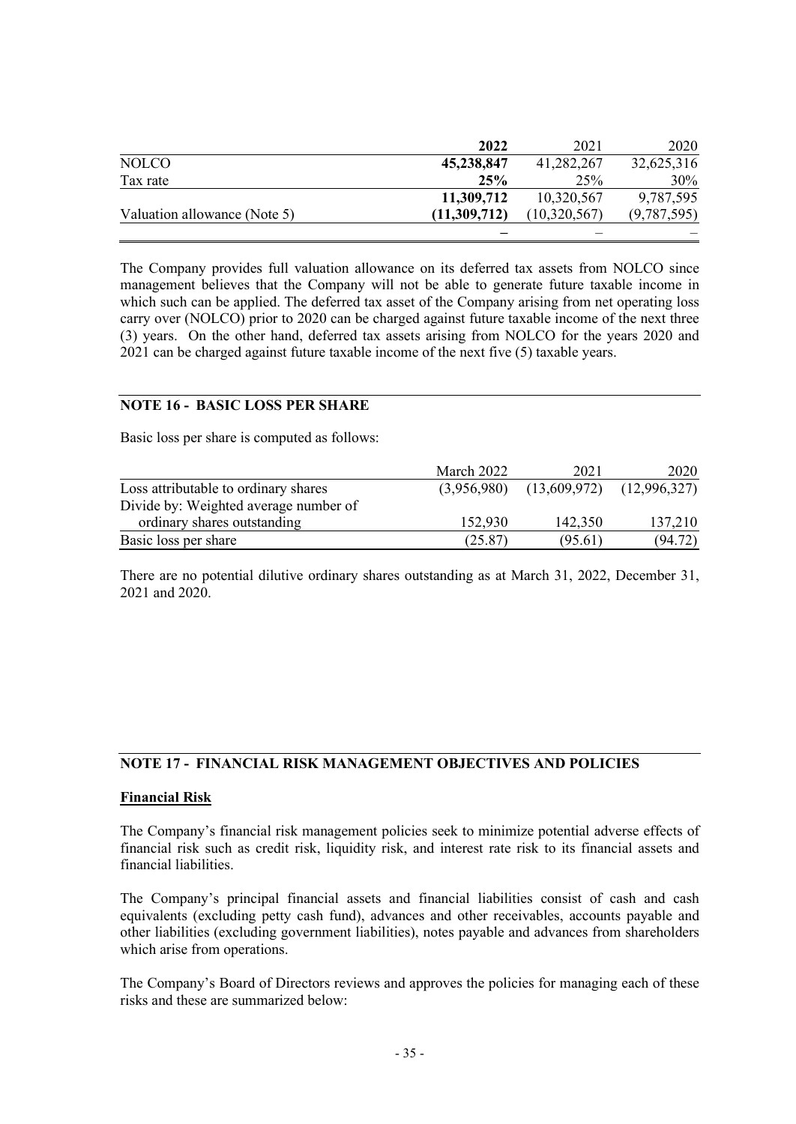|                              | 2022         | 2021         | 2020        |
|------------------------------|--------------|--------------|-------------|
| <b>NOLCO</b>                 | 45,238,847   | 41,282,267   | 32,625,316  |
| Tax rate                     | 25%          | 25%          | 30%         |
|                              | 11,309,712   | 10,320,567   | 9,787,595   |
| Valuation allowance (Note 5) | (11,309,712) | (10,320,567) | (9,787,595) |
|                              |              |              |             |

The Company provides full valuation allowance on its deferred tax assets from NOLCO since management believes that the Company will not be able to generate future taxable income in which such can be applied. The deferred tax asset of the Company arising from net operating loss carry over (NOLCO) prior to 2020 can be charged against future taxable income of the next three (3) years. On the other hand, deferred tax assets arising from NOLCO for the years 2020 and 2021 can be charged against future taxable income of the next five (5) taxable years.

# **NOTE 16 - BASIC LOSS PER SHARE**

Basic loss per share is computed as follows:

|                                       | March 2022  | 2021                          | 2020    |
|---------------------------------------|-------------|-------------------------------|---------|
| Loss attributable to ordinary shares  | (3,956,980) | $(13,609,972)$ $(12,996,327)$ |         |
| Divide by: Weighted average number of |             |                               |         |
| ordinary shares outstanding           | 152,930     | 142,350                       | 137,210 |
| Basic loss per share                  | (25.87)     | (95.61)                       | (94.72) |

There are no potential dilutive ordinary shares outstanding as at March 31, 2022, December 31, 2021 and 2020.

#### **NOTE 17 - FINANCIAL RISK MANAGEMENT OBJECTIVES AND POLICIES**

#### **Financial Risk**

The Company's financial risk management policies seek to minimize potential adverse effects of financial risk such as credit risk, liquidity risk, and interest rate risk to its financial assets and financial liabilities.

The Company's principal financial assets and financial liabilities consist of cash and cash equivalents (excluding petty cash fund), advances and other receivables, accounts payable and other liabilities (excluding government liabilities), notes payable and advances from shareholders which arise from operations.

The Company's Board of Directors reviews and approves the policies for managing each of these risks and these are summarized below: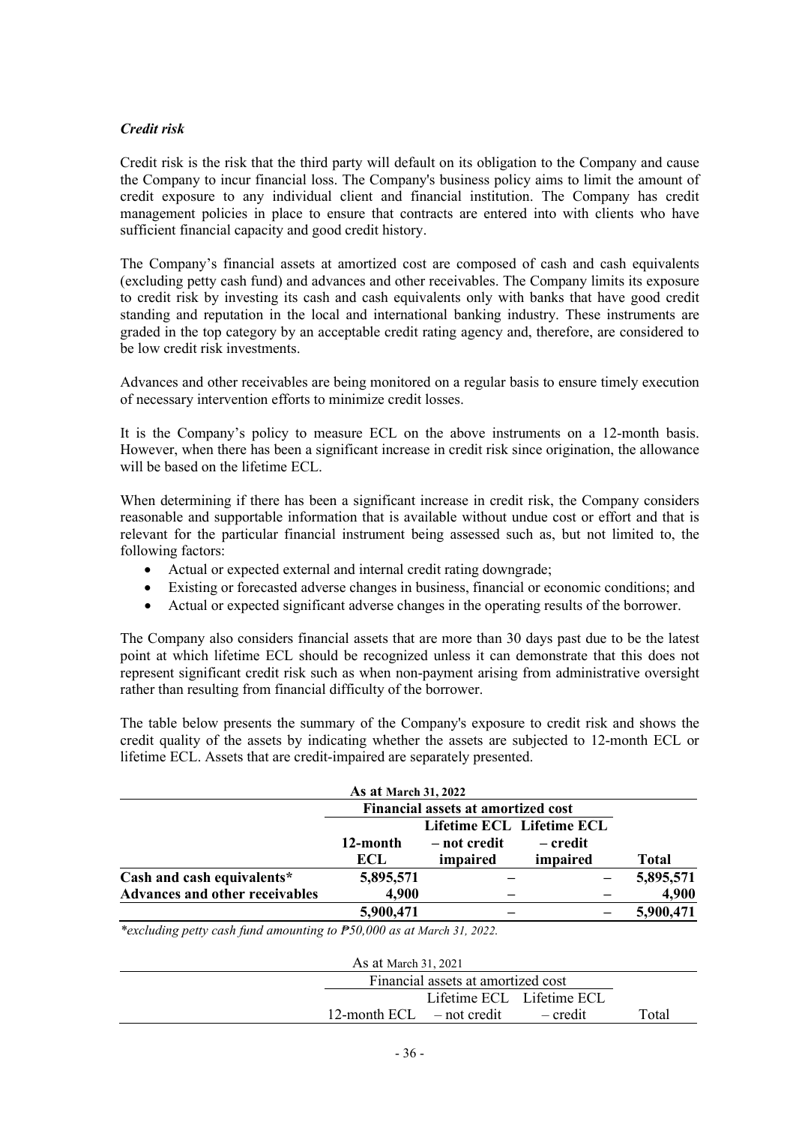# *Credit risk*

Credit risk is the risk that the third party will default on its obligation to the Company and cause the Company to incur financial loss. The Company's business policy aims to limit the amount of credit exposure to any individual client and financial institution. The Company has credit management policies in place to ensure that contracts are entered into with clients who have sufficient financial capacity and good credit history.

The Company's financial assets at amortized cost are composed of cash and cash equivalents (excluding petty cash fund) and advances and other receivables. The Company limits its exposure to credit risk by investing its cash and cash equivalents only with banks that have good credit standing and reputation in the local and international banking industry. These instruments are graded in the top category by an acceptable credit rating agency and, therefore, are considered to be low credit risk investments.

Advances and other receivables are being monitored on a regular basis to ensure timely execution of necessary intervention efforts to minimize credit losses.

It is the Company's policy to measure ECL on the above instruments on a 12-month basis. However, when there has been a significant increase in credit risk since origination, the allowance will be based on the lifetime ECL.

When determining if there has been a significant increase in credit risk, the Company considers reasonable and supportable information that is available without undue cost or effort and that is relevant for the particular financial instrument being assessed such as, but not limited to, the following factors:

- Actual or expected external and internal credit rating downgrade;
- Existing or forecasted adverse changes in business, financial or economic conditions; and
- Actual or expected significant adverse changes in the operating results of the borrower.

The Company also considers financial assets that are more than 30 days past due to be the latest point at which lifetime ECL should be recognized unless it can demonstrate that this does not represent significant credit risk such as when non-payment arising from administrative oversight rather than resulting from financial difficulty of the borrower.

The table below presents the summary of the Company's exposure to credit risk and shows the credit quality of the assets by indicating whether the assets are subjected to 12-month ECL or lifetime ECL. Assets that are credit-impaired are separately presented.

|                                | <b>As at March 31, 2022</b>               |              |                           |              |
|--------------------------------|-------------------------------------------|--------------|---------------------------|--------------|
|                                | <b>Financial assets at amortized cost</b> |              |                           |              |
|                                |                                           |              | Lifetime ECL Lifetime ECL |              |
|                                | 12-month                                  | – not credit | – credit                  |              |
|                                | ECL                                       | impaired     | impaired                  | <b>Total</b> |
| Cash and cash equivalents*     | 5,895,571                                 |              |                           | 5,895,571    |
| Advances and other receivables | 4,900                                     |              |                           | 4,900        |
|                                | 5,900,471                                 |              |                           | 5,900,471    |

*\*excluding petty cash fund amounting to ₱50,000 as at March 31, 2022.*

| As at March 31, 2021 |                                      |                           |  |       |  |  |
|----------------------|--------------------------------------|---------------------------|--|-------|--|--|
|                      |                                      |                           |  |       |  |  |
|                      |                                      | Lifetime ECL Lifetime ECL |  |       |  |  |
|                      | 12-month $ECL$ – not credit – credit |                           |  | Total |  |  |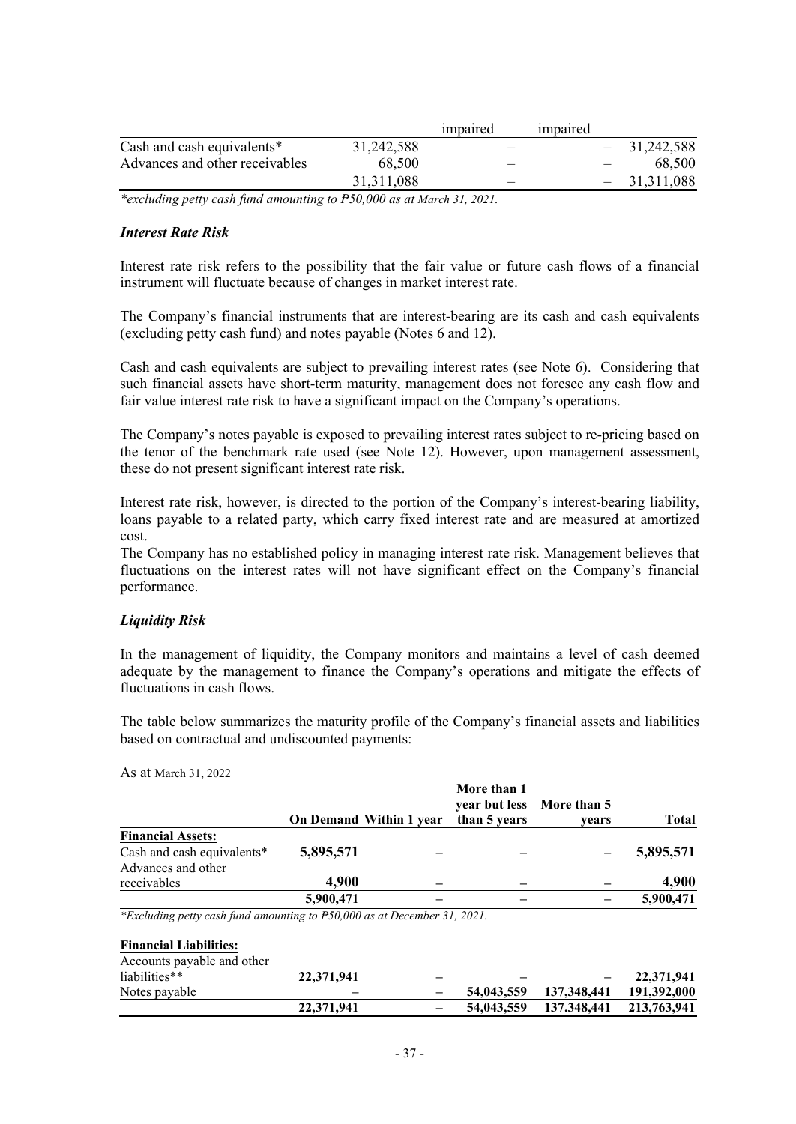|                                |              | impaired | <i>impaired</i> |              |
|--------------------------------|--------------|----------|-----------------|--------------|
| Cash and cash equivalents*     | 31,242,588   |          |                 | 31,242,588   |
| Advances and other receivables | 68,500       |          |                 | 68,500       |
|                                | 31, 311, 088 |          |                 | 31, 311, 088 |

*\*excluding petty cash fund amounting to ₱50,000 as at March 31, 2021.*

#### *Interest Rate Risk*

Interest rate risk refers to the possibility that the fair value or future cash flows of a financial instrument will fluctuate because of changes in market interest rate.

The Company's financial instruments that are interest-bearing are its cash and cash equivalents (excluding petty cash fund) and notes payable (Notes 6 and 12).

Cash and cash equivalents are subject to prevailing interest rates (see Note 6). Considering that such financial assets have short-term maturity, management does not foresee any cash flow and fair value interest rate risk to have a significant impact on the Company's operations.

The Company's notes payable is exposed to prevailing interest rates subject to re-pricing based on the tenor of the benchmark rate used (see Note 12). However, upon management assessment, these do not present significant interest rate risk.

Interest rate risk, however, is directed to the portion of the Company's interest-bearing liability, loans payable to a related party, which carry fixed interest rate and are measured at amortized cost.

The Company has no established policy in managing interest rate risk. Management believes that fluctuations on the interest rates will not have significant effect on the Company's financial performance.

#### *Liquidity Risk*

As at March 31, 2022

**Financial Liabilities:**

In the management of liquidity, the Company monitors and maintains a level of cash deemed adequate by the management to finance the Company's operations and mitigate the effects of fluctuations in cash flows.

The table below summarizes the maturity profile of the Company's financial assets and liabilities based on contractual and undiscounted payments:

|                            |           | <b>On Demand Within 1 year</b> | More than 1<br>year but less More than 5<br>than 5 years | vears | <b>Total</b> |
|----------------------------|-----------|--------------------------------|----------------------------------------------------------|-------|--------------|
| <b>Financial Assets:</b>   |           |                                |                                                          |       |              |
| Cash and cash equivalents* | 5,895,571 |                                |                                                          |       | 5,895,571    |
| Advances and other         |           |                                |                                                          |       |              |
| receivables                | 4,900     |                                |                                                          |       | 4,900        |
|                            | 5,900,471 |                                |                                                          |       | 5,900,471    |

| Accounts payable and other |            |            |                         |            |
|----------------------------|------------|------------|-------------------------|------------|
| liabilities**              | 22,371,941 |            |                         | 22,371,941 |
| Notes payable              | _          | 54,043,559 | 137,348,441 191,392,000 |            |
|                            | 22,371,941 | 54,043,559 | 137.348,441 213,763,941 |            |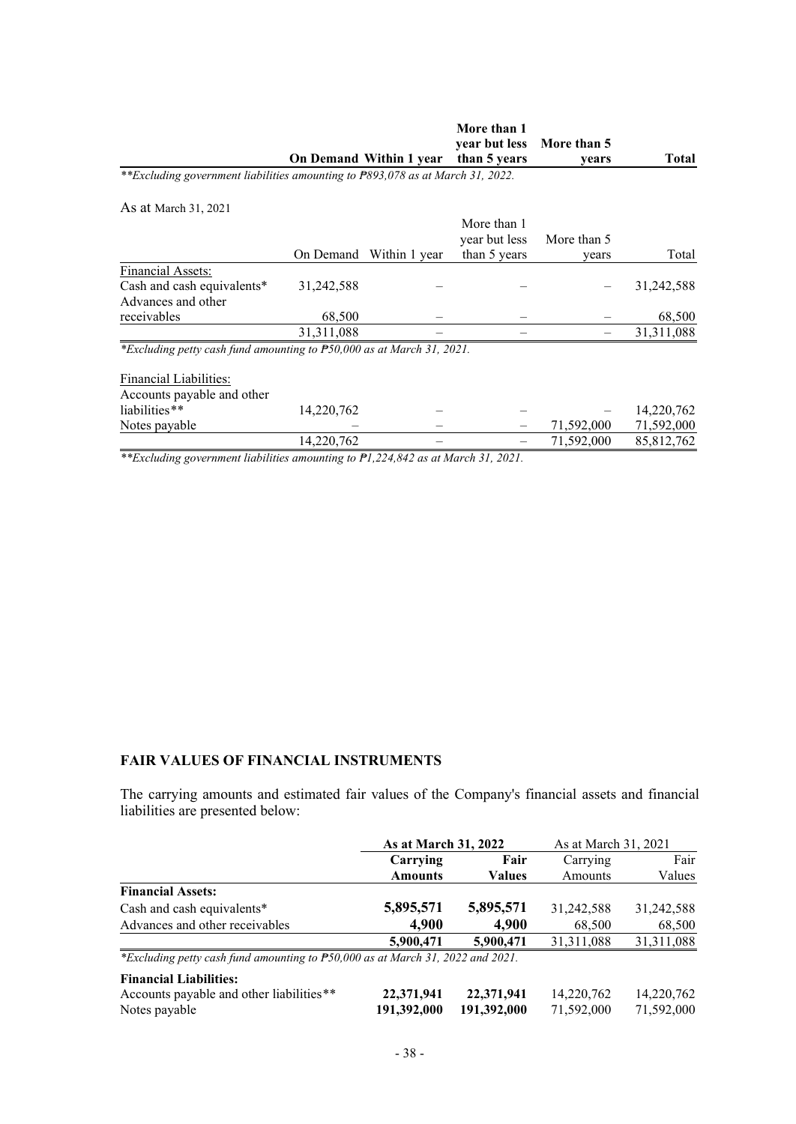|                                                                                |              |                         | More than 1   |             |              |
|--------------------------------------------------------------------------------|--------------|-------------------------|---------------|-------------|--------------|
|                                                                                |              |                         | year but less | More than 5 |              |
|                                                                                |              | On Demand Within 1 year | than 5 years  | years       | <b>Total</b> |
| **Excluding government liabilities amounting to P893,078 as at March 31, 2022. |              |                         |               |             |              |
| As at March 31, 2021                                                           |              |                         |               |             |              |
|                                                                                |              |                         | More than 1   |             |              |
|                                                                                |              |                         | year but less | More than 5 |              |
|                                                                                | On Demand    | Within 1 year           | than 5 years  | vears       | Total        |
| <b>Financial Assets:</b>                                                       |              |                         |               |             |              |
| Cash and cash equivalents*                                                     | 31,242,588   |                         |               |             | 31,242,588   |
| Advances and other                                                             |              |                         |               |             |              |
| receivables                                                                    | 68,500       |                         |               |             | 68,500       |
|                                                                                | 31, 311, 088 |                         |               |             | 31,311,088   |
| *Excluding petty cash fund amounting to P50,000 as at March 31, 2021.          |              |                         |               |             |              |
| Financial Liabilities:                                                         |              |                         |               |             |              |
| Accounts payable and other                                                     |              |                         |               |             |              |
| liabilities**                                                                  | 14,220,762   |                         |               |             | 14,220,762   |
| Notes payable                                                                  |              |                         |               | 71,592,000  | 71,592,000   |
|                                                                                | 14,220,762   |                         |               | 71,592,000  | 85, 812, 762 |

*\*\*Excluding government liabilities amounting to ₱1,224,842 as at March 31, 2021.*

# **FAIR VALUES OF FINANCIAL INSTRUMENTS**

The carrying amounts and estimated fair values of the Company's financial assets and financial liabilities are presented below:

|                                                                                | As at March 31, 2022 |               | As at March 31, 2021 |            |
|--------------------------------------------------------------------------------|----------------------|---------------|----------------------|------------|
|                                                                                | Carrying             | Fair          | Carrying             | Fair       |
|                                                                                | <b>Amounts</b>       | <b>Values</b> | Amounts              | Values     |
| <b>Financial Assets:</b>                                                       |                      |               |                      |            |
| Cash and cash equivalents*                                                     | 5,895,571            | 5,895,571     | 31,242,588           | 31,242,588 |
| Advances and other receivables                                                 | 4,900                | 4,900         | 68,500               | 68,500     |
|                                                                                | 5,900,471            | 5,900,471     | 31, 311, 088         | 31,311,088 |
| *Excluding petty cash fund amounting to P50,000 as at March 31, 2022 and 2021. |                      |               |                      |            |
| <b>Financial Liabilities:</b>                                                  |                      |               |                      |            |

| 1 шапски главшися.                       |                         |            |            |
|------------------------------------------|-------------------------|------------|------------|
| Accounts payable and other liabilities** | 22,371,941 22,371,941   | 14,220,762 | 14,220,762 |
| Notes payable                            | 191,392,000 191,392,000 | 71.592.000 | 71,592,000 |
|                                          |                         |            |            |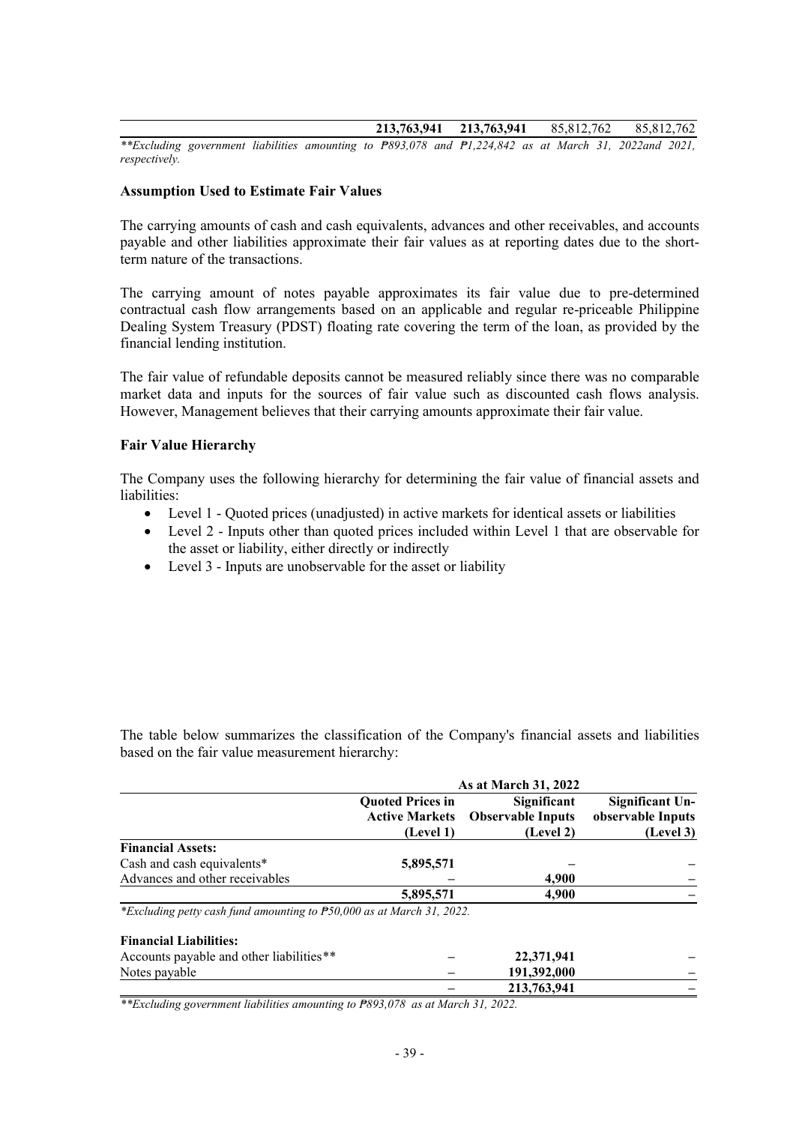**213,763,941 213,763,941** 85,812,762 85,812,762

*\*\*Excluding government liabilities amounting to ₱893,078 and ₱1,224,842 as at March 31, 2022and 2021, respectively.*

#### **Assumption Used to Estimate Fair Values**

The carrying amounts of cash and cash equivalents, advances and other receivables, and accounts payable and other liabilities approximate their fair values as at reporting dates due to the shortterm nature of the transactions.

The carrying amount of notes payable approximates its fair value due to pre-determined contractual cash flow arrangements based on an applicable and regular re-priceable Philippine Dealing System Treasury (PDST) floating rate covering the term of the loan, as provided by the financial lending institution.

The fair value of refundable deposits cannot be measured reliably since there was no comparable market data and inputs for the sources of fair value such as discounted cash flows analysis. However, Management believes that their carrying amounts approximate their fair value.

#### **Fair Value Hierarchy**

The Company uses the following hierarchy for determining the fair value of financial assets and liabilities:

- Level 1 Quoted prices (unadjusted) in active markets for identical assets or liabilities
- Level 2 Inputs other than quoted prices included within Level 1 that are observable for the asset or liability, either directly or indirectly
- Level 3 Inputs are unobservable for the asset or liability

The table below summarizes the classification of the Company's financial assets and liabilities based on the fair value measurement hierarchy:

|                                                                       |                                                               | As at March 31, 2022                                 |                                                   |
|-----------------------------------------------------------------------|---------------------------------------------------------------|------------------------------------------------------|---------------------------------------------------|
|                                                                       | <b>Quoted Prices in</b><br><b>Active Markets</b><br>(Level 1) | Significant<br><b>Observable Inputs</b><br>(Level 2) | Significant Un-<br>observable Inputs<br>(Level 3) |
| <b>Financial Assets:</b>                                              |                                                               |                                                      |                                                   |
| Cash and cash equivalents*                                            | 5,895,571                                                     |                                                      |                                                   |
| Advances and other receivables                                        |                                                               | 4,900                                                |                                                   |
|                                                                       | 5,895,571                                                     | 4.900                                                |                                                   |
| *Excluding petty cash fund amounting to P50,000 as at March 31, 2022. |                                                               |                                                      |                                                   |
| <b>Financial Liabilities:</b>                                         |                                                               |                                                      |                                                   |
| Accounts payable and other liabilities**                              |                                                               | 22,371,941                                           |                                                   |
| Notes payable                                                         |                                                               | 191,392,000                                          |                                                   |
|                                                                       |                                                               | 213,763,941                                          |                                                   |

*\*\*Excluding government liabilities amounting to ₱893,078 as at March 31, 2022.*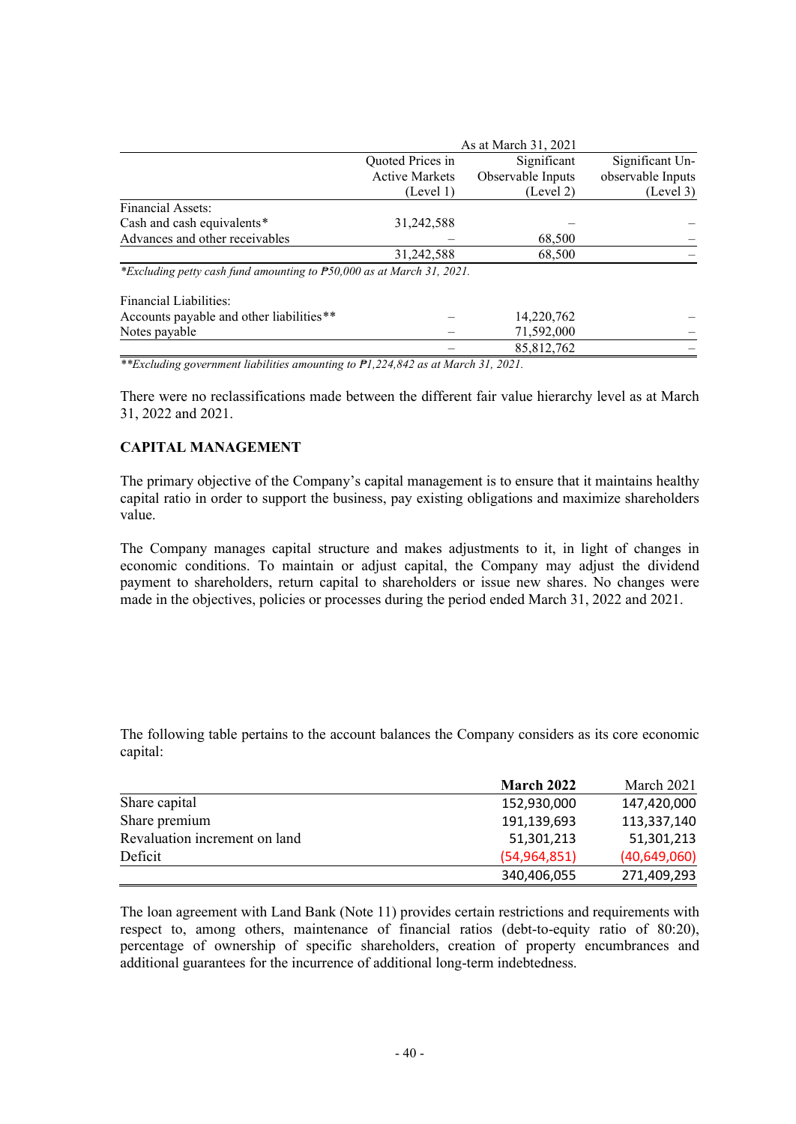|                                                                       |                       | As at March 31, 2021 |                   |
|-----------------------------------------------------------------------|-----------------------|----------------------|-------------------|
|                                                                       | Quoted Prices in      | Significant          | Significant Un-   |
|                                                                       | <b>Active Markets</b> | Observable Inputs    | observable Inputs |
|                                                                       | (Level 1)             | (Level 2)            | (Level 3)         |
| Financial Assets:                                                     |                       |                      |                   |
| Cash and cash equivalents*                                            | 31,242,588            |                      |                   |
| Advances and other receivables                                        |                       | 68,500               |                   |
|                                                                       | 31,242,588            | 68,500               |                   |
| *Excluding petty cash fund amounting to P50,000 as at March 31, 2021. |                       |                      |                   |
| <b>Financial Liabilities:</b>                                         |                       |                      |                   |
| Accounts payable and other liabilities**                              |                       | 14,220,762           |                   |
| Notes payable                                                         |                       | 71,592,000           |                   |
|                                                                       |                       | 85, 812, 762         |                   |

*\*\*Excluding government liabilities amounting to ₱1,224,842 as at March 31, 2021.*

There were no reclassifications made between the different fair value hierarchy level as at March 31, 2022 and 2021.

# **CAPITAL MANAGEMENT**

The primary objective of the Company's capital management is to ensure that it maintains healthy capital ratio in order to support the business, pay existing obligations and maximize shareholders value.

The Company manages capital structure and makes adjustments to it, in light of changes in economic conditions. To maintain or adjust capital, the Company may adjust the dividend payment to shareholders, return capital to shareholders or issue new shares. No changes were made in the objectives, policies or processes during the period ended March 31, 2022 and 2021.

The following table pertains to the account balances the Company considers as its core economic capital:

|                               | March 2022     | March 2021     |
|-------------------------------|----------------|----------------|
| Share capital                 | 152,930,000    | 147,420,000    |
| Share premium                 | 191,139,693    | 113,337,140    |
| Revaluation increment on land | 51,301,213     | 51,301,213     |
| Deficit                       | (54, 964, 851) | (40, 649, 060) |
|                               | 340,406,055    | 271,409,293    |

The loan agreement with Land Bank (Note 11) provides certain restrictions and requirements with respect to, among others, maintenance of financial ratios (debt-to-equity ratio of 80:20), percentage of ownership of specific shareholders, creation of property encumbrances and additional guarantees for the incurrence of additional long-term indebtedness.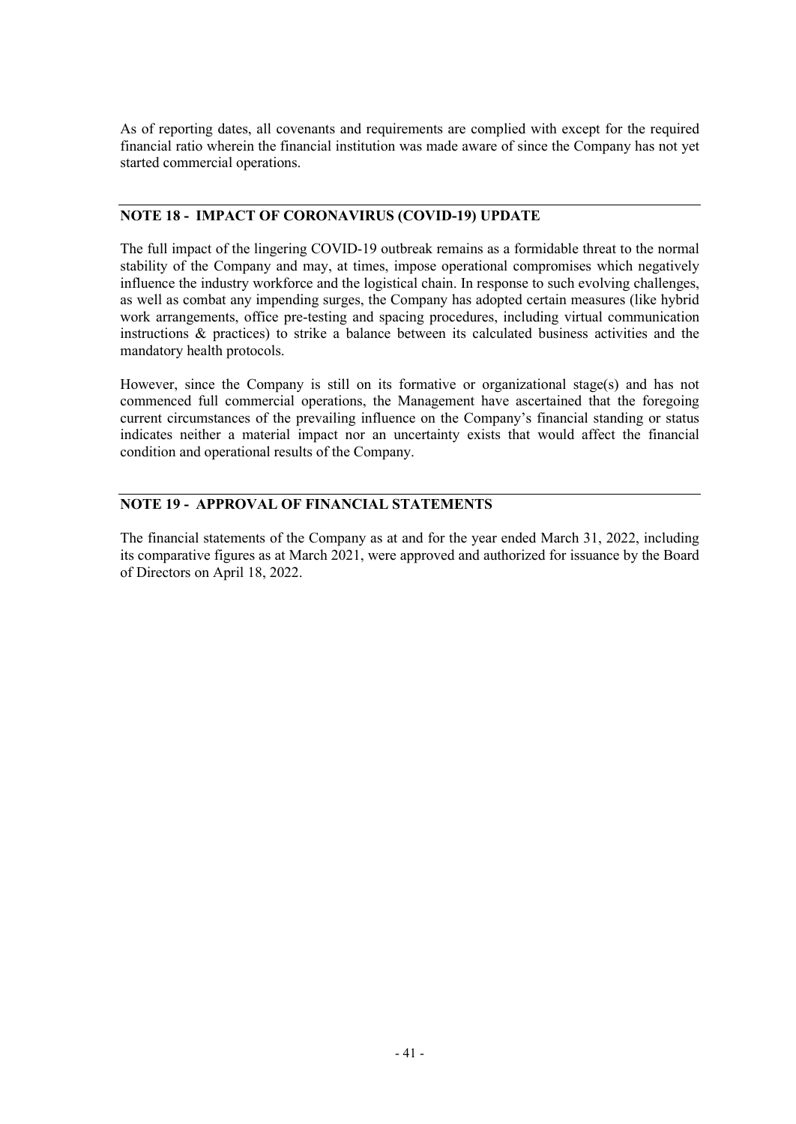As of reporting dates, all covenants and requirements are complied with except for the required financial ratio wherein the financial institution was made aware of since the Company has not yet started commercial operations.

# **NOTE 18 - IMPACT OF CORONAVIRUS (COVID-19) UPDATE**

The full impact of the lingering COVID-19 outbreak remains as a formidable threat to the normal stability of the Company and may, at times, impose operational compromises which negatively influence the industry workforce and the logistical chain. In response to such evolving challenges, as well as combat any impending surges, the Company has adopted certain measures (like hybrid work arrangements, office pre-testing and spacing procedures, including virtual communication instructions & practices) to strike a balance between its calculated business activities and the mandatory health protocols.

However, since the Company is still on its formative or organizational stage(s) and has not commenced full commercial operations, the Management have ascertained that the foregoing current circumstances of the prevailing influence on the Company's financial standing or status indicates neither a material impact nor an uncertainty exists that would affect the financial condition and operational results of the Company.

# **NOTE 19 - APPROVAL OF FINANCIAL STATEMENTS**

The financial statements of the Company as at and for the year ended March 31, 2022, including its comparative figures as at March 2021, were approved and authorized for issuance by the Board of Directors on April 18, 2022.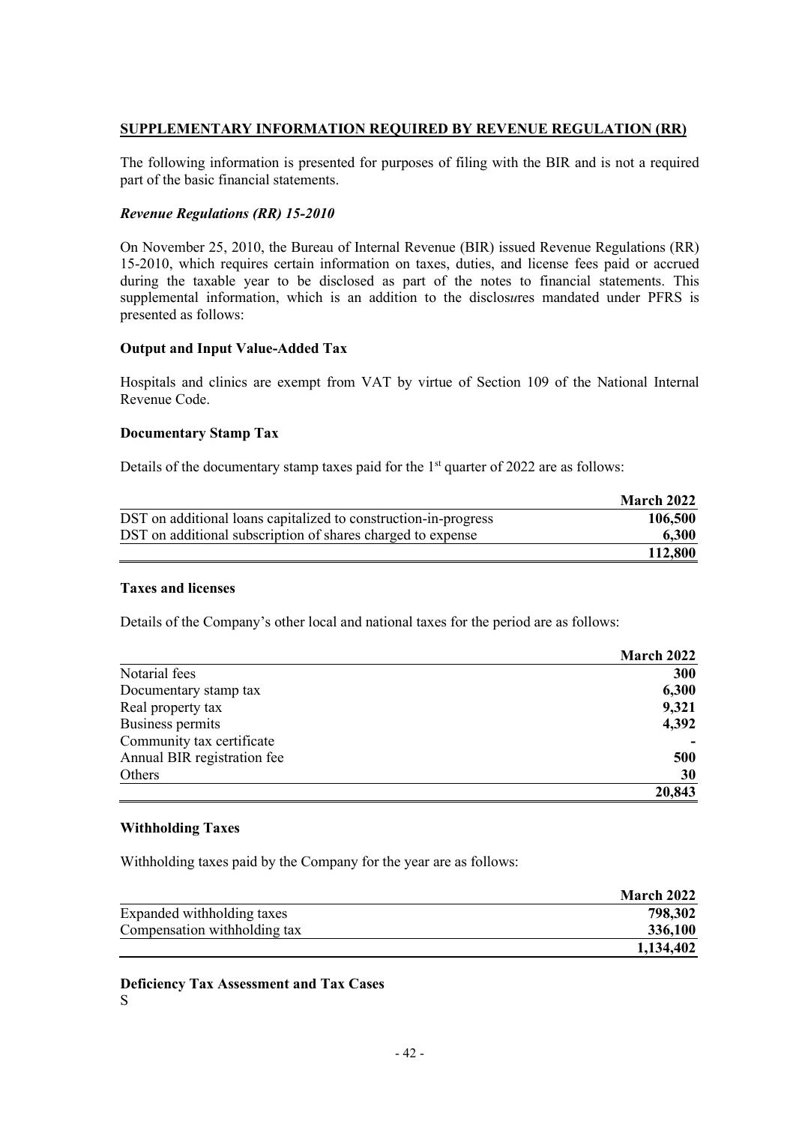# **SUPPLEMENTARY INFORMATION REQUIRED BY REVENUE REGULATION (RR)**

The following information is presented for purposes of filing with the BIR and is not a required part of the basic financial statements.

### *Revenue Regulations (RR) 15-2010*

On November 25, 2010, the Bureau of Internal Revenue (BIR) issued Revenue Regulations (RR) 15-2010, which requires certain information on taxes, duties, and license fees paid or accrued during the taxable year to be disclosed as part of the notes to financial statements. This supplemental information, which is an addition to the disclos*u*res mandated under PFRS is presented as follows:

# **Output and Input Value-Added Tax**

Hospitals and clinics are exempt from VAT by virtue of Section 109 of the National Internal Revenue Code.

#### **Documentary Stamp Tax**

Details of the documentary stamp taxes paid for the  $1<sup>st</sup>$  quarter of 2022 are as follows:

|                                                                 | March 2022 |
|-----------------------------------------------------------------|------------|
| DST on additional loans capitalized to construction-in-progress | 106,500    |
| DST on additional subscription of shares charged to expense     | 6,300      |
|                                                                 | 112,800    |

#### **Taxes and licenses**

Details of the Company's other local and national taxes for the period are as follows:

|                             | March 2022 |
|-----------------------------|------------|
| Notarial fees               | 300        |
| Documentary stamp tax       | 6,300      |
| Real property tax           | 9,321      |
| Business permits            | 4,392      |
| Community tax certificate   |            |
| Annual BIR registration fee | 500        |
| Others                      | 30         |
|                             | 20,843     |

### **Withholding Taxes**

Withholding taxes paid by the Company for the year are as follows:

|                              | March 2022 |
|------------------------------|------------|
| Expanded withholding taxes   | 798,302    |
| Compensation withholding tax | 336,100    |
|                              | 1,134,402  |

**Deficiency Tax Assessment and Tax Cases** S